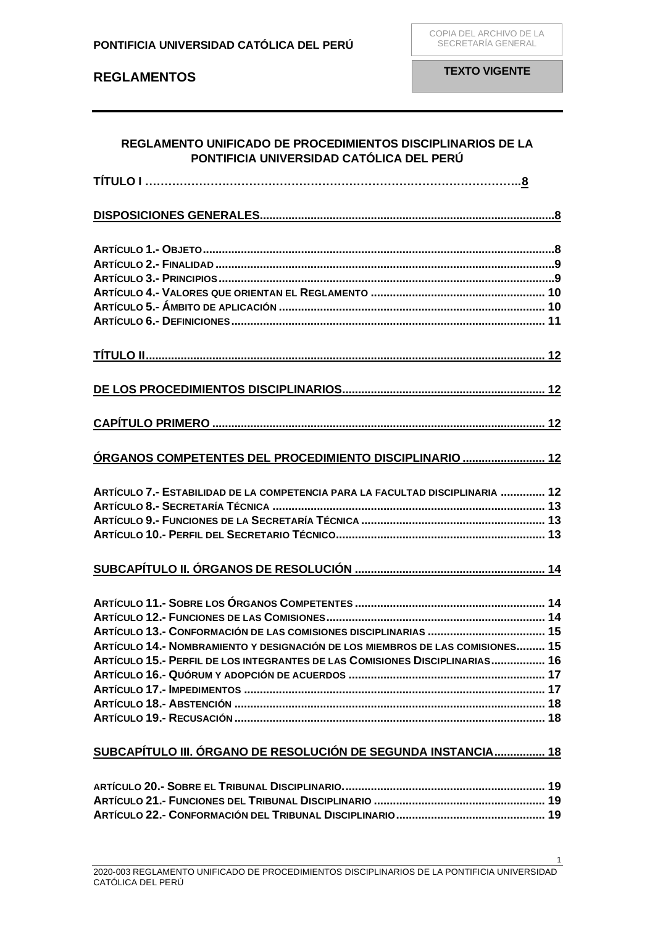| REGLAMENTO UNIFICADO DE PROCEDIMIENTOS DISCIPLINARIOS DE LA<br>PONTIFICIA UNIVERSIDAD CATÓLICA DEL PERÚ |      |
|---------------------------------------------------------------------------------------------------------|------|
|                                                                                                         |      |
|                                                                                                         |      |
|                                                                                                         |      |
|                                                                                                         |      |
|                                                                                                         |      |
|                                                                                                         |      |
|                                                                                                         |      |
|                                                                                                         |      |
|                                                                                                         |      |
|                                                                                                         |      |
|                                                                                                         |      |
| ÓRGANOS COMPETENTES DEL PROCEDIMIENTO DISCIPLINARIO  12                                                 |      |
| ARTÍCULO 7.- ESTABILIDAD DE LA COMPETENCIA PARA LA FACULTAD DISCIPLINARIA  12                           |      |
|                                                                                                         |      |
|                                                                                                         |      |
|                                                                                                         |      |
|                                                                                                         |      |
|                                                                                                         |      |
|                                                                                                         |      |
|                                                                                                         | . 15 |
| ARTÍCULO 14.- NOMBRAMIENTO Y DESIGNACIÓN DE LOS MIEMBROS DE LAS COMISIONES 15                           |      |
| ARTÍCULO 15.- PERFIL DE LOS INTEGRANTES DE LAS COMISIONES DISCIPLINARIAS 16                             |      |
|                                                                                                         |      |
|                                                                                                         |      |
|                                                                                                         |      |
|                                                                                                         |      |
| SUBCAPÍTULO III. ÓRGANO DE RESOLUCIÓN DE SEGUNDA INSTANCIA 18                                           |      |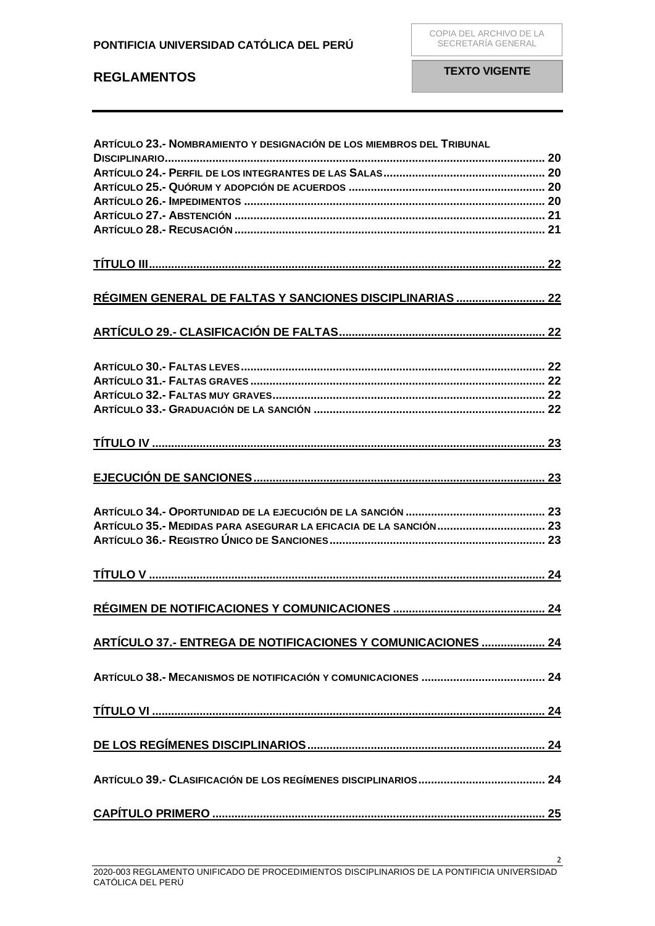| ARTÍCULO 23.- NOMBRAMIENTO Y DESIGNACIÓN DE LOS MIEMBROS DEL TRIBUNAL |  |
|-----------------------------------------------------------------------|--|
|                                                                       |  |
|                                                                       |  |
|                                                                       |  |
|                                                                       |  |
|                                                                       |  |
|                                                                       |  |
|                                                                       |  |
| RÉGIMEN GENERAL DE FALTAS Y SANCIONES DISCIPLINARIAS  22              |  |
|                                                                       |  |
|                                                                       |  |
|                                                                       |  |
|                                                                       |  |
|                                                                       |  |
|                                                                       |  |
|                                                                       |  |
|                                                                       |  |
|                                                                       |  |
|                                                                       |  |
|                                                                       |  |
|                                                                       |  |
|                                                                       |  |
|                                                                       |  |
|                                                                       |  |
|                                                                       |  |
|                                                                       |  |
| ARTÍCULO 37.- ENTREGA DE NOTIFICACIONES Y COMUNICACIONES  24          |  |
|                                                                       |  |
|                                                                       |  |
|                                                                       |  |
|                                                                       |  |
|                                                                       |  |
|                                                                       |  |
|                                                                       |  |
|                                                                       |  |
|                                                                       |  |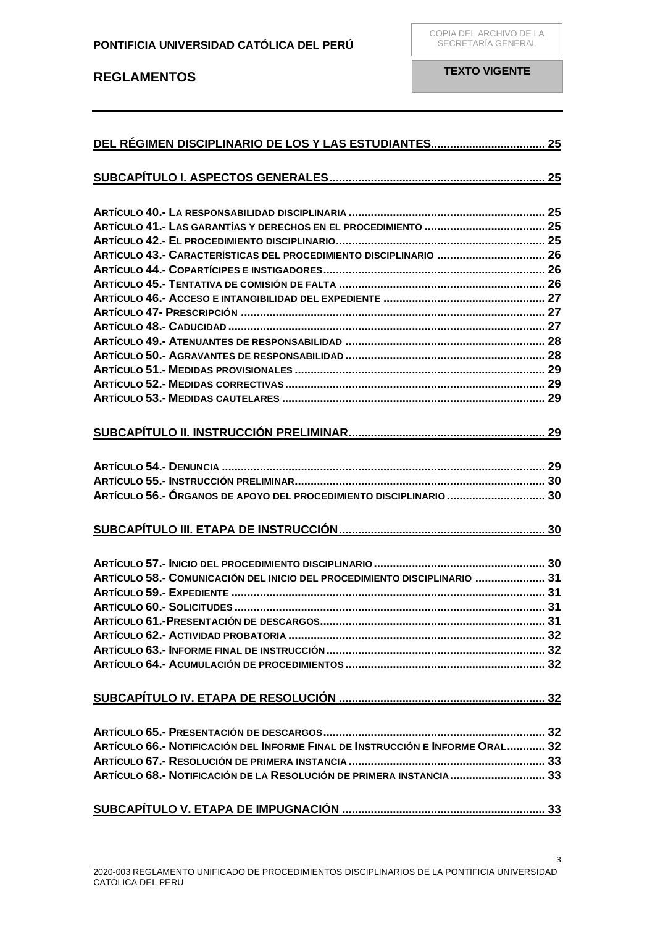| ARTÍCULO 43.- CARACTERÍSTICAS DEL PROCEDIMIENTO DISCIPLINARIO  26             |  |
|-------------------------------------------------------------------------------|--|
|                                                                               |  |
|                                                                               |  |
|                                                                               |  |
|                                                                               |  |
|                                                                               |  |
|                                                                               |  |
|                                                                               |  |
|                                                                               |  |
|                                                                               |  |
|                                                                               |  |
|                                                                               |  |
|                                                                               |  |
|                                                                               |  |
| ARTÍCULO 56.- ÓRGANOS DE APOYO DEL PROCEDIMIENTO DISCIPLINARIO  30            |  |
|                                                                               |  |
|                                                                               |  |
| ARTÍCULO 58.- COMUNICACIÓN DEL INICIO DEL PROCEDIMIENTO DISCIPLINARIO  31     |  |
|                                                                               |  |
|                                                                               |  |
|                                                                               |  |
|                                                                               |  |
|                                                                               |  |
|                                                                               |  |
|                                                                               |  |
|                                                                               |  |
| ARTÍCULO 66.- NOTIFICACIÓN DEL INFORME FINAL DE INSTRUCCIÓN E INFORME ORAL 32 |  |
|                                                                               |  |
| ARTÍCULO 68.- NOTIFICACIÓN DE LA RESOLUCIÓN DE PRIMERA INSTANCIA 33           |  |
|                                                                               |  |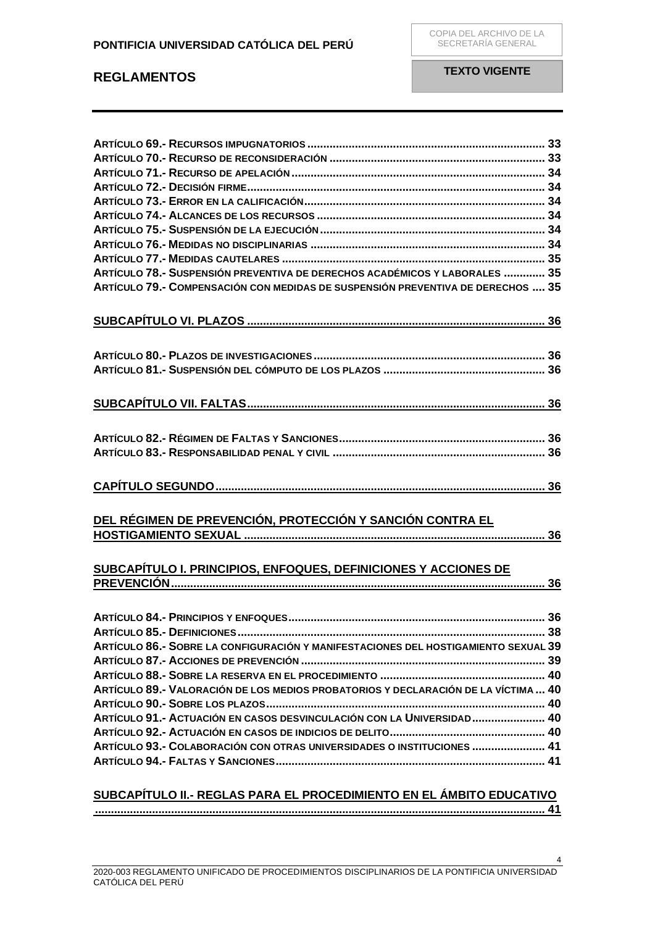| ARTÍCULO 78.- SUSPENSIÓN PREVENTIVA DE DERECHOS ACADÉMICOS Y LABORALES  35      |  |
|---------------------------------------------------------------------------------|--|
| ARTÍCULO 79.- COMPENSACIÓN CON MEDIDAS DE SUSPENSIÓN PREVENTIVA DE DERECHOS  35 |  |
|                                                                                 |  |
|                                                                                 |  |
|                                                                                 |  |
|                                                                                 |  |
|                                                                                 |  |
|                                                                                 |  |
|                                                                                 |  |
|                                                                                 |  |
|                                                                                 |  |
|                                                                                 |  |
|                                                                                 |  |
|                                                                                 |  |
|                                                                                 |  |
|                                                                                 |  |
|                                                                                 |  |
| DEL RÉGIMEN DE PREVENCIÓN, PROTECCIÓN Y SANCIÓN CONTRA EL                       |  |
|                                                                                 |  |
|                                                                                 |  |
|                                                                                 |  |
| SUBCAPÍTULO I. PRINCIPIOS, ENFOQUES, DEFINICIONES Y ACCIONES DE                 |  |

# **[PREVENCIÓN......................................................................................................................](#page-35-8) 36**

| ARTÍCULO 86.- SOBRE LA CONFIGURACIÓN Y MANIFESTACIONES DEL HOSTIGAMIENTO SEXUAL 39 |  |
|------------------------------------------------------------------------------------|--|
|                                                                                    |  |
|                                                                                    |  |
| ARTÍCULO 89.- VALORACIÓN DE LOS MEDIOS PROBATORIOS Y DECLARACIÓN DE LA VÍCTIMA  40 |  |
|                                                                                    |  |
| ARTÍCULO 91.- ACTUACIÓN EN CASOS DESVINCULACIÓN CON LA UNIVERSIDAD 40              |  |
|                                                                                    |  |
| ARTÍCULO 93.- COLABORACIÓN CON OTRAS UNIVERSIDADES O INSTITUCIONES  41             |  |
|                                                                                    |  |

## **SUBCAPÍTULO II.- [REGLAS PARA EL PROCEDIMIENTO EN EL ÁMBITO EDUCATIVO](#page-40-2)**

**[..............................................................................................................................................](#page-40-2) 41**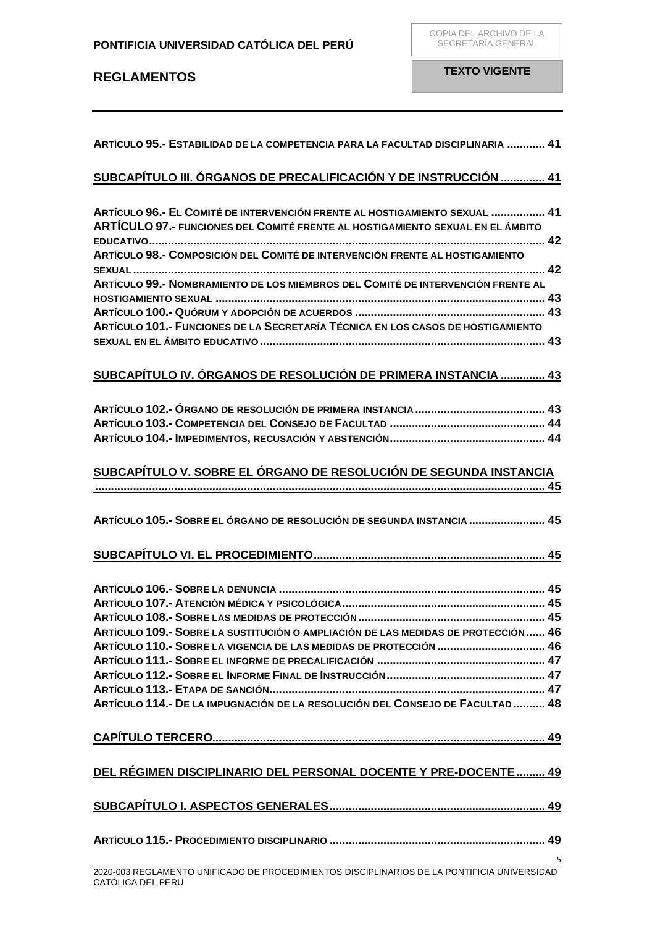| ARTÍCULO 95.- ESTABILIDAD DE LA COMPETENCIA PARA LA FACULTAD DISCIPLINARIA  41                                                                               |  |
|--------------------------------------------------------------------------------------------------------------------------------------------------------------|--|
| SUBCAPÍTULO III. ÓRGANOS DE PRECALIFICACIÓN Y DE INSTRUCCIÓN  41                                                                                             |  |
| ARTÍCULO 96.- EL COMITÉ DE INTERVENCIÓN FRENTE AL HOSTIGAMIENTO SEXUAL  41<br>ARTÍCULO 97.- FUNCIONES DEL COMITÉ FRENTE AL HOSTIGAMIENTO SEXUAL EN EL ÁMBITO |  |
| ARTÍCULO 98.- COMPOSICIÓN DEL COMITÉ DE INTERVENCIÓN FRENTE AL HOSTIGAMIENTO                                                                                 |  |
| ARTÍCULO 99.- NOMBRAMIENTO DE LOS MIEMBROS DEL COMITÉ DE INTERVENCIÓN FRENTE AL                                                                              |  |
|                                                                                                                                                              |  |
| ARTÍCULO 101.- FUNCIONES DE LA SECRETARÍA TÉCNICA EN LOS CASOS DE HOSTIGAMIENTO                                                                              |  |
| SUBCAPÍTULO IV. ÓRGANOS DE RESOLUCIÓN DE PRIMERA INSTANCIA  43                                                                                               |  |
|                                                                                                                                                              |  |
|                                                                                                                                                              |  |
|                                                                                                                                                              |  |
| SUBCAPÍTULO V. SOBRE EL ÓRGANO DE RESOLUCIÓN DE SEGUNDA INSTANCIA                                                                                            |  |
|                                                                                                                                                              |  |
| ARTÍCULO 105.- SOBRE EL ÓRGANO DE RESOLUCIÓN DE SEGUNDA INSTANCIA  45                                                                                        |  |
|                                                                                                                                                              |  |
|                                                                                                                                                              |  |
|                                                                                                                                                              |  |
|                                                                                                                                                              |  |
|                                                                                                                                                              |  |
| ARTÍCULO 109.- SOBRE LA SUSTITUCIÓN O AMPLIACIÓN DE LAS MEDIDAS DE PROTECCIÓN  46                                                                            |  |
| ARTÍCULO 110.- SOBRE LA VIGENCIA DE LAS MEDIDAS DE PROTECCIÓN  46                                                                                            |  |
|                                                                                                                                                              |  |
|                                                                                                                                                              |  |
| ARTÍCULO 114.- DE LA IMPUGNACIÓN DE LA RESOLUCIÓN DEL CONSEJO DE FACULTAD  48                                                                                |  |
|                                                                                                                                                              |  |
| DEL RÉGIMEN DISCIPLINARIO DEL PERSONAL DOCENTE Y PRE-DOCENTE  49                                                                                             |  |
|                                                                                                                                                              |  |
|                                                                                                                                                              |  |
|                                                                                                                                                              |  |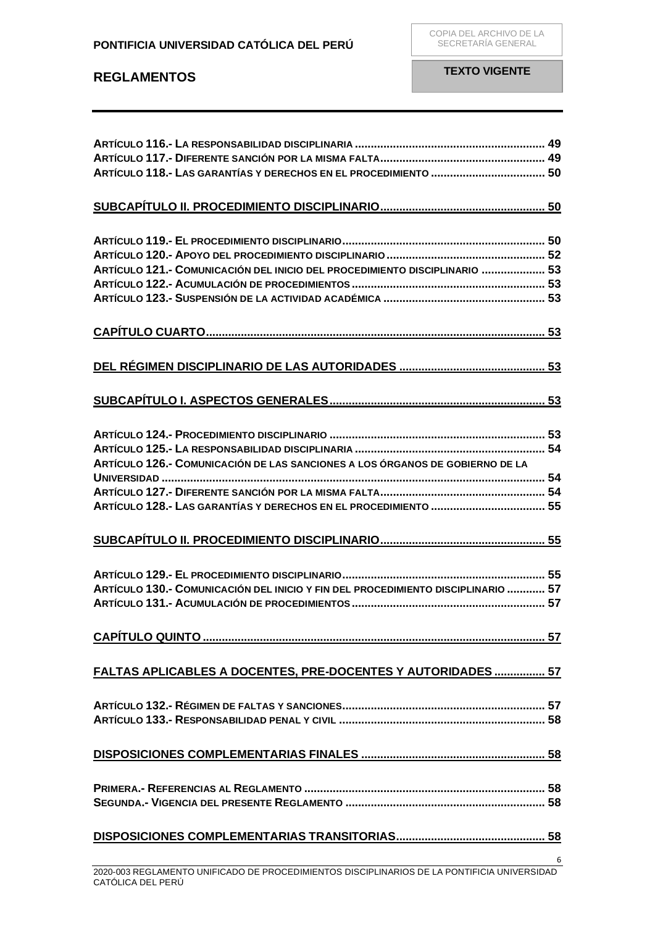| ARTÍCULO 121.- COMUNICACIÓN DEL INICIO DEL PROCEDIMIENTO DISCIPLINARIO  53                  |  |
|---------------------------------------------------------------------------------------------|--|
|                                                                                             |  |
|                                                                                             |  |
|                                                                                             |  |
|                                                                                             |  |
|                                                                                             |  |
|                                                                                             |  |
|                                                                                             |  |
|                                                                                             |  |
|                                                                                             |  |
|                                                                                             |  |
|                                                                                             |  |
|                                                                                             |  |
|                                                                                             |  |
| ARTÍCULO 126.- COMUNICACIÓN DE LAS SANCIONES A LOS ÓRGANOS DE GOBIERNO DE LA                |  |
|                                                                                             |  |
|                                                                                             |  |
|                                                                                             |  |
|                                                                                             |  |
|                                                                                             |  |
|                                                                                             |  |
|                                                                                             |  |
|                                                                                             |  |
| ARTÍCULO 130.- COMUNICACIÓN DEL INICIO Y FIN DEL PROCEDIMIENTO DISCIPLINARIO  57            |  |
|                                                                                             |  |
|                                                                                             |  |
|                                                                                             |  |
|                                                                                             |  |
|                                                                                             |  |
|                                                                                             |  |
| <b>FALTAS APLICABLES A DOCENTES, PRE-DOCENTES Y AUTORIDADES  57</b>                         |  |
|                                                                                             |  |
|                                                                                             |  |
|                                                                                             |  |
|                                                                                             |  |
|                                                                                             |  |
|                                                                                             |  |
|                                                                                             |  |
|                                                                                             |  |
|                                                                                             |  |
|                                                                                             |  |
|                                                                                             |  |
|                                                                                             |  |
|                                                                                             |  |
| 2020 002 RECLAMENTO UNIFICADO DE RROCEDIMIENTOS DISCIPLINARIOS DE LA PONTIFICIA UNIVERSIDAD |  |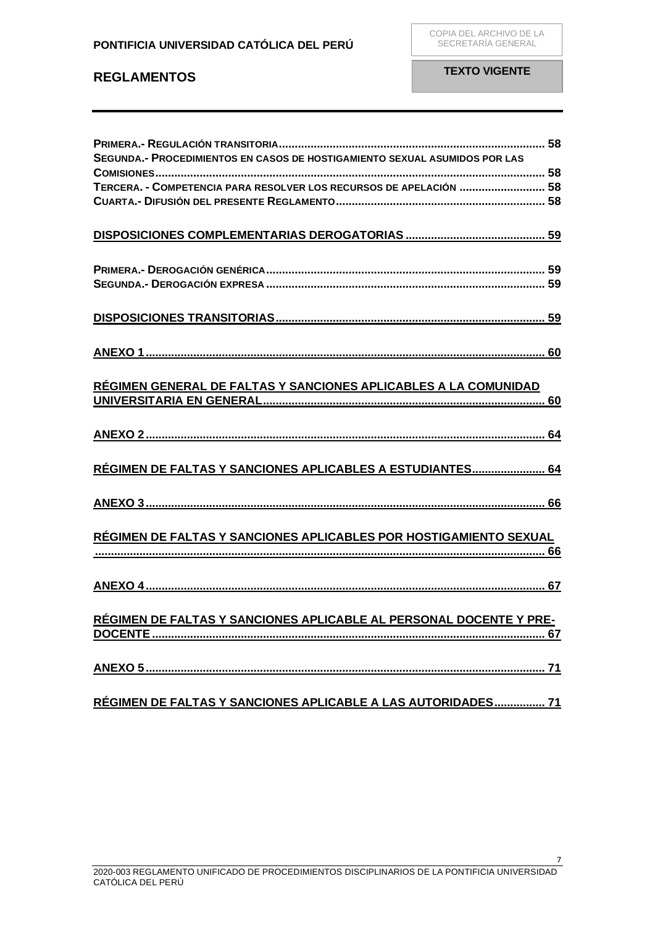| SEGUNDA.- PROCEDIMIENTOS EN CASOS DE HOSTIGAMIENTO SEXUAL ASUMIDOS POR LAS |  |
|----------------------------------------------------------------------------|--|
|                                                                            |  |
| TERCERA. - COMPETENCIA PARA RESOLVER LOS RECURSOS DE APELACIÓN  58         |  |
|                                                                            |  |
|                                                                            |  |
|                                                                            |  |
|                                                                            |  |
|                                                                            |  |
|                                                                            |  |
|                                                                            |  |
|                                                                            |  |
|                                                                            |  |
|                                                                            |  |
|                                                                            |  |
|                                                                            |  |
|                                                                            |  |
| RÉGIMEN GENERAL DE FALTAS Y SANCIONES APLICABLES A LA COMUNIDAD            |  |
|                                                                            |  |
|                                                                            |  |
|                                                                            |  |
|                                                                            |  |
|                                                                            |  |
| RÉGIMEN DE FALTAS Y SANCIONES APLICABLES A ESTUDIANTES 64                  |  |
|                                                                            |  |
|                                                                            |  |
|                                                                            |  |
|                                                                            |  |
| RÉGIMEN DE FALTAS Y SANCIONES APLICABLES POR HOSTIGAMIENTO SEXUAL          |  |
|                                                                            |  |
|                                                                            |  |
|                                                                            |  |
|                                                                            |  |
|                                                                            |  |
| RÉGIMEN DE FALTAS Y SANCIONES APLICABLE AL PERSONAL DOCENTE Y PRE-         |  |
|                                                                            |  |
|                                                                            |  |
|                                                                            |  |
|                                                                            |  |
|                                                                            |  |
| RÉGIMEN DE FALTAS Y SANCIONES APLICABLE A LAS AUTORIDADES 71               |  |
|                                                                            |  |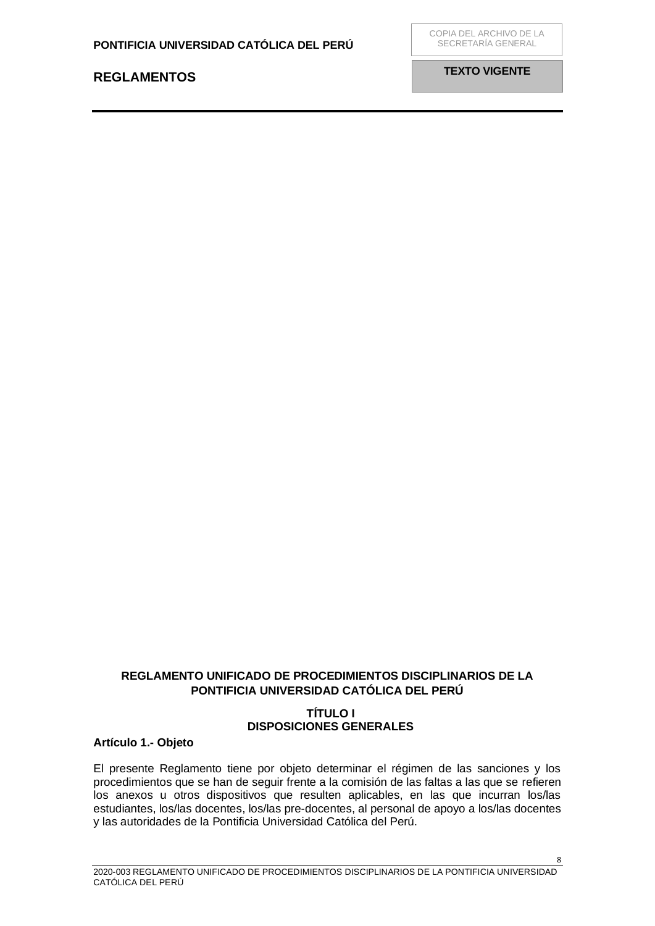**TEXTO VIGENTE**

## **REGLAMENTO UNIFICADO DE PROCEDIMIENTOS DISCIPLINARIOS DE LA PONTIFICIA UNIVERSIDAD CATÓLICA DEL PERÚ**

## **TÍTULO I DISPOSICIONES GENERALES**

## <span id="page-7-2"></span><span id="page-7-1"></span><span id="page-7-0"></span>**Artículo 1.- Objeto**

El presente Reglamento tiene por objeto determinar el régimen de las sanciones y los procedimientos que se han de seguir frente a la comisión de las faltas a las que se refieren los anexos u otros dispositivos que resulten aplicables, en las que incurran los/las estudiantes, los/las docentes, los/las pre-docentes, al personal de apoyo a los/las docentes y las autoridades de la Pontificia Universidad Católica del Perú.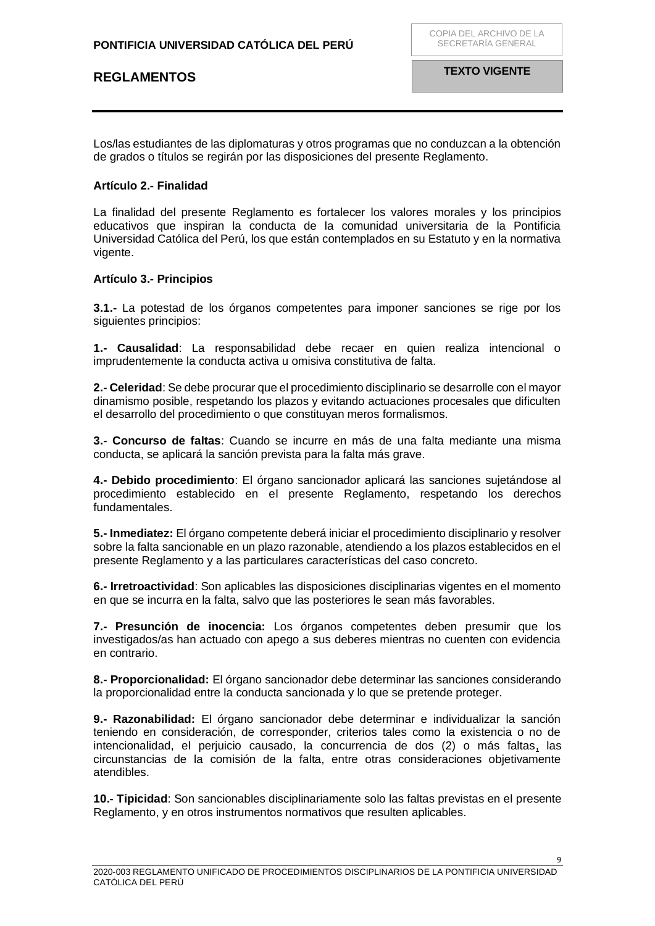Los/las estudiantes de las diplomaturas y otros programas que no conduzcan a la obtención de grados o títulos se regirán por las disposiciones del presente Reglamento.

### <span id="page-8-0"></span>**Artículo 2.- Finalidad**

La finalidad del presente Reglamento es fortalecer los valores morales y los principios educativos que inspiran la conducta de la comunidad universitaria de la Pontificia Universidad Católica del Perú, los que están contemplados en su Estatuto y en la normativa vigente.

### <span id="page-8-1"></span>**Artículo 3.- Principios**

**3.1.-** La potestad de los órganos competentes para imponer sanciones se rige por los siguientes principios:

**1.- Causalidad**: La responsabilidad debe recaer en quien realiza intencional o imprudentemente la conducta activa u omisiva constitutiva de falta.

**2.- Celeridad**: Se debe procurar que el procedimiento disciplinario se desarrolle con el mayor dinamismo posible, respetando los plazos y evitando actuaciones procesales que dificulten el desarrollo del procedimiento o que constituyan meros formalismos.

**3.- Concurso de faltas**: Cuando se incurre en más de una falta mediante una misma conducta, se aplicará la sanción prevista para la falta más grave.

**4.- Debido procedimiento**: El órgano sancionador aplicará las sanciones sujetándose al procedimiento establecido en el presente Reglamento, respetando los derechos fundamentales.

**5.- Inmediatez:** El órgano competente deberá iniciar el procedimiento disciplinario y resolver sobre la falta sancionable en un plazo razonable, atendiendo a los plazos establecidos en el presente Reglamento y a las particulares características del caso concreto.

**6.- Irretroactividad**: Son aplicables las disposiciones disciplinarias vigentes en el momento en que se incurra en la falta, salvo que las posteriores le sean más favorables.

**7.- Presunción de inocencia:** Los órganos competentes deben presumir que los investigados/as han actuado con apego a sus deberes mientras no cuenten con evidencia en contrario.

**8.- Proporcionalidad:** El órgano sancionador debe determinar las sanciones considerando la proporcionalidad entre la conducta sancionada y lo que se pretende proteger.

**9.- Razonabilidad:** El órgano sancionador debe determinar e individualizar la sanción teniendo en consideración, de corresponder, criterios tales como la existencia o no de intencionalidad, el perjuicio causado, la concurrencia de dos (2) o más faltas, las circunstancias de la comisión de la falta, entre otras consideraciones objetivamente atendibles.

**10.- Tipicidad**: Son sancionables disciplinariamente solo las faltas previstas en el presente Reglamento, y en otros instrumentos normativos que resulten aplicables.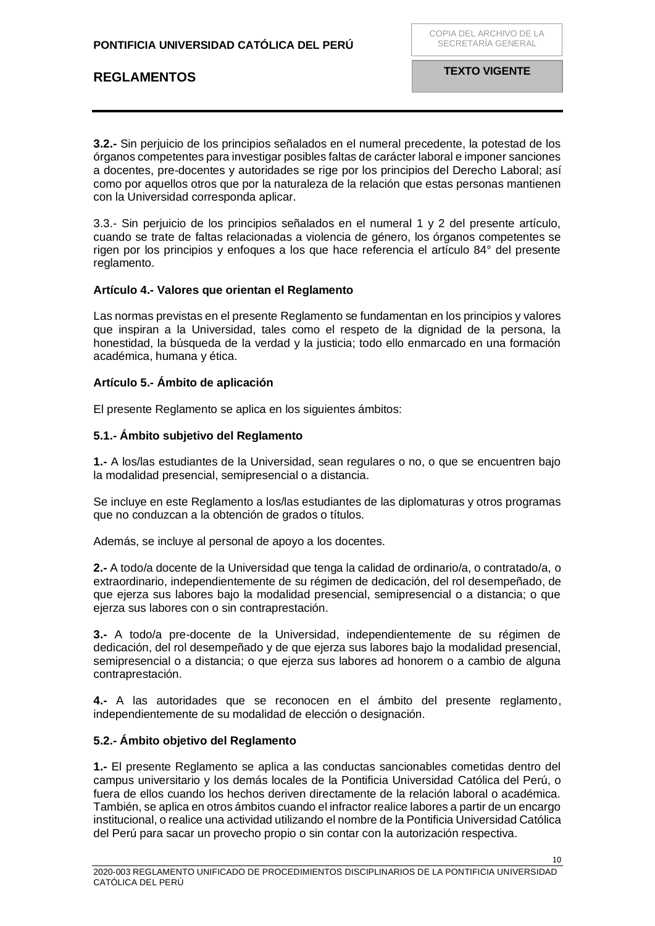**3.2.-** Sin perjuicio de los principios señalados en el numeral precedente, la potestad de los órganos competentes para investigar posibles faltas de carácter laboral e imponer sanciones a docentes, pre-docentes y autoridades se rige por los principios del Derecho Laboral; así como por aquellos otros que por la naturaleza de la relación que estas personas mantienen con la Universidad corresponda aplicar.

3.3.- Sin perjuicio de los principios señalados en el numeral 1 y 2 del presente artículo, cuando se trate de faltas relacionadas a violencia de género, los órganos competentes se rigen por los principios y enfoques a los que hace referencia el artículo 84° del presente reglamento.

### <span id="page-9-0"></span>**Artículo 4.- Valores que orientan el Reglamento**

Las normas previstas en el presente Reglamento se fundamentan en los principios y valores que inspiran a la Universidad, tales como el respeto de la dignidad de la persona, la honestidad, la búsqueda de la verdad y la justicia; todo ello enmarcado en una formación académica, humana y ética.

### <span id="page-9-1"></span>**Artículo 5.- Ámbito de aplicación**

El presente Reglamento se aplica en los siguientes ámbitos:

### **5.1.- Ámbito subjetivo del Reglamento**

**1.-** A los/las estudiantes de la Universidad, sean regulares o no, o que se encuentren bajo la modalidad presencial, semipresencial o a distancia.

Se incluye en este Reglamento a los/las estudiantes de las diplomaturas y otros programas que no conduzcan a la obtención de grados o títulos.

Además, se incluye al personal de apoyo a los docentes.

**2.-** A todo/a docente de la Universidad que tenga la calidad de ordinario/a, o contratado/a, o extraordinario, independientemente de su régimen de dedicación, del rol desempeñado, de que ejerza sus labores bajo la modalidad presencial, semipresencial o a distancia; o que ejerza sus labores con o sin contraprestación.

**3.-** A todo/a pre-docente de la Universidad, independientemente de su régimen de dedicación, del rol desempeñado y de que ejerza sus labores bajo la modalidad presencial, semipresencial o a distancia; o que ejerza sus labores ad honorem o a cambio de alguna contraprestación.

**4.-** A las autoridades que se reconocen en el ámbito del presente reglamento, independientemente de su modalidad de elección o designación.

### **5.2.- Ámbito objetivo del Reglamento**

**1.-** El presente Reglamento se aplica a las conductas sancionables cometidas dentro del campus universitario y los demás locales de la Pontificia Universidad Católica del Perú, o fuera de ellos cuando los hechos deriven directamente de la relación laboral o académica. También, se aplica en otros ámbitos cuando el infractor realice labores a partir de un encargo institucional, o realice una actividad utilizando el nombre de la Pontificia Universidad Católica del Perú para sacar un provecho propio o sin contar con la autorización respectiva.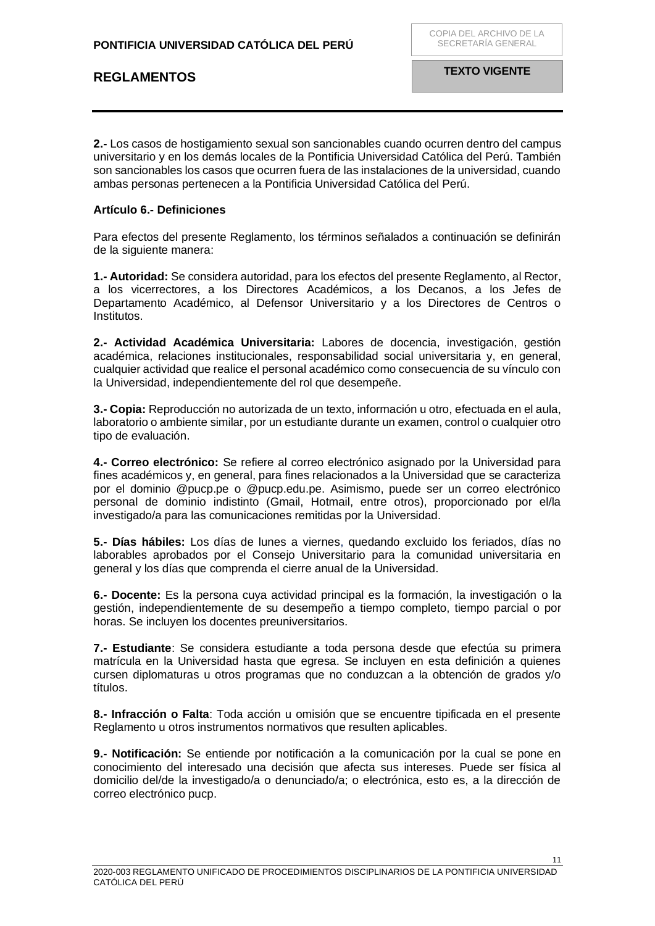**2.-** Los casos de hostigamiento sexual son sancionables cuando ocurren dentro del campus universitario y en los demás locales de la Pontificia Universidad Católica del Perú. También son sancionables los casos que ocurren fuera de las instalaciones de la universidad, cuando ambas personas pertenecen a la Pontificia Universidad Católica del Perú.

### <span id="page-10-0"></span>**Artículo 6.- Definiciones**

Para efectos del presente Reglamento, los términos señalados a continuación se definirán de la siguiente manera:

**1.- Autoridad:** Se considera autoridad, para los efectos del presente Reglamento, al Rector, a los vicerrectores, a los Directores Académicos, a los Decanos, a los Jefes de Departamento Académico, al Defensor Universitario y a los Directores de Centros o Institutos.

**2.- Actividad Académica Universitaria:** Labores de docencia, investigación, gestión académica, relaciones institucionales, responsabilidad social universitaria y, en general, cualquier actividad que realice el personal académico como consecuencia de su vínculo con la Universidad, independientemente del rol que desempeñe.

**3.- Copia:** Reproducción no autorizada de un texto, información u otro, efectuada en el aula, laboratorio o ambiente similar, por un estudiante durante un examen, control o cualquier otro tipo de evaluación.

**4.- Correo electrónico:** Se refiere al correo electrónico asignado por la Universidad para fines académicos y, en general, para fines relacionados a la Universidad que se caracteriza por el dominio @pucp.pe o @pucp.edu.pe. Asimismo, puede ser un correo electrónico personal de dominio indistinto (Gmail, Hotmail, entre otros), proporcionado por el/la investigado/a para las comunicaciones remitidas por la Universidad.

**5.- Días hábiles:** Los días de lunes a viernes, quedando excluido los feriados, días no laborables aprobados por el Consejo Universitario para la comunidad universitaria en general y los días que comprenda el cierre anual de la Universidad.

**6.- Docente:** Es la persona cuya actividad principal es la formación, la investigación o la gestión, independientemente de su desempeño a tiempo completo, tiempo parcial o por horas. Se incluyen los docentes preuniversitarios.

**7.- Estudiante**: Se considera estudiante a toda persona desde que efectúa su primera matrícula en la Universidad hasta que egresa. Se incluyen en esta definición a quienes cursen diplomaturas u otros programas que no conduzcan a la obtención de grados y/o títulos.

**8.- Infracción o Falta**: Toda acción u omisión que se encuentre tipificada en el presente Reglamento u otros instrumentos normativos que resulten aplicables.

**9.- Notificación:** Se entiende por notificación a la comunicación por la cual se pone en conocimiento del interesado una decisión que afecta sus intereses. Puede ser física al domicilio del/de la investigado/a o denunciado/a; o electrónica, esto es, a la dirección de correo electrónico pucp.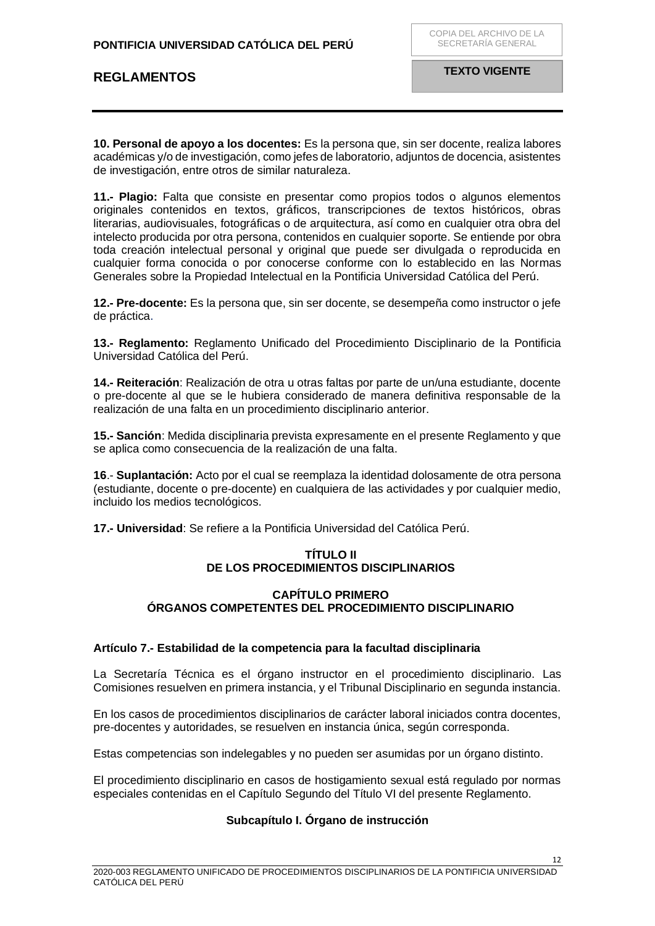**10. Personal de apoyo a los docentes:** Es la persona que, sin ser docente, realiza labores académicas y/o de investigación, como jefes de laboratorio, adjuntos de docencia, asistentes de investigación, entre otros de similar naturaleza.

**11.- Plagio:** Falta que consiste en presentar como propios todos o algunos elementos originales contenidos en textos, gráficos, transcripciones de textos históricos, obras literarias, audiovisuales, fotográficas o de arquitectura, así como en cualquier otra obra del intelecto producida por otra persona, contenidos en cualquier soporte. Se entiende por obra toda creación intelectual personal y original que puede ser divulgada o reproducida en cualquier forma conocida o por conocerse conforme con lo establecido en las Normas Generales sobre la Propiedad Intelectual en la Pontificia Universidad Católica del Perú.

**12.- Pre-docente:** Es la persona que, sin ser docente, se desempeña como instructor o jefe de práctica.

**13.- Reglamento:** Reglamento Unificado del Procedimiento Disciplinario de la Pontificia Universidad Católica del Perú.

**14.- Reiteración**: Realización de otra u otras faltas por parte de un/una estudiante, docente o pre-docente al que se le hubiera considerado de manera definitiva responsable de la realización de una falta en un procedimiento disciplinario anterior.

**15.- Sanción**: Medida disciplinaria prevista expresamente en el presente Reglamento y que se aplica como consecuencia de la realización de una falta.

**16**.- **Suplantación:** Acto por el cual se reemplaza la identidad dolosamente de otra persona (estudiante, docente o pre-docente) en cualquiera de las actividades y por cualquier medio, incluido los medios tecnológicos.

<span id="page-11-1"></span><span id="page-11-0"></span>**17.- Universidad**: Se refiere a la Pontificia Universidad del Católica Perú.

### **TÍTULO II DE LOS PROCEDIMIENTOS DISCIPLINARIOS**

### **CAPÍTULO PRIMERO ÓRGANOS COMPETENTES DEL PROCEDIMIENTO DISCIPLINARIO**

### <span id="page-11-4"></span><span id="page-11-3"></span><span id="page-11-2"></span>**Artículo 7.- Estabilidad de la competencia para la facultad disciplinaria**

La Secretaría Técnica es el órgano instructor en el procedimiento disciplinario. Las Comisiones resuelven en primera instancia, y el Tribunal Disciplinario en segunda instancia.

En los casos de procedimientos disciplinarios de carácter laboral iniciados contra docentes, pre-docentes y autoridades, se resuelven en instancia única, según corresponda.

Estas competencias son indelegables y no pueden ser asumidas por un órgano distinto.

El procedimiento disciplinario en casos de hostigamiento sexual está regulado por normas especiales contenidas en el Capítulo Segundo del Título VI del presente Reglamento.

## **Subcapítulo I. Órgano de instrucción**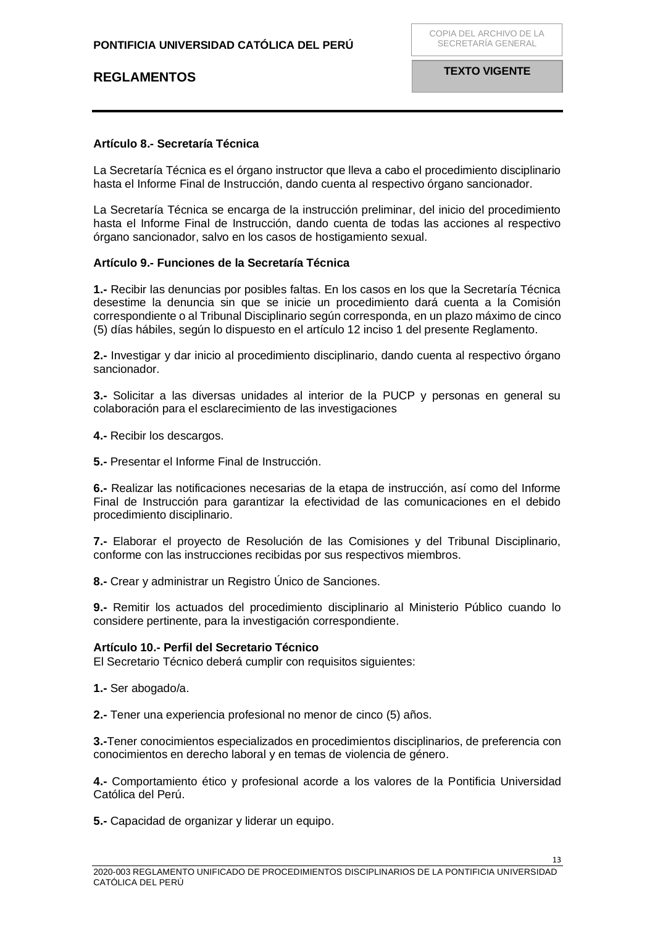### <span id="page-12-0"></span>**Artículo 8.- Secretaría Técnica**

La Secretaría Técnica es el órgano instructor que lleva a cabo el procedimiento disciplinario hasta el Informe Final de Instrucción, dando cuenta al respectivo órgano sancionador.

La Secretaría Técnica se encarga de la instrucción preliminar, del inicio del procedimiento hasta el Informe Final de Instrucción, dando cuenta de todas las acciones al respectivo órgano sancionador, salvo en los casos de hostigamiento sexual.

### <span id="page-12-1"></span>**Artículo 9.- Funciones de la Secretaría Técnica**

**1.-** Recibir las denuncias por posibles faltas. En los casos en los que la Secretaría Técnica desestime la denuncia sin que se inicie un procedimiento dará cuenta a la Comisión correspondiente o al Tribunal Disciplinario según corresponda, en un plazo máximo de cinco (5) días hábiles, según lo dispuesto en el artículo 12 inciso 1 del presente Reglamento.

**2.-** Investigar y dar inicio al procedimiento disciplinario, dando cuenta al respectivo órgano sancionador.

**3.-** Solicitar a las diversas unidades al interior de la PUCP y personas en general su colaboración para el esclarecimiento de las investigaciones

**4.-** Recibir los descargos.

**5.-** Presentar el Informe Final de Instrucción.

**6.-** Realizar las notificaciones necesarias de la etapa de instrucción, así como del Informe Final de Instrucción para garantizar la efectividad de las comunicaciones en el debido procedimiento disciplinario.

**7.-** Elaborar el proyecto de Resolución de las Comisiones y del Tribunal Disciplinario, conforme con las instrucciones recibidas por sus respectivos miembros.

**8.-** Crear y administrar un Registro Único de Sanciones.

**9.-** Remitir los actuados del procedimiento disciplinario al Ministerio Público cuando lo considere pertinente, para la investigación correspondiente.

### <span id="page-12-2"></span>**Artículo 10.- Perfil del Secretario Técnico**

El Secretario Técnico deberá cumplir con requisitos siguientes:

**1.-** Ser abogado/a.

**2.-** Tener una experiencia profesional no menor de cinco (5) años.

**3.-**Tener conocimientos especializados en procedimientos disciplinarios, de preferencia con conocimientos en derecho laboral y en temas de violencia de género.

**4.-** Comportamiento ético y profesional acorde a los valores de la Pontificia Universidad Católica del Perú.

**5.-** Capacidad de organizar y liderar un equipo.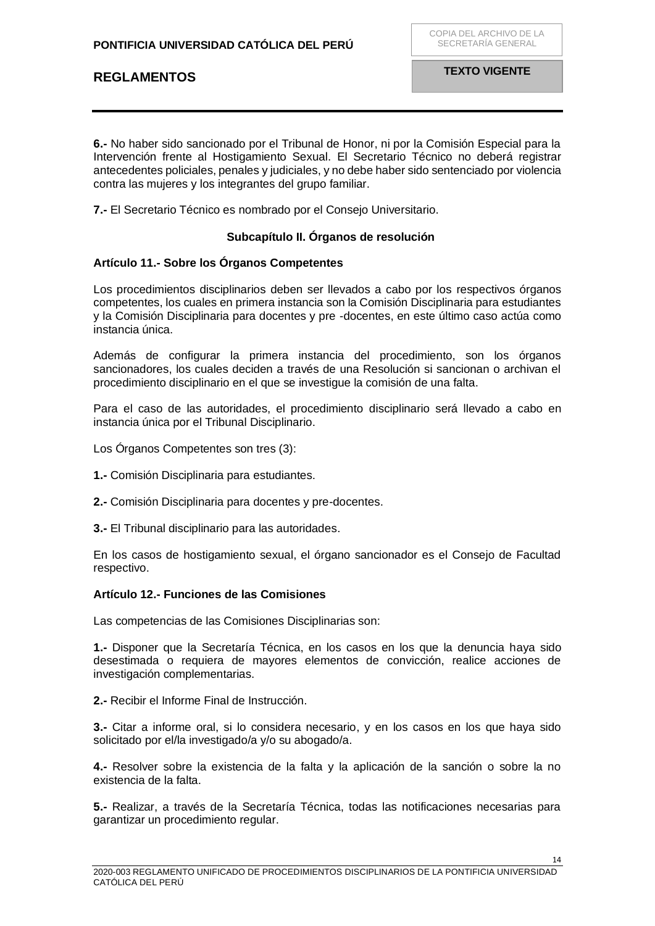**6.-** No haber sido sancionado por el Tribunal de Honor, ni por la Comisión Especial para la Intervención frente al Hostigamiento Sexual. El Secretario Técnico no deberá registrar antecedentes policiales, penales y judiciales, y no debe haber sido sentenciado por violencia contra las mujeres y los integrantes del grupo familiar.

**7.-** El Secretario Técnico es nombrado por el Consejo Universitario.

### **Subcapítulo II. Órganos de resolución**

### <span id="page-13-1"></span><span id="page-13-0"></span>**Artículo 11.- Sobre los Órganos Competentes**

Los procedimientos disciplinarios deben ser llevados a cabo por los respectivos órganos competentes, los cuales en primera instancia son la Comisión Disciplinaria para estudiantes y la Comisión Disciplinaria para docentes y pre -docentes, en este último caso actúa como instancia única.

Además de configurar la primera instancia del procedimiento, son los órganos sancionadores, los cuales deciden a través de una Resolución si sancionan o archivan el procedimiento disciplinario en el que se investigue la comisión de una falta.

Para el caso de las autoridades, el procedimiento disciplinario será llevado a cabo en instancia única por el Tribunal Disciplinario.

Los Órganos Competentes son tres (3):

**1.-** Comisión Disciplinaria para estudiantes.

**2.-** Comisión Disciplinaria para docentes y pre-docentes.

**3.-** El Tribunal disciplinario para las autoridades.

En los casos de hostigamiento sexual, el órgano sancionador es el Consejo de Facultad respectivo.

### <span id="page-13-2"></span>**Artículo 12.- Funciones de las Comisiones**

Las competencias de las Comisiones Disciplinarias son:

**1.-** Disponer que la Secretaría Técnica, en los casos en los que la denuncia haya sido desestimada o requiera de mayores elementos de convicción, realice acciones de investigación complementarias.

**2.-** Recibir el Informe Final de Instrucción.

**3.-** Citar a informe oral, si lo considera necesario, y en los casos en los que haya sido solicitado por el/la investigado/a y/o su abogado/a.

**4.-** Resolver sobre la existencia de la falta y la aplicación de la sanción o sobre la no existencia de la falta.

**5.-** Realizar, a través de la Secretaría Técnica, todas las notificaciones necesarias para garantizar un procedimiento regular.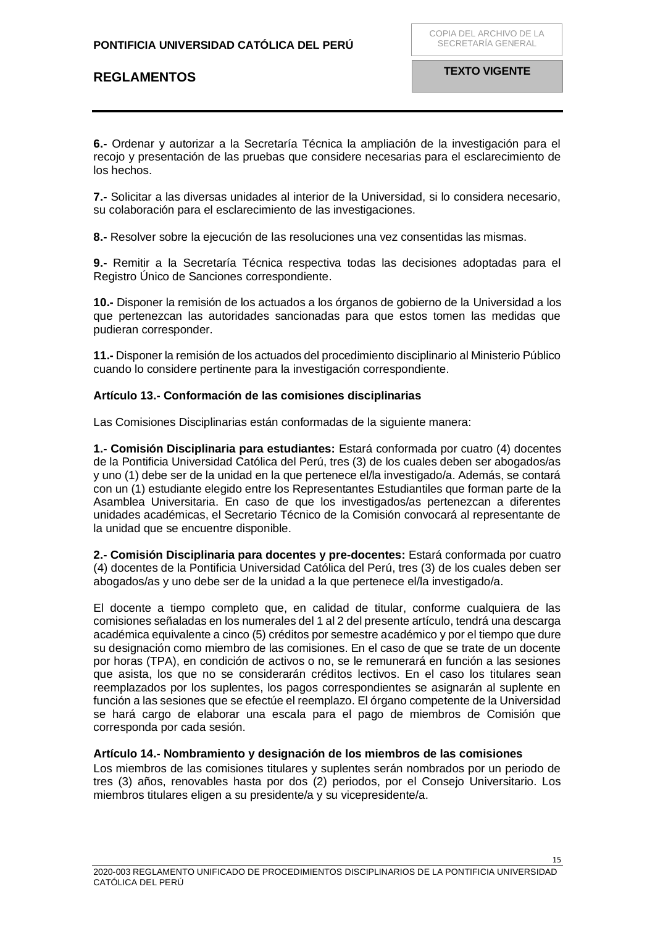**6.-** Ordenar y autorizar a la Secretaría Técnica la ampliación de la investigación para el recojo y presentación de las pruebas que considere necesarias para el esclarecimiento de los hechos.

**7.-** Solicitar a las diversas unidades al interior de la Universidad, si lo considera necesario, su colaboración para el esclarecimiento de las investigaciones.

**8.-** Resolver sobre la ejecución de las resoluciones una vez consentidas las mismas.

**9.-** Remitir a la Secretaría Técnica respectiva todas las decisiones adoptadas para el Registro Único de Sanciones correspondiente.

**10.-** Disponer la remisión de los actuados a los órganos de gobierno de la Universidad a los que pertenezcan las autoridades sancionadas para que estos tomen las medidas que pudieran corresponder.

**11.-** Disponer la remisión de los actuados del procedimiento disciplinario al Ministerio Público cuando lo considere pertinente para la investigación correspondiente.

### <span id="page-14-0"></span>**Artículo 13.- Conformación de las comisiones disciplinarias**

Las Comisiones Disciplinarias están conformadas de la siguiente manera:

**1.- Comisión Disciplinaria para estudiantes:** Estará conformada por cuatro (4) docentes de la Pontificia Universidad Católica del Perú, tres (3) de los cuales deben ser abogados/as y uno (1) debe ser de la unidad en la que pertenece el/la investigado/a. Además, se contará con un (1) estudiante elegido entre los Representantes Estudiantiles que forman parte de la Asamblea Universitaria. En caso de que los investigados/as pertenezcan a diferentes unidades académicas, el Secretario Técnico de la Comisión convocará al representante de la unidad que se encuentre disponible.

**2.- Comisión Disciplinaria para docentes y pre-docentes:** Estará conformada por cuatro (4) docentes de la Pontificia Universidad Católica del Perú, tres (3) de los cuales deben ser abogados/as y uno debe ser de la unidad a la que pertenece el/la investigado/a.

El docente a tiempo completo que, en calidad de titular, conforme cualquiera de las comisiones señaladas en los numerales del 1 al 2 del presente artículo, tendrá una descarga académica equivalente a cinco (5) créditos por semestre académico y por el tiempo que dure su designación como miembro de las comisiones. En el caso de que se trate de un docente por horas (TPA), en condición de activos o no, se le remunerará en función a las sesiones que asista, los que no se considerarán créditos lectivos. En el caso los titulares sean reemplazados por los suplentes, los pagos correspondientes se asignarán al suplente en función a las sesiones que se efectúe el reemplazo. El órgano competente de la Universidad se hará cargo de elaborar una escala para el pago de miembros de Comisión que corresponda por cada sesión.

### <span id="page-14-1"></span>**Artículo 14.- Nombramiento y designación de los miembros de las comisiones**

Los miembros de las comisiones titulares y suplentes serán nombrados por un periodo de tres (3) años, renovables hasta por dos (2) periodos, por el Consejo Universitario. Los miembros titulares eligen a su presidente/a y su vicepresidente/a.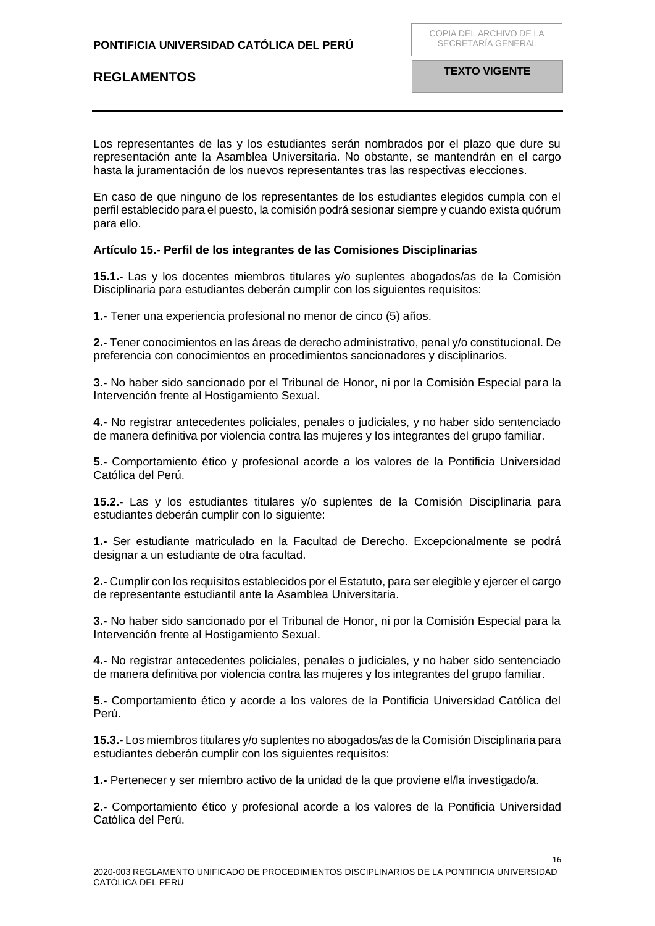Los representantes de las y los estudiantes serán nombrados por el plazo que dure su representación ante la Asamblea Universitaria. No obstante, se mantendrán en el cargo hasta la juramentación de los nuevos representantes tras las respectivas elecciones.

En caso de que ninguno de los representantes de los estudiantes elegidos cumpla con el perfil establecido para el puesto, la comisión podrá sesionar siempre y cuando exista quórum para ello.

### <span id="page-15-0"></span>**Artículo 15.- Perfil de los integrantes de las Comisiones Disciplinarias**

**15.1.-** Las y los docentes miembros titulares y/o suplentes abogados/as de la Comisión Disciplinaria para estudiantes deberán cumplir con los siguientes requisitos:

**1.-** Tener una experiencia profesional no menor de cinco (5) años.

**2.-** Tener conocimientos en las áreas de derecho administrativo, penal y/o constitucional. De preferencia con conocimientos en procedimientos sancionadores y disciplinarios.

**3.-** No haber sido sancionado por el Tribunal de Honor, ni por la Comisión Especial para la Intervención frente al Hostigamiento Sexual.

**4.-** No registrar antecedentes policiales, penales o judiciales, y no haber sido sentenciado de manera definitiva por violencia contra las mujeres y los integrantes del grupo familiar.

**5.-** Comportamiento ético y profesional acorde a los valores de la Pontificia Universidad Católica del Perú.

**15.2.-** Las y los estudiantes titulares y/o suplentes de la Comisión Disciplinaria para estudiantes deberán cumplir con lo siguiente:

**1.-** Ser estudiante matriculado en la Facultad de Derecho. Excepcionalmente se podrá designar a un estudiante de otra facultad.

**2.-** Cumplir con los requisitos establecidos por el Estatuto, para ser elegible y ejercer el cargo de representante estudiantil ante la Asamblea Universitaria.

**3.-** No haber sido sancionado por el Tribunal de Honor, ni por la Comisión Especial para la Intervención frente al Hostigamiento Sexual.

**4.-** No registrar antecedentes policiales, penales o judiciales, y no haber sido sentenciado de manera definitiva por violencia contra las mujeres y los integrantes del grupo familiar.

**5.-** Comportamiento ético y acorde a los valores de la Pontificia Universidad Católica del Perú.

**15.3.-** Los miembros titulares y/o suplentes no abogados/as de la Comisión Disciplinaria para estudiantes deberán cumplir con los siguientes requisitos:

**1.-** Pertenecer y ser miembro activo de la unidad de la que proviene el/la investigado/a.

**2.-** Comportamiento ético y profesional acorde a los valores de la Pontificia Universidad Católica del Perú.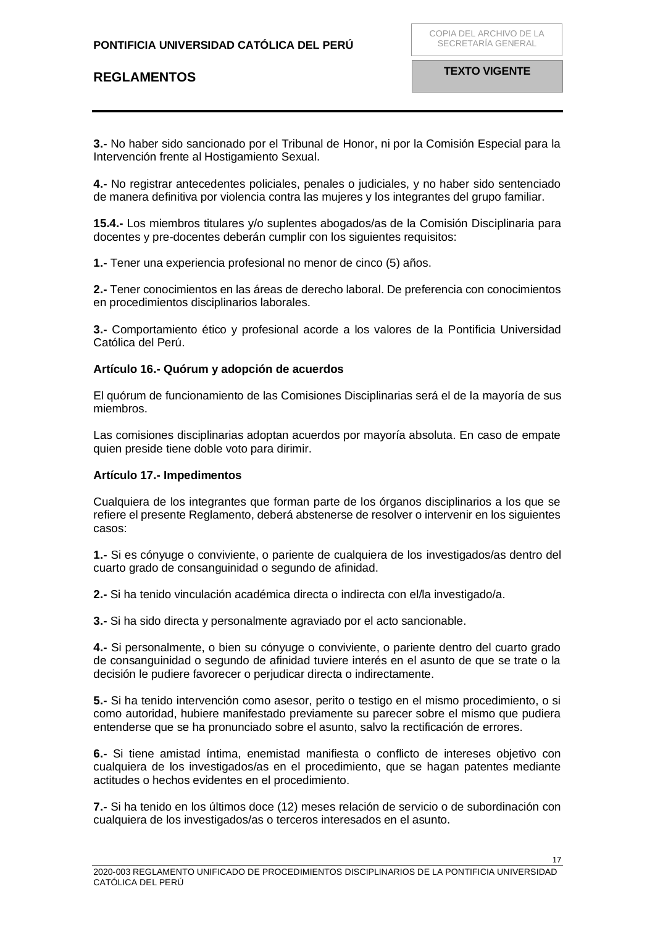**3.-** No haber sido sancionado por el Tribunal de Honor, ni por la Comisión Especial para la Intervención frente al Hostigamiento Sexual.

**4.-** No registrar antecedentes policiales, penales o judiciales, y no haber sido sentenciado de manera definitiva por violencia contra las mujeres y los integrantes del grupo familiar.

**15.4.-** Los miembros titulares y/o suplentes abogados/as de la Comisión Disciplinaria para docentes y pre-docentes deberán cumplir con los siguientes requisitos:

**1.-** Tener una experiencia profesional no menor de cinco (5) años.

**2.-** Tener conocimientos en las áreas de derecho laboral. De preferencia con conocimientos en procedimientos disciplinarios laborales.

**3.-** Comportamiento ético y profesional acorde a los valores de la Pontificia Universidad Católica del Perú.

### <span id="page-16-0"></span>**Artículo 16.- Quórum y adopción de acuerdos**

El quórum de funcionamiento de las Comisiones Disciplinarias será el de la mayoría de sus miembros.

Las comisiones disciplinarias adoptan acuerdos por mayoría absoluta. En caso de empate quien preside tiene doble voto para dirimir.

### <span id="page-16-1"></span>**Artículo 17.- Impedimentos**

Cualquiera de los integrantes que forman parte de los órganos disciplinarios a los que se refiere el presente Reglamento, deberá abstenerse de resolver o intervenir en los siguientes casos:

**1.-** Si es cónyuge o conviviente, o pariente de cualquiera de los investigados/as dentro del cuarto grado de consanguinidad o segundo de afinidad.

**2.-** Si ha tenido vinculación académica directa o indirecta con el/la investigado/a.

**3.-** Si ha sido directa y personalmente agraviado por el acto sancionable.

**4.-** Si personalmente, o bien su cónyuge o conviviente, o pariente dentro del cuarto grado de consanguinidad o segundo de afinidad tuviere interés en el asunto de que se trate o la decisión le pudiere favorecer o perjudicar directa o indirectamente.

**5.-** Si ha tenido intervención como asesor, perito o testigo en el mismo procedimiento, o si como autoridad, hubiere manifestado previamente su parecer sobre el mismo que pudiera entenderse que se ha pronunciado sobre el asunto, salvo la rectificación de errores.

**6.-** Si tiene amistad íntima, enemistad manifiesta o conflicto de intereses objetivo con cualquiera de los investigados/as en el procedimiento, que se hagan patentes mediante actitudes o hechos evidentes en el procedimiento.

**7.-** Si ha tenido en los últimos doce (12) meses relación de servicio o de subordinación con cualquiera de los investigados/as o terceros interesados en el asunto.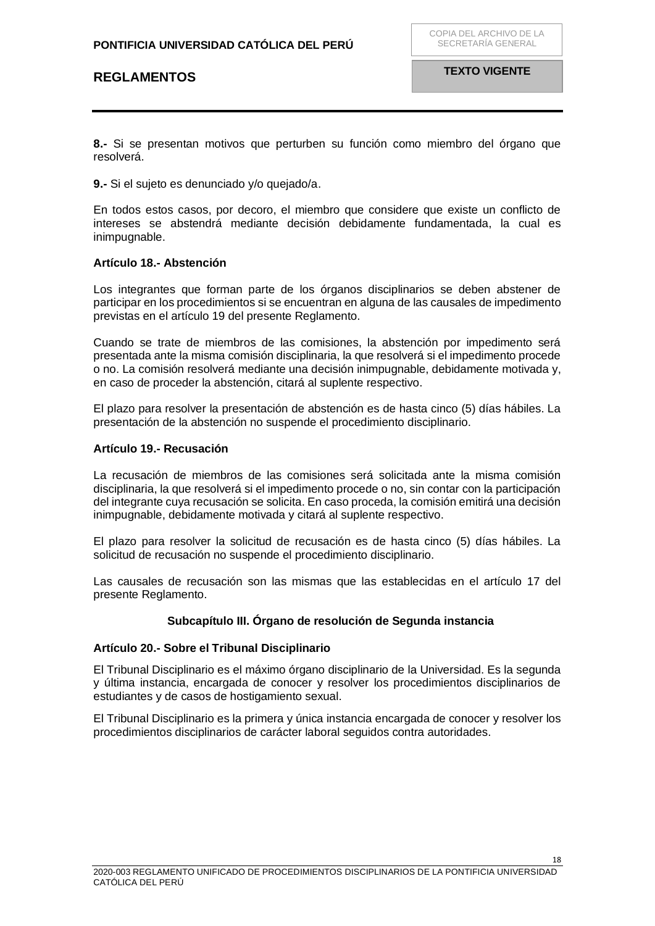**8.-** Si se presentan motivos que perturben su función como miembro del órgano que resolverá.

**9.-** Si el sujeto es denunciado y/o quejado/a.

En todos estos casos, por decoro, el miembro que considere que existe un conflicto de intereses se abstendrá mediante decisión debidamente fundamentada, la cual es inimpugnable.

#### <span id="page-17-0"></span>**Artículo 18.- Abstención**

Los integrantes que forman parte de los órganos disciplinarios se deben abstener de participar en los procedimientos si se encuentran en alguna de las causales de impedimento previstas en el artículo 19 del presente Reglamento.

Cuando se trate de miembros de las comisiones, la abstención por impedimento será presentada ante la misma comisión disciplinaria, la que resolverá si el impedimento procede o no. La comisión resolverá mediante una decisión inimpugnable, debidamente motivada y, en caso de proceder la abstención, citará al suplente respectivo.

El plazo para resolver la presentación de abstención es de hasta cinco (5) días hábiles. La presentación de la abstención no suspende el procedimiento disciplinario.

#### <span id="page-17-1"></span>**Artículo 19.- Recusación**

La recusación de miembros de las comisiones será solicitada ante la misma comisión disciplinaria, la que resolverá si el impedimento procede o no, sin contar con la participación del integrante cuya recusación se solicita. En caso proceda, la comisión emitirá una decisión inimpugnable, debidamente motivada y citará al suplente respectivo.

El plazo para resolver la solicitud de recusación es de hasta cinco (5) días hábiles. La solicitud de recusación no suspende el procedimiento disciplinario.

Las causales de recusación son las mismas que las establecidas en el artículo 17 del presente Reglamento.

### **Subcapítulo III. Órgano de resolución de Segunda instancia**

#### <span id="page-17-2"></span>**Artículo 20.- Sobre el Tribunal Disciplinario**

El Tribunal Disciplinario es el máximo órgano disciplinario de la Universidad. Es la segunda y última instancia, encargada de conocer y resolver los procedimientos disciplinarios de estudiantes y de casos de hostigamiento sexual.

El Tribunal Disciplinario es la primera y única instancia encargada de conocer y resolver los procedimientos disciplinarios de carácter laboral seguidos contra autoridades.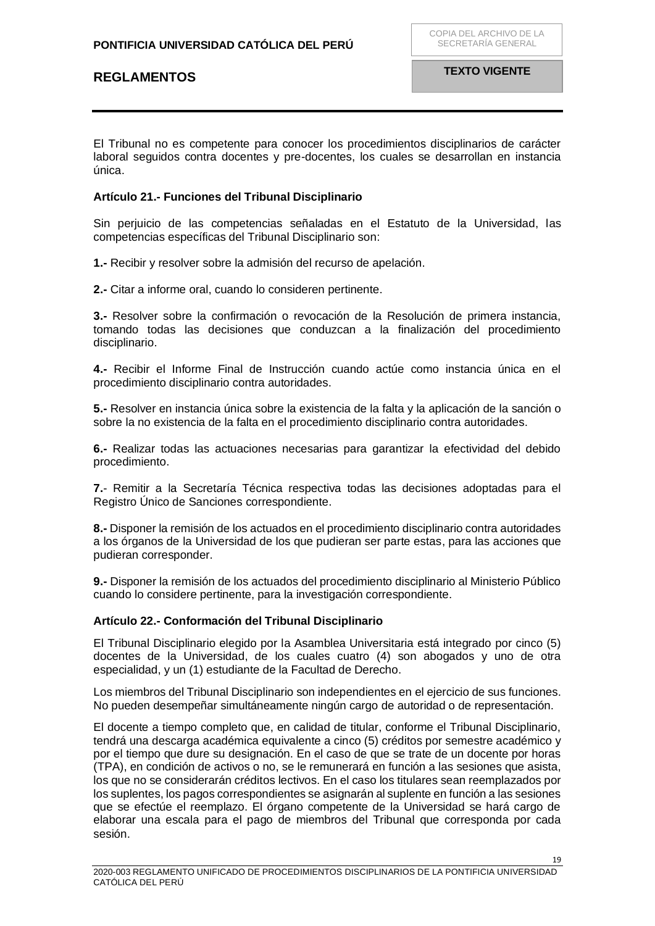<span id="page-18-0"></span>El Tribunal no es competente para conocer los procedimientos disciplinarios de carácter laboral seguidos contra docentes y pre-docentes, los cuales se desarrollan en instancia única.

### <span id="page-18-1"></span>**Artículo 21.- Funciones del Tribunal Disciplinario**

Sin perjuicio de las competencias señaladas en el Estatuto de la Universidad, las competencias específicas del Tribunal Disciplinario son:

**1.-** Recibir y resolver sobre la admisión del recurso de apelación.

**2.-** Citar a informe oral, cuando lo consideren pertinente.

**3.-** Resolver sobre la confirmación o revocación de la Resolución de primera instancia, tomando todas las decisiones que conduzcan a la finalización del procedimiento disciplinario.

**4.-** Recibir el Informe Final de Instrucción cuando actúe como instancia única en el procedimiento disciplinario contra autoridades.

**5.-** Resolver en instancia única sobre la existencia de la falta y la aplicación de la sanción o sobre la no existencia de la falta en el procedimiento disciplinario contra autoridades.

**6.-** Realizar todas las actuaciones necesarias para garantizar la efectividad del debido procedimiento.

**7.**- Remitir a la Secretaría Técnica respectiva todas las decisiones adoptadas para el Registro Único de Sanciones correspondiente.

**8.-** Disponer la remisión de los actuados en el procedimiento disciplinario contra autoridades a los órganos de la Universidad de los que pudieran ser parte estas, para las acciones que pudieran corresponder.

**9.-** Disponer la remisión de los actuados del procedimiento disciplinario al Ministerio Público cuando lo considere pertinente, para la investigación correspondiente.

### **Artículo 22.- Conformación del Tribunal Disciplinario**

El Tribunal Disciplinario elegido por la Asamblea Universitaria está integrado por cinco (5) docentes de la Universidad, de los cuales cuatro (4) son abogados y uno de otra especialidad, y un (1) estudiante de la Facultad de Derecho.

Los miembros del Tribunal Disciplinario son independientes en el ejercicio de sus funciones. No pueden desempeñar simultáneamente ningún cargo de autoridad o de representación.

El docente a tiempo completo que, en calidad de titular, conforme el Tribunal Disciplinario, tendrá una descarga académica equivalente a cinco (5) créditos por semestre académico y por el tiempo que dure su designación. En el caso de que se trate de un docente por horas (TPA), en condición de activos o no, se le remunerará en función a las sesiones que asista, los que no se considerarán créditos lectivos. En el caso los titulares sean reemplazados por los suplentes, los pagos correspondientes se asignarán al suplente en función a las sesiones que se efectúe el reemplazo. El órgano competente de la Universidad se hará cargo de elaborar una escala para el pago de miembros del Tribunal que corresponda por cada sesión.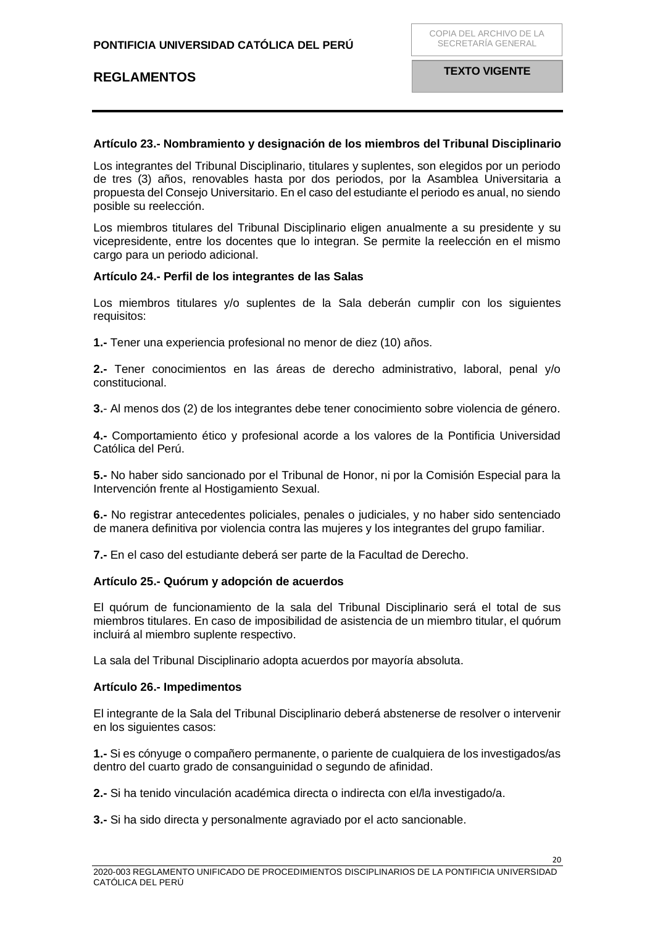### **Artículo 23.- Nombramiento y designación de los miembros del Tribunal Disciplinario**

Los integrantes del Tribunal Disciplinario, titulares y suplentes, son elegidos por un periodo de tres (3) años, renovables hasta por dos periodos, por la Asamblea Universitaria a propuesta del Consejo Universitario. En el caso del estudiante el periodo es anual, no siendo posible su reelección.

Los miembros titulares del Tribunal Disciplinario eligen anualmente a su presidente y su vicepresidente, entre los docentes que lo integran. Se permite la reelección en el mismo cargo para un periodo adicional.

#### <span id="page-19-0"></span>**Artículo 24.- Perfil de los integrantes de las Salas**

Los miembros titulares y/o suplentes de la Sala deberán cumplir con los siguientes requisitos:

**1.-** Tener una experiencia profesional no menor de diez (10) años.

**2.-** Tener conocimientos en las áreas de derecho administrativo, laboral, penal y/o constitucional.

**3.**- Al menos dos (2) de los integrantes debe tener conocimiento sobre violencia de género.

**4.-** Comportamiento ético y profesional acorde a los valores de la Pontificia Universidad Católica del Perú.

**5.-** No haber sido sancionado por el Tribunal de Honor, ni por la Comisión Especial para la Intervención frente al Hostigamiento Sexual.

**6.-** No registrar antecedentes policiales, penales o judiciales, y no haber sido sentenciado de manera definitiva por violencia contra las mujeres y los integrantes del grupo familiar.

**7.-** En el caso del estudiante deberá ser parte de la Facultad de Derecho.

### <span id="page-19-1"></span>**Artículo 25.- Quórum y adopción de acuerdos**

El quórum de funcionamiento de la sala del Tribunal Disciplinario será el total de sus miembros titulares. En caso de imposibilidad de asistencia de un miembro titular, el quórum incluirá al miembro suplente respectivo.

La sala del Tribunal Disciplinario adopta acuerdos por mayoría absoluta.

### <span id="page-19-2"></span>**Artículo 26.- Impedimentos**

El integrante de la Sala del Tribunal Disciplinario deberá abstenerse de resolver o intervenir en los siguientes casos:

**1.-** Si es cónyuge o compañero permanente, o pariente de cualquiera de los investigados/as dentro del cuarto grado de consanguinidad o segundo de afinidad.

**2.-** Si ha tenido vinculación académica directa o indirecta con el/la investigado/a.

**3.-** Si ha sido directa y personalmente agraviado por el acto sancionable.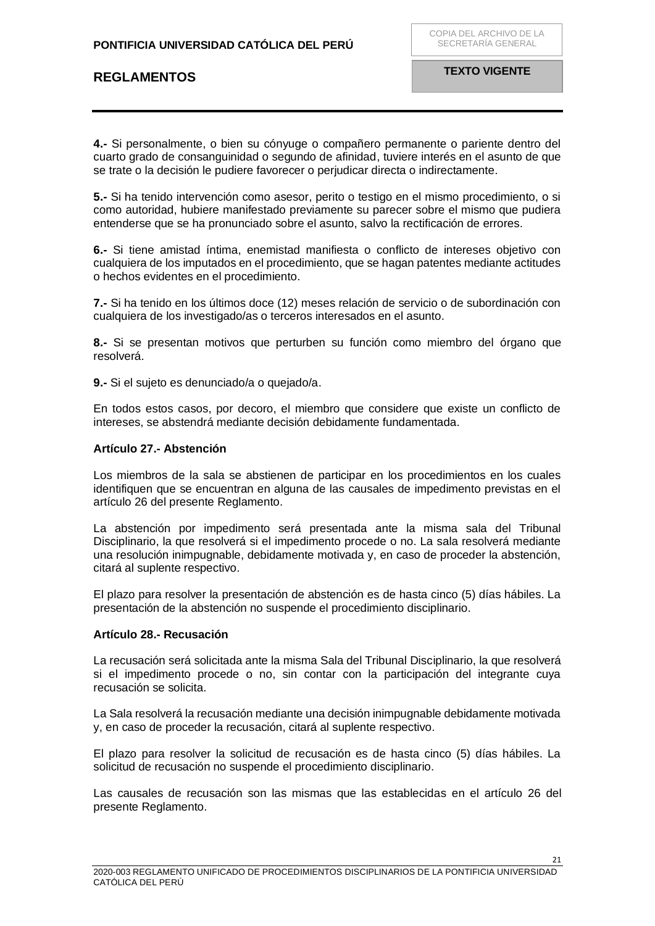**4.-** Si personalmente, o bien su cónyuge o compañero permanente o pariente dentro del cuarto grado de consanguinidad o segundo de afinidad, tuviere interés en el asunto de que se trate o la decisión le pudiere favorecer o perjudicar directa o indirectamente.

**5.-** Si ha tenido intervención como asesor, perito o testigo en el mismo procedimiento, o si como autoridad, hubiere manifestado previamente su parecer sobre el mismo que pudiera entenderse que se ha pronunciado sobre el asunto, salvo la rectificación de errores.

**6.-** Si tiene amistad íntima, enemistad manifiesta o conflicto de intereses objetivo con cualquiera de los imputados en el procedimiento, que se hagan patentes mediante actitudes o hechos evidentes en el procedimiento.

**7.-** Si ha tenido en los últimos doce (12) meses relación de servicio o de subordinación con cualquiera de los investigado/as o terceros interesados en el asunto.

**8.-** Si se presentan motivos que perturben su función como miembro del órgano que resolverá.

**9.-** Si el sujeto es denunciado/a o quejado/a.

En todos estos casos, por decoro, el miembro que considere que existe un conflicto de intereses, se abstendrá mediante decisión debidamente fundamentada.

#### <span id="page-20-0"></span>**Artículo 27.- Abstención**

Los miembros de la sala se abstienen de participar en los procedimientos en los cuales identifiquen que se encuentran en alguna de las causales de impedimento previstas en el artículo 26 del presente Reglamento.

La abstención por impedimento será presentada ante la misma sala del Tribunal Disciplinario, la que resolverá si el impedimento procede o no. La sala resolverá mediante una resolución inimpugnable, debidamente motivada y, en caso de proceder la abstención, citará al suplente respectivo.

El plazo para resolver la presentación de abstención es de hasta cinco (5) días hábiles. La presentación de la abstención no suspende el procedimiento disciplinario.

### <span id="page-20-1"></span>**Artículo 28.- Recusación**

La recusación será solicitada ante la misma Sala del Tribunal Disciplinario, la que resolverá si el impedimento procede o no, sin contar con la participación del integrante cuya recusación se solicita.

La Sala resolverá la recusación mediante una decisión inimpugnable debidamente motivada y, en caso de proceder la recusación, citará al suplente respectivo.

El plazo para resolver la solicitud de recusación es de hasta cinco (5) días hábiles. La solicitud de recusación no suspende el procedimiento disciplinario.

Las causales de recusación son las mismas que las establecidas en el artículo 26 del presente Reglamento.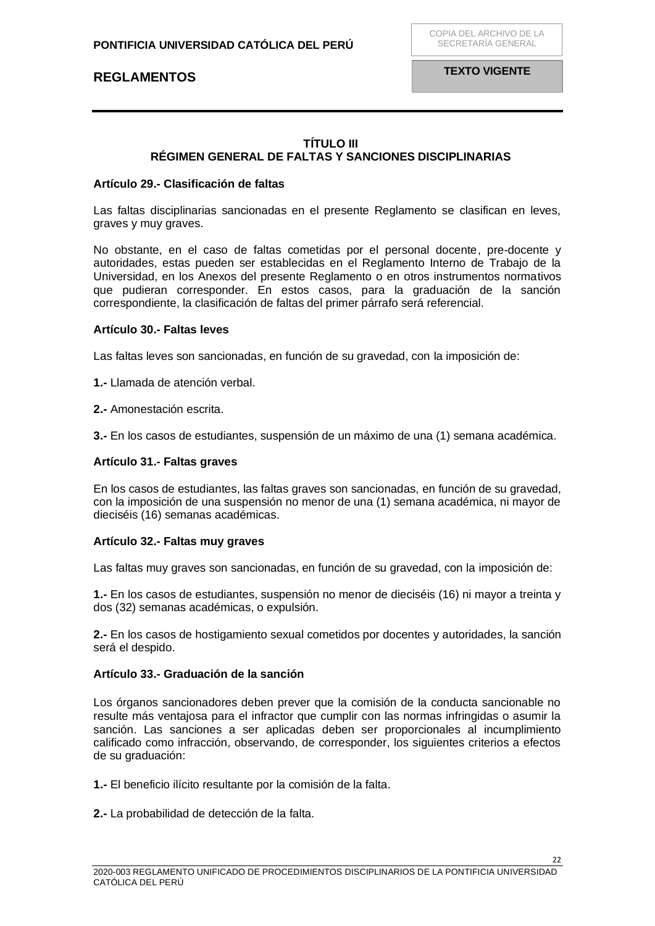## **TÍTULO III RÉGIMEN GENERAL DE FALTAS Y SANCIONES DISCIPLINARIAS**

#### <span id="page-21-2"></span><span id="page-21-1"></span><span id="page-21-0"></span>**Artículo 29.- Clasificación de faltas**

Las faltas disciplinarias sancionadas en el presente Reglamento se clasifican en leves, graves y muy graves.

No obstante, en el caso de faltas cometidas por el personal docente, pre-docente y autoridades, estas pueden ser establecidas en el Reglamento Interno de Trabajo de la Universidad, en los Anexos del presente Reglamento o en otros instrumentos normativos que pudieran corresponder. En estos casos, para la graduación de la sanción correspondiente, la clasificación de faltas del primer párrafo será referencial.

#### <span id="page-21-3"></span>**Artículo 30.- Faltas leves**

Las faltas leves son sancionadas, en función de su gravedad, con la imposición de:

**1.-** Llamada de atención verbal.

**2.-** Amonestación escrita.

**3.-** En los casos de estudiantes, suspensión de un máximo de una (1) semana académica.

#### <span id="page-21-4"></span>**Artículo 31.- Faltas graves**

En los casos de estudiantes, las faltas graves son sancionadas, en función de su gravedad, con la imposición de una suspensión no menor de una (1) semana académica, ni mayor de dieciséis (16) semanas académicas.

#### <span id="page-21-5"></span>**Artículo 32.- Faltas muy graves**

Las faltas muy graves son sancionadas, en función de su gravedad, con la imposición de:

**1.-** En los casos de estudiantes, suspensión no menor de dieciséis (16) ni mayor a treinta y dos (32) semanas académicas, o expulsión.

**2.-** En los casos de hostigamiento sexual cometidos por docentes y autoridades, la sanción será el despido.

### <span id="page-21-6"></span>**Artículo 33.- Graduación de la sanción**

Los órganos sancionadores deben prever que la comisión de la conducta sancionable no resulte más ventajosa para el infractor que cumplir con las normas infringidas o asumir la sanción. Las sanciones a ser aplicadas deben ser proporcionales al incumplimiento calificado como infracción, observando, de corresponder, los siguientes criterios a efectos de su graduación:

**1.-** El beneficio ilícito resultante por la comisión de la falta.

**2.-** La probabilidad de detección de la falta.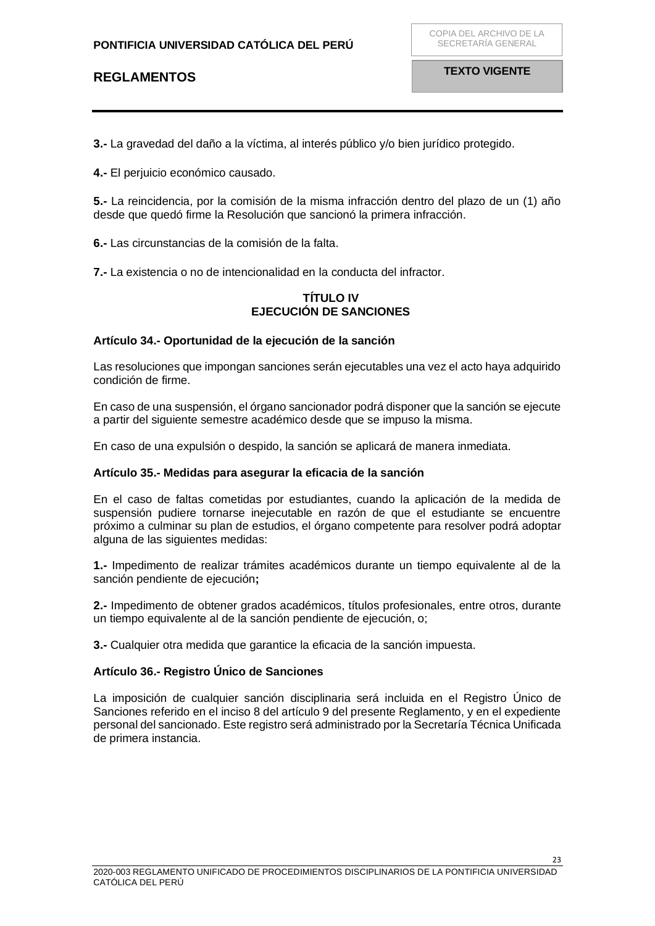**3.-** La gravedad del daño a la víctima, al interés público y/o bien jurídico protegido.

**4.-** El perjuicio económico causado.

**5.-** La reincidencia, por la comisión de la misma infracción dentro del plazo de un (1) año desde que quedó firme la Resolución que sancionó la primera infracción.

**6.-** Las circunstancias de la comisión de la falta.

<span id="page-22-0"></span>**7.-** La existencia o no de intencionalidad en la conducta del infractor.

## **TÍTULO IV EJECUCIÓN DE SANCIONES**

## <span id="page-22-2"></span><span id="page-22-1"></span>**Artículo 34.- Oportunidad de la ejecución de la sanción**

Las resoluciones que impongan sanciones serán ejecutables una vez el acto haya adquirido condición de firme.

En caso de una suspensión, el órgano sancionador podrá disponer que la sanción se ejecute a partir del siguiente semestre académico desde que se impuso la misma.

En caso de una expulsión o despido, la sanción se aplicará de manera inmediata.

### <span id="page-22-3"></span>**Artículo 35.- Medidas para asegurar la eficacia de la sanción**

En el caso de faltas cometidas por estudiantes, cuando la aplicación de la medida de suspensión pudiere tornarse inejecutable en razón de que el estudiante se encuentre próximo a culminar su plan de estudios, el órgano competente para resolver podrá adoptar alguna de las siguientes medidas:

**1.-** Impedimento de realizar trámites académicos durante un tiempo equivalente al de la sanción pendiente de ejecución**;** 

**2.-** Impedimento de obtener grados académicos, títulos profesionales, entre otros, durante un tiempo equivalente al de la sanción pendiente de ejecución, o;

**3.-** Cualquier otra medida que garantice la eficacia de la sanción impuesta.

### <span id="page-22-4"></span>**Artículo 36.- Registro Único de Sanciones**

La imposición de cualquier sanción disciplinaria será incluida en el Registro Único de Sanciones referido en el inciso 8 del artículo 9 del presente Reglamento, y en el expediente personal del sancionado. Este registro será administrado por la Secretaría Técnica Unificada de primera instancia.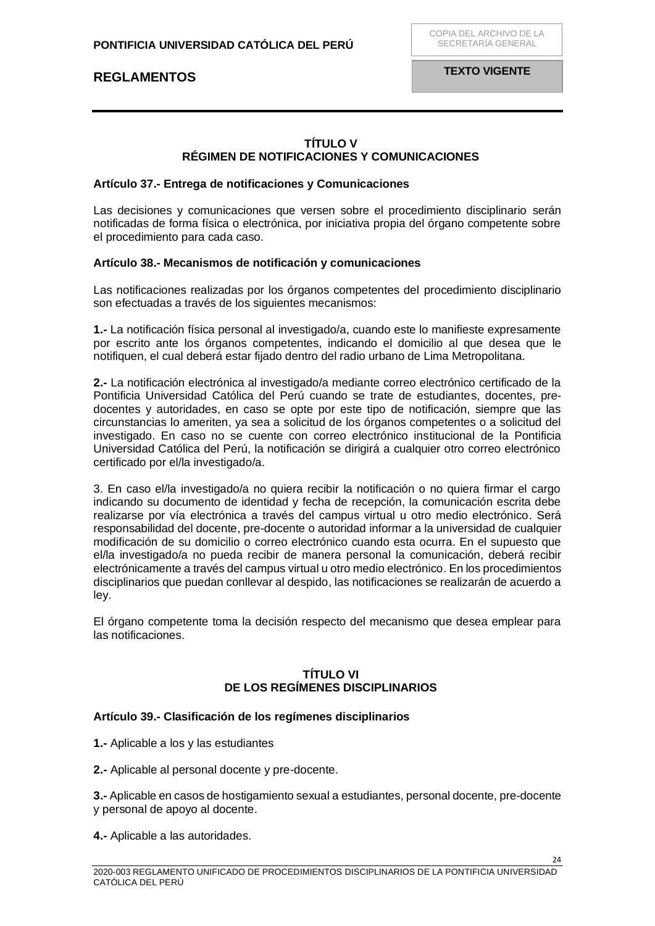**TEXTO VIGENTE**

## **TÍTULO V RÉGIMEN DE NOTIFICACIONES Y COMUNICACIONES**

#### <span id="page-23-2"></span><span id="page-23-1"></span><span id="page-23-0"></span>**Artículo 37.- Entrega de notificaciones y Comunicaciones**

Las decisiones y comunicaciones que versen sobre el procedimiento disciplinario serán notificadas de forma física o electrónica, por iniciativa propia del órgano competente sobre el procedimiento para cada caso.

#### <span id="page-23-3"></span>**Artículo 38.- Mecanismos de notificación y comunicaciones**

Las notificaciones realizadas por los órganos competentes del procedimiento disciplinario son efectuadas a través de los siguientes mecanismos:

**1.-** La notificación física personal al investigado/a, cuando este lo manifieste expresamente por escrito ante los órganos competentes, indicando el domicilio al que desea que le notifiquen, el cual deberá estar fijado dentro del radio urbano de Lima Metropolitana.

**2.-** La notificación electrónica al investigado/a mediante correo electrónico certificado de la Pontificia Universidad Católica del Perú cuando se trate de estudiantes, docentes, predocentes y autoridades, en caso se opte por este tipo de notificación, siempre que las circunstancias lo ameriten, ya sea a solicitud de los órganos competentes o a solicitud del investigado. En caso no se cuente con correo electrónico institucional de la Pontificia Universidad Católica del Perú, la notificación se dirigirá a cualquier otro correo electrónico certificado por el/la investigado/a.

3. En caso el/la investigado/a no quiera recibir la notificación o no quiera firmar el cargo indicando su documento de identidad y fecha de recepción, la comunicación escrita debe realizarse por vía electrónica a través del campus virtual u otro medio electrónico. Será responsabilidad del docente, pre-docente o autoridad informar a la universidad de cualquier modificación de su domicilio o correo electrónico cuando esta ocurra. En el supuesto que el/la investigado/a no pueda recibir de manera personal la comunicación, deberá recibir electrónicamente a través del campus virtual u otro medio electrónico. En los procedimientos disciplinarios que puedan conllevar al despido, las notificaciones se realizarán de acuerdo a ley.

El órgano competente toma la decisión respecto del mecanismo que desea emplear para las notificaciones.

### **TÍTULO VI DE LOS REGÍMENES DISCIPLINARIOS**

### <span id="page-23-6"></span><span id="page-23-5"></span><span id="page-23-4"></span>**Artículo 39.- Clasificación de los regímenes disciplinarios**

- **1.-** Aplicable a los y las estudiantes
- **2.-** Aplicable al personal docente y pre-docente.

**3.-** Aplicable en casos de hostigamiento sexual a estudiantes, personal docente, pre-docente y personal de apoyo al docente.

**4.-** Aplicable a las autoridades.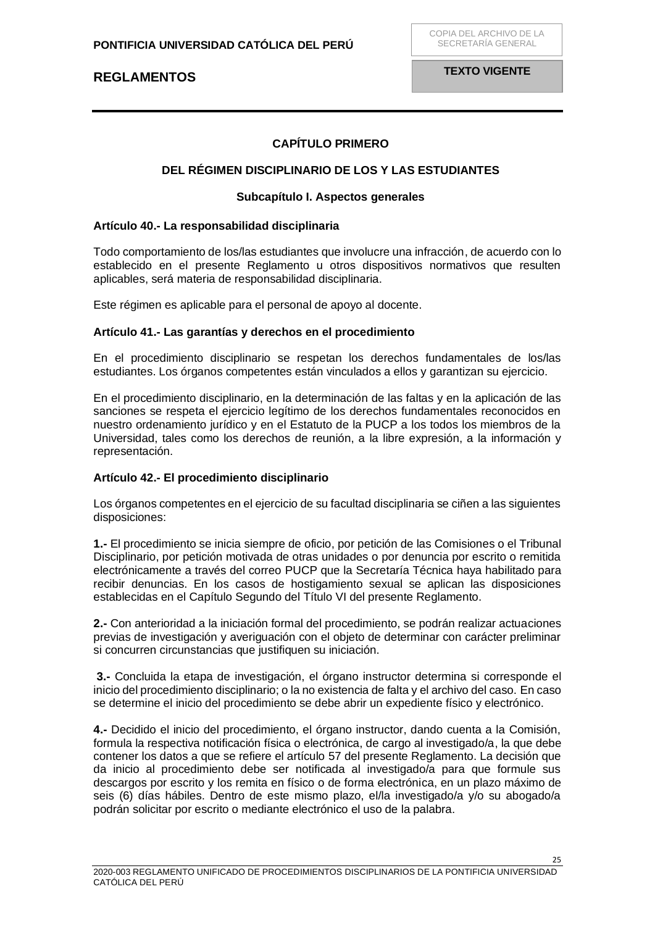**TEXTO VIGENTE**

## **CAPÍTULO PRIMERO**

### <span id="page-24-0"></span>**DEL RÉGIMEN DISCIPLINARIO DE LOS Y LAS ESTUDIANTES**

#### **Subcapítulo I. Aspectos generales**

#### <span id="page-24-3"></span><span id="page-24-2"></span><span id="page-24-1"></span>**Artículo 40.- La responsabilidad disciplinaria**

Todo comportamiento de los/las estudiantes que involucre una infracción, de acuerdo con lo establecido en el presente Reglamento u otros dispositivos normativos que resulten aplicables, será materia de responsabilidad disciplinaria.

Este régimen es aplicable para el personal de apoyo al docente.

#### <span id="page-24-4"></span>**Artículo 41.- Las garantías y derechos en el procedimiento**

En el procedimiento disciplinario se respetan los derechos fundamentales de los/las estudiantes. Los órganos competentes están vinculados a ellos y garantizan su ejercicio.

En el procedimiento disciplinario, en la determinación de las faltas y en la aplicación de las sanciones se respeta el ejercicio legítimo de los derechos fundamentales reconocidos en nuestro ordenamiento jurídico y en el Estatuto de la PUCP a los todos los miembros de la Universidad, tales como los derechos de reunión, a la libre expresión, a la información y representación.

### <span id="page-24-5"></span>**Artículo 42.- El procedimiento disciplinario**

Los órganos competentes en el ejercicio de su facultad disciplinaria se ciñen a las siguientes disposiciones:

**1.-** El procedimiento se inicia siempre de oficio, por petición de las Comisiones o el Tribunal Disciplinario, por petición motivada de otras unidades o por denuncia por escrito o remitida electrónicamente a través del correo PUCP que la Secretaría Técnica haya habilitado para recibir denuncias. En los casos de hostigamiento sexual se aplican las disposiciones establecidas en el Capítulo Segundo del Título VI del presente Reglamento.

**2.-** Con anterioridad a la iniciación formal del procedimiento, se podrán realizar actuaciones previas de investigación y averiguación con el objeto de determinar con carácter preliminar si concurren circunstancias que justifiquen su iniciación.

**3.-** Concluida la etapa de investigación, el órgano instructor determina si corresponde el inicio del procedimiento disciplinario; o la no existencia de falta y el archivo del caso. En caso se determine el inicio del procedimiento se debe abrir un expediente físico y electrónico.

**4.-** Decidido el inicio del procedimiento, el órgano instructor, dando cuenta a la Comisión, formula la respectiva notificación física o electrónica, de cargo al investigado/a, la que debe contener los datos a que se refiere el artículo 57 del presente Reglamento. La decisión que da inicio al procedimiento debe ser notificada al investigado/a para que formule sus descargos por escrito y los remita en físico o de forma electrónica, en un plazo máximo de seis (6) días hábiles. Dentro de este mismo plazo, el/la investigado/a y/o su abogado/a podrán solicitar por escrito o mediante electrónico el uso de la palabra.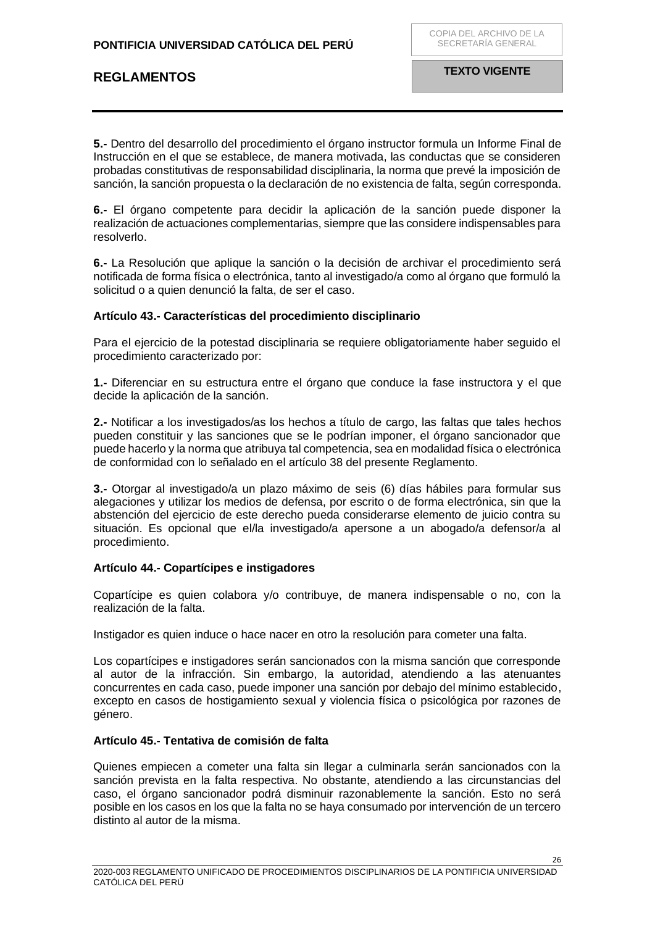**5.-** Dentro del desarrollo del procedimiento el órgano instructor formula un Informe Final de Instrucción en el que se establece, de manera motivada, las conductas que se consideren probadas constitutivas de responsabilidad disciplinaria, la norma que prevé la imposición de sanción, la sanción propuesta o la declaración de no existencia de falta, según corresponda.

**6.-** El órgano competente para decidir la aplicación de la sanción puede disponer la realización de actuaciones complementarias, siempre que las considere indispensables para resolverlo.

**6.-** La Resolución que aplique la sanción o la decisión de archivar el procedimiento será notificada de forma física o electrónica, tanto al investigado/a como al órgano que formuló la solicitud o a quien denunció la falta, de ser el caso.

### <span id="page-25-0"></span>**Artículo 43.- Características del procedimiento disciplinario**

Para el ejercicio de la potestad disciplinaria se requiere obligatoriamente haber seguido el procedimiento caracterizado por:

**1.-** Diferenciar en su estructura entre el órgano que conduce la fase instructora y el que decide la aplicación de la sanción.

**2.-** Notificar a los investigados/as los hechos a título de cargo, las faltas que tales hechos pueden constituir y las sanciones que se le podrían imponer, el órgano sancionador que puede hacerlo y la norma que atribuya tal competencia, sea en modalidad física o electrónica de conformidad con lo señalado en el artículo 38 del presente Reglamento.

**3.-** Otorgar al investigado/a un plazo máximo de seis (6) días hábiles para formular sus alegaciones y utilizar los medios de defensa, por escrito o de forma electrónica, sin que la abstención del ejercicio de este derecho pueda considerarse elemento de juicio contra su situación. Es opcional que el/la investigado/a apersone a un abogado/a defensor/a al procedimiento.

### <span id="page-25-1"></span>**Artículo 44.- Copartícipes e instigadores**

Copartícipe es quien colabora y/o contribuye, de manera indispensable o no, con la realización de la falta.

Instigador es quien induce o hace nacer en otro la resolución para cometer una falta.

Los copartícipes e instigadores serán sancionados con la misma sanción que corresponde al autor de la infracción. Sin embargo, la autoridad, atendiendo a las atenuantes concurrentes en cada caso, puede imponer una sanción por debajo del mínimo establecido, excepto en casos de hostigamiento sexual y violencia física o psicológica por razones de género.

### <span id="page-25-2"></span>**Artículo 45.- Tentativa de comisión de falta**

Quienes empiecen a cometer una falta sin llegar a culminarla serán sancionados con la sanción prevista en la falta respectiva. No obstante, atendiendo a las circunstancias del caso, el órgano sancionador podrá disminuir razonablemente la sanción. Esto no será posible en los casos en los que la falta no se haya consumado por intervención de un tercero distinto al autor de la misma.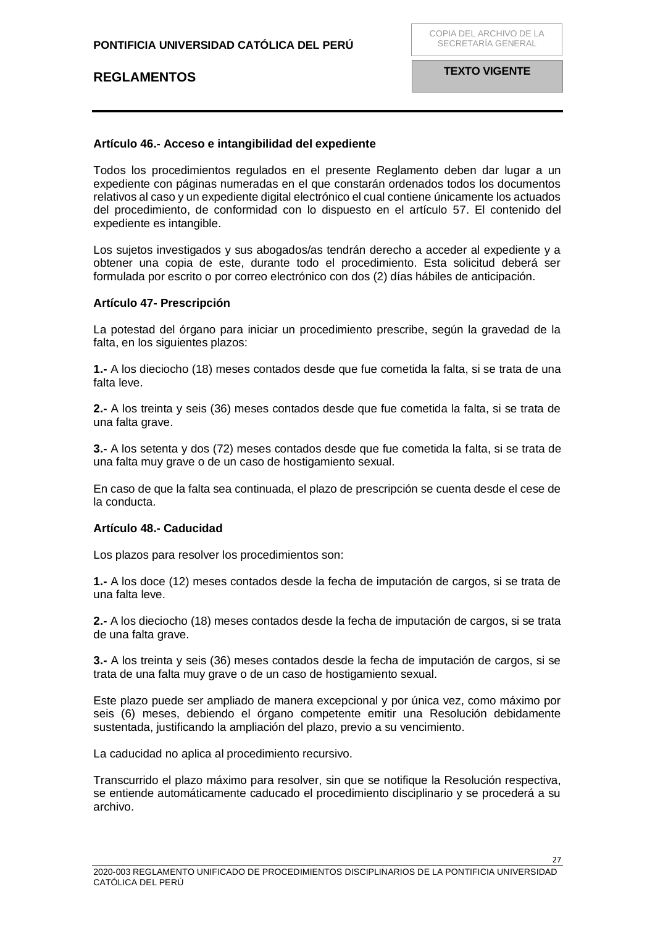### <span id="page-26-0"></span>**Artículo 46.- Acceso e intangibilidad del expediente**

Todos los procedimientos regulados en el presente Reglamento deben dar lugar a un expediente con páginas numeradas en el que constarán ordenados todos los documentos relativos al caso y un expediente digital electrónico el cual contiene únicamente los actuados del procedimiento, de conformidad con lo dispuesto en el artículo 57. El contenido del expediente es intangible.

Los sujetos investigados y sus abogados/as tendrán derecho a acceder al expediente y a obtener una copia de este, durante todo el procedimiento. Esta solicitud deberá ser formulada por escrito o por correo electrónico con dos (2) días hábiles de anticipación.

### <span id="page-26-1"></span>**Artículo 47- Prescripción**

La potestad del órgano para iniciar un procedimiento prescribe, según la gravedad de la falta, en los siguientes plazos:

**1.-** A los dieciocho (18) meses contados desde que fue cometida la falta, si se trata de una falta leve.

**2.-** A los treinta y seis (36) meses contados desde que fue cometida la falta, si se trata de una falta grave.

**3.-** A los setenta y dos (72) meses contados desde que fue cometida la falta, si se trata de una falta muy grave o de un caso de hostigamiento sexual.

En caso de que la falta sea continuada, el plazo de prescripción se cuenta desde el cese de la conducta.

### <span id="page-26-2"></span>**Artículo 48.- Caducidad**

Los plazos para resolver los procedimientos son:

**1.-** A los doce (12) meses contados desde la fecha de imputación de cargos, si se trata de una falta leve.

**2.-** A los dieciocho (18) meses contados desde la fecha de imputación de cargos, si se trata de una falta grave.

**3.-** A los treinta y seis (36) meses contados desde la fecha de imputación de cargos, si se trata de una falta muy grave o de un caso de hostigamiento sexual.

Este plazo puede ser ampliado de manera excepcional y por única vez, como máximo por seis (6) meses, debiendo el órgano competente emitir una Resolución debidamente sustentada, justificando la ampliación del plazo, previo a su vencimiento.

La caducidad no aplica al procedimiento recursivo.

Transcurrido el plazo máximo para resolver, sin que se notifique la Resolución respectiva, se entiende automáticamente caducado el procedimiento disciplinario y se procederá a su archivo.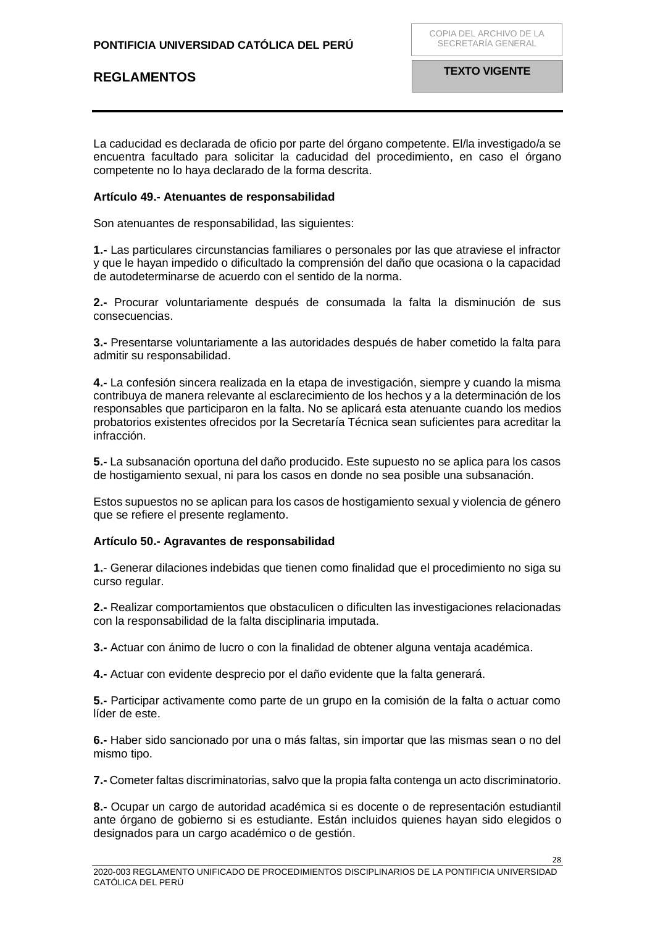La caducidad es declarada de oficio por parte del órgano competente. El/la investigado/a se encuentra facultado para solicitar la caducidad del procedimiento, en caso el órgano competente no lo haya declarado de la forma descrita.

#### <span id="page-27-0"></span>**Artículo 49.- Atenuantes de responsabilidad**

Son atenuantes de responsabilidad, las siguientes:

**1.-** Las particulares circunstancias familiares o personales por las que atraviese el infractor y que le hayan impedido o dificultado la comprensión del daño que ocasiona o la capacidad de autodeterminarse de acuerdo con el sentido de la norma.

**2.-** Procurar voluntariamente después de consumada la falta la disminución de sus consecuencias.

**3.-** Presentarse voluntariamente a las autoridades después de haber cometido la falta para admitir su responsabilidad.

**4.-** La confesión sincera realizada en la etapa de investigación, siempre y cuando la misma contribuya de manera relevante al esclarecimiento de los hechos y a la determinación de los responsables que participaron en la falta. No se aplicará esta atenuante cuando los medios probatorios existentes ofrecidos por la Secretaría Técnica sean suficientes para acreditar la infracción.

**5.-** La subsanación oportuna del daño producido. Este supuesto no se aplica para los casos de hostigamiento sexual, ni para los casos en donde no sea posible una subsanación.

Estos supuestos no se aplican para los casos de hostigamiento sexual y violencia de género que se refiere el presente reglamento.

#### <span id="page-27-1"></span>**Artículo 50.- Agravantes de responsabilidad**

**1.**- Generar dilaciones indebidas que tienen como finalidad que el procedimiento no siga su curso regular.

**2.-** Realizar comportamientos que obstaculicen o dificulten las investigaciones relacionadas con la responsabilidad de la falta disciplinaria imputada.

**3.-** Actuar con ánimo de lucro o con la finalidad de obtener alguna ventaja académica.

**4.-** Actuar con evidente desprecio por el daño evidente que la falta generará.

**5.-** Participar activamente como parte de un grupo en la comisión de la falta o actuar como líder de este.

**6.-** Haber sido sancionado por una o más faltas, sin importar que las mismas sean o no del mismo tipo.

**7.-** Cometer faltas discriminatorias, salvo que la propia falta contenga un acto discriminatorio.

**8.-** Ocupar un cargo de autoridad académica si es docente o de representación estudiantil ante órgano de gobierno si es estudiante. Están incluidos quienes hayan sido elegidos o designados para un cargo académico o de gestión.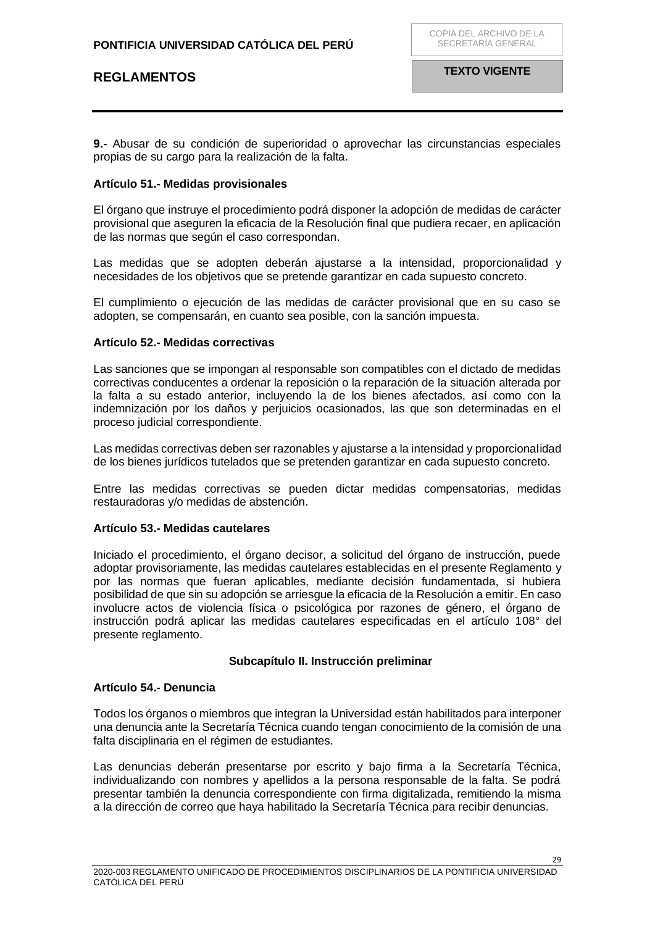**9.-** Abusar de su condición de superioridad o aprovechar las circunstancias especiales propias de su cargo para la realización de la falta.

### <span id="page-28-0"></span>**Artículo 51.- Medidas provisionales**

El órgano que instruye el procedimiento podrá disponer la adopción de medidas de carácter provisional que aseguren la eficacia de la Resolución final que pudiera recaer, en aplicación de las normas que según el caso correspondan.

Las medidas que se adopten deberán ajustarse a la intensidad, proporcionalidad y necesidades de los objetivos que se pretende garantizar en cada supuesto concreto.

El cumplimiento o ejecución de las medidas de carácter provisional que en su caso se adopten, se compensarán, en cuanto sea posible, con la sanción impuesta.

#### <span id="page-28-1"></span>**Artículo 52.- Medidas correctivas**

Las sanciones que se impongan al responsable son compatibles con el dictado de medidas correctivas conducentes a ordenar la reposición o la reparación de la situación alterada por la falta a su estado anterior, incluyendo la de los bienes afectados, así como con la indemnización por los daños y perjuicios ocasionados, las que son determinadas en el proceso judicial correspondiente.

Las medidas correctivas deben ser razonables y ajustarse a la intensidad y proporcionalidad de los bienes jurídicos tutelados que se pretenden garantizar en cada supuesto concreto.

Entre las medidas correctivas se pueden dictar medidas compensatorias, medidas restauradoras y/o medidas de abstención.

### <span id="page-28-2"></span>**Artículo 53.- Medidas cautelares**

Iniciado el procedimiento, el órgano decisor, a solicitud del órgano de instrucción, puede adoptar provisoriamente, las medidas cautelares establecidas en el presente Reglamento y por las normas que fueran aplicables, mediante decisión fundamentada, si hubiera posibilidad de que sin su adopción se arriesgue la eficacia de la Resolución a emitir. En caso involucre actos de violencia física o psicológica por razones de género, el órgano de instrucción podrá aplicar las medidas cautelares especificadas en el artículo 108° del presente reglamento.

### **Subcapítulo II. Instrucción preliminar**

#### <span id="page-28-4"></span><span id="page-28-3"></span>**Artículo 54.- Denuncia**

Todos los órganos o miembros que integran la Universidad están habilitados para interponer una denuncia ante la Secretaría Técnica cuando tengan conocimiento de la comisión de una falta disciplinaria en el régimen de estudiantes.

Las denuncias deberán presentarse por escrito y bajo firma a la Secretaría Técnica, individualizando con nombres y apellidos a la persona responsable de la falta. Se podrá presentar también la denuncia correspondiente con firma digitalizada, remitiendo la misma a la dirección de correo que haya habilitado la Secretaría Técnica para recibir denuncias.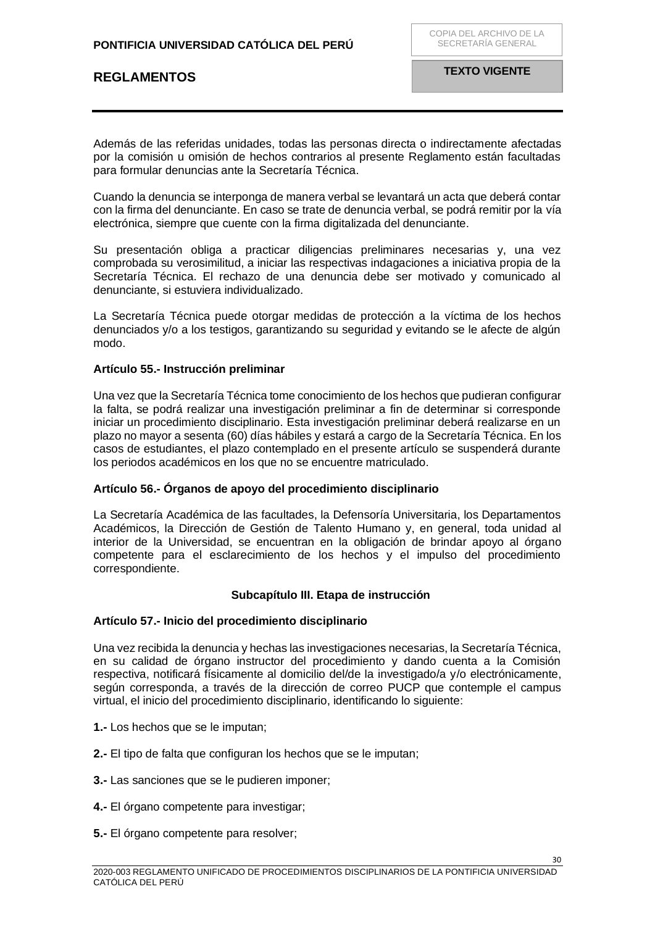Además de las referidas unidades, todas las personas directa o indirectamente afectadas por la comisión u omisión de hechos contrarios al presente Reglamento están facultadas para formular denuncias ante la Secretaría Técnica.

Cuando la denuncia se interponga de manera verbal se levantará un acta que deberá contar con la firma del denunciante. En caso se trate de denuncia verbal, se podrá remitir por la vía electrónica, siempre que cuente con la firma digitalizada del denunciante.

Su presentación obliga a practicar diligencias preliminares necesarias y, una vez comprobada su verosimilitud, a iniciar las respectivas indagaciones a iniciativa propia de la Secretaría Técnica. El rechazo de una denuncia debe ser motivado y comunicado al denunciante, si estuviera individualizado.

La Secretaría Técnica puede otorgar medidas de protección a la víctima de los hechos denunciados y/o a los testigos, garantizando su seguridad y evitando se le afecte de algún modo.

### <span id="page-29-0"></span>**Artículo 55.- Instrucción preliminar**

Una vez que la Secretaría Técnica tome conocimiento de los hechos que pudieran configurar la falta, se podrá realizar una investigación preliminar a fin de determinar si corresponde iniciar un procedimiento disciplinario. Esta investigación preliminar deberá realizarse en un plazo no mayor a sesenta (60) días hábiles y estará a cargo de la Secretaría Técnica. En los casos de estudiantes, el plazo contemplado en el presente artículo se suspenderá durante los periodos académicos en los que no se encuentre matriculado.

### <span id="page-29-1"></span>**Artículo 56.- Órganos de apoyo del procedimiento disciplinario**

La Secretaría Académica de las facultades, la Defensoría Universitaria, los Departamentos Académicos, la Dirección de Gestión de Talento Humano y, en general, toda unidad al interior de la Universidad, se encuentran en la obligación de brindar apoyo al órgano competente para el esclarecimiento de los hechos y el impulso del procedimiento correspondiente.

### **Subcapítulo III. Etapa de instrucción**

### <span id="page-29-3"></span><span id="page-29-2"></span>**Artículo 57.- Inicio del procedimiento disciplinario**

Una vez recibida la denuncia y hechas las investigaciones necesarias, la Secretaría Técnica, en su calidad de órgano instructor del procedimiento y dando cuenta a la Comisión respectiva, notificará físicamente al domicilio del/de la investigado/a y/o electrónicamente, según corresponda, a través de la dirección de correo PUCP que contemple el campus virtual, el inicio del procedimiento disciplinario, identificando lo siguiente:

- **1.-** Los hechos que se le imputan;
- **2.-** El tipo de falta que configuran los hechos que se le imputan;
- **3.-** Las sanciones que se le pudieren imponer;
- **4.-** El órgano competente para investigar;
- **5.-** El órgano competente para resolver;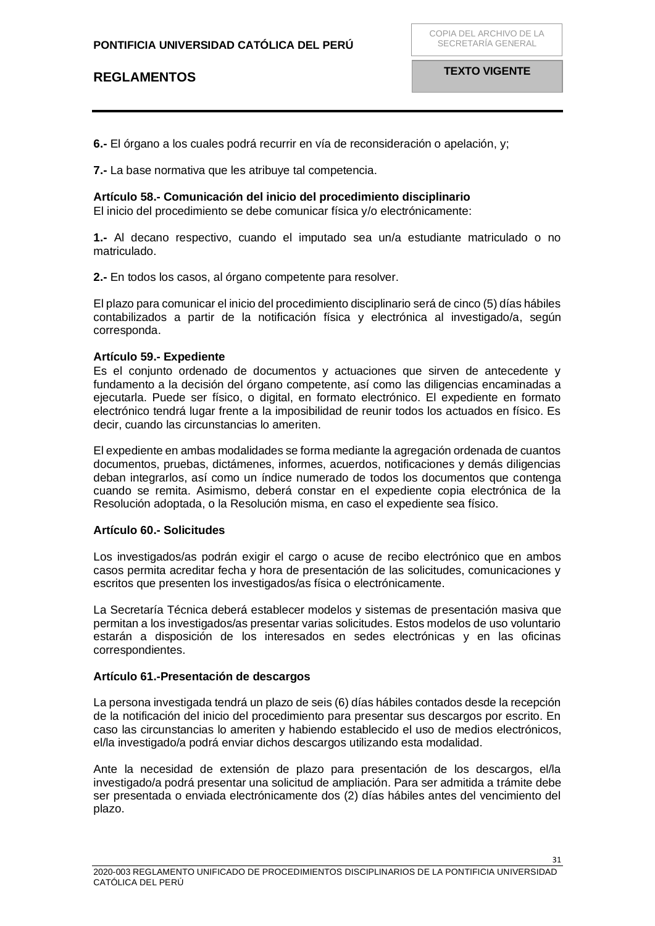COPIA DEL ARCHIVO DE LA SECRETARÍA GENERAL

**6.-** El órgano a los cuales podrá recurrir en vía de reconsideración o apelación, y;

**7.-** La base normativa que les atribuye tal competencia.

### <span id="page-30-0"></span>**Artículo 58.- Comunicación del inicio del procedimiento disciplinario**

El inicio del procedimiento se debe comunicar física y/o electrónicamente:

**1.-** Al decano respectivo, cuando el imputado sea un/a estudiante matriculado o no matriculado.

**2.-** En todos los casos, al órgano competente para resolver.

El plazo para comunicar el inicio del procedimiento disciplinario será de cinco (5) días hábiles contabilizados a partir de la notificación física y electrónica al investigado/a, según corresponda.

### <span id="page-30-1"></span>**Artículo 59.- Expediente**

Es el conjunto ordenado de documentos y actuaciones que sirven de antecedente y fundamento a la decisión del órgano competente, así como las diligencias encaminadas a ejecutarla. Puede ser físico, o digital, en formato electrónico. El expediente en formato electrónico tendrá lugar frente a la imposibilidad de reunir todos los actuados en físico. Es decir, cuando las circunstancias lo ameriten.

El expediente en ambas modalidades se forma mediante la agregación ordenada de cuantos documentos, pruebas, dictámenes, informes, acuerdos, notificaciones y demás diligencias deban integrarlos, así como un índice numerado de todos los documentos que contenga cuando se remita. Asimismo, deberá constar en el expediente copia electrónica de la Resolución adoptada, o la Resolución misma, en caso el expediente sea físico.

### <span id="page-30-2"></span>**Artículo 60.- Solicitudes**

Los investigados/as podrán exigir el cargo o acuse de recibo electrónico que en ambos casos permita acreditar fecha y hora de presentación de las solicitudes, comunicaciones y escritos que presenten los investigados/as física o electrónicamente.

La Secretaría Técnica deberá establecer modelos y sistemas de presentación masiva que permitan a los investigados/as presentar varias solicitudes. Estos modelos de uso voluntario estarán a disposición de los interesados en sedes electrónicas y en las oficinas correspondientes.

### <span id="page-30-3"></span>**Artículo 61.-Presentación de descargos**

La persona investigada tendrá un plazo de seis (6) días hábiles contados desde la recepción de la notificación del inicio del procedimiento para presentar sus descargos por escrito. En caso las circunstancias lo ameriten y habiendo establecido el uso de medios electrónicos, el/la investigado/a podrá enviar dichos descargos utilizando esta modalidad.

Ante la necesidad de extensión de plazo para presentación de los descargos, el/la investigado/a podrá presentar una solicitud de ampliación. Para ser admitida a trámite debe ser presentada o enviada electrónicamente dos (2) días hábiles antes del vencimiento del plazo.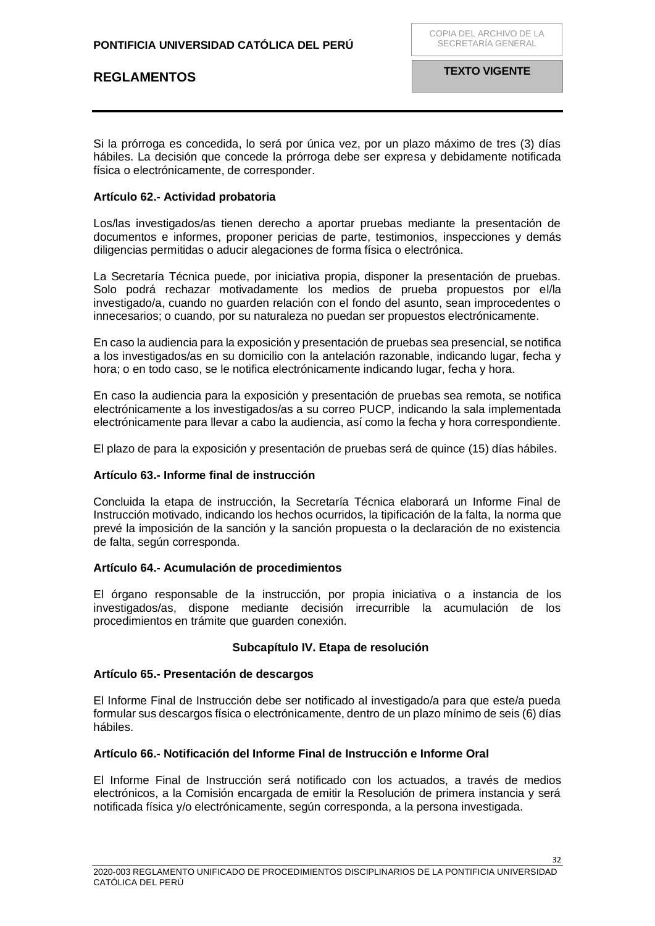Si la prórroga es concedida, lo será por única vez, por un plazo máximo de tres (3) días hábiles. La decisión que concede la prórroga debe ser expresa y debidamente notificada física o electrónicamente, de corresponder.

### <span id="page-31-0"></span>**Artículo 62.- Actividad probatoria**

Los/las investigados/as tienen derecho a aportar pruebas mediante la presentación de documentos e informes, proponer pericias de parte, testimonios, inspecciones y demás diligencias permitidas o aducir alegaciones de forma física o electrónica.

La Secretaría Técnica puede, por iniciativa propia, disponer la presentación de pruebas. Solo podrá rechazar motivadamente los medios de prueba propuestos por el/la investigado/a, cuando no guarden relación con el fondo del asunto, sean improcedentes o innecesarios; o cuando, por su naturaleza no puedan ser propuestos electrónicamente.

En caso la audiencia para la exposición y presentación de pruebas sea presencial, se notifica a los investigados/as en su domicilio con la antelación razonable, indicando lugar, fecha y hora; o en todo caso, se le notifica electrónicamente indicando lugar, fecha y hora.

En caso la audiencia para la exposición y presentación de pruebas sea remota, se notifica electrónicamente a los investigados/as a su correo PUCP, indicando la sala implementada electrónicamente para llevar a cabo la audiencia, así como la fecha y hora correspondiente.

El plazo de para la exposición y presentación de pruebas será de quince (15) días hábiles.

### <span id="page-31-1"></span>**Artículo 63.- Informe final de instrucción**

Concluida la etapa de instrucción, la Secretaría Técnica elaborará un Informe Final de Instrucción motivado, indicando los hechos ocurridos, la tipificación de la falta, la norma que prevé la imposición de la sanción y la sanción propuesta o la declaración de no existencia de falta, según corresponda.

### <span id="page-31-2"></span>**Artículo 64.- Acumulación de procedimientos**

El órgano responsable de la instrucción, por propia iniciativa o a instancia de los investigados/as, dispone mediante decisión irrecurrible la acumulación de los procedimientos en trámite que guarden conexión.

### **Subcapítulo IV. Etapa de resolución**

### <span id="page-31-4"></span><span id="page-31-3"></span>**Artículo 65.- Presentación de descargos**

El Informe Final de Instrucción debe ser notificado al investigado/a para que este/a pueda formular sus descargos física o electrónicamente, dentro de un plazo mínimo de seis (6) días hábiles.

### <span id="page-31-5"></span>**Artículo 66.- Notificación del Informe Final de Instrucción e Informe Oral**

El Informe Final de Instrucción será notificado con los actuados, a través de medios electrónicos, a la Comisión encargada de emitir la Resolución de primera instancia y será notificada física y/o electrónicamente, según corresponda, a la persona investigada.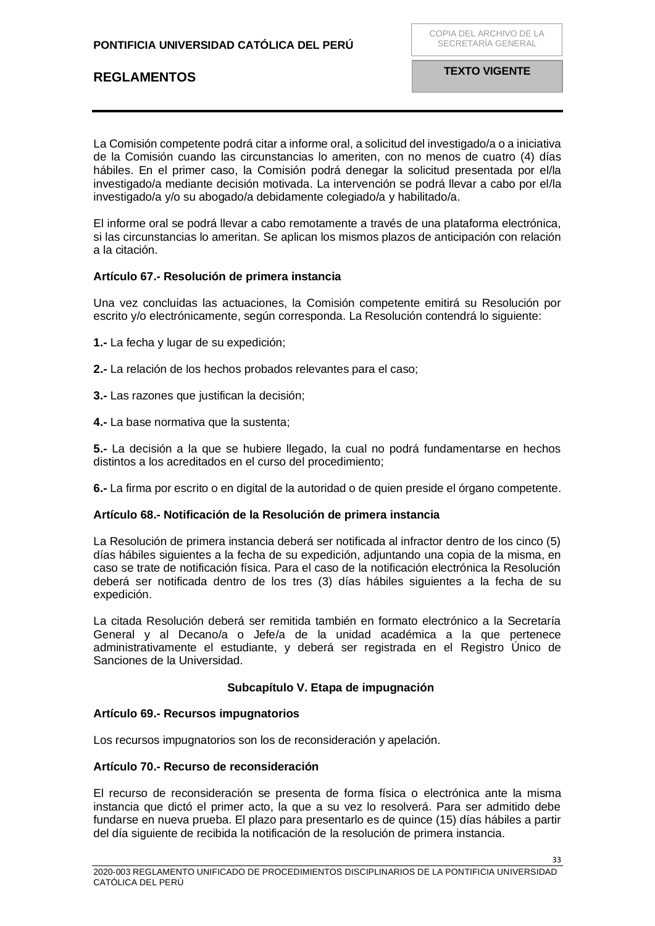La Comisión competente podrá citar a informe oral, a solicitud del investigado/a o a iniciativa de la Comisión cuando las circunstancias lo ameriten, con no menos de cuatro (4) días hábiles. En el primer caso, la Comisión podrá denegar la solicitud presentada por el/la investigado/a mediante decisión motivada. La intervención se podrá llevar a cabo por el/la investigado/a y/o su abogado/a debidamente colegiado/a y habilitado/a.

El informe oral se podrá llevar a cabo remotamente a través de una plataforma electrónica, si las circunstancias lo ameritan. Se aplican los mismos plazos de anticipación con relación a la citación.

### <span id="page-32-0"></span>**Artículo 67.- Resolución de primera instancia**

Una vez concluidas las actuaciones, la Comisión competente emitirá su Resolución por escrito y/o electrónicamente, según corresponda. La Resolución contendrá lo siguiente:

- **1.-** La fecha y lugar de su expedición;
- **2.-** La relación de los hechos probados relevantes para el caso;
- **3.-** Las razones que justifican la decisión;
- **4.-** La base normativa que la sustenta;

**5.-** La decisión a la que se hubiere llegado, la cual no podrá fundamentarse en hechos distintos a los acreditados en el curso del procedimiento;

**6.-** La firma por escrito o en digital de la autoridad o de quien preside el órgano competente.

### <span id="page-32-1"></span>**Artículo 68.- Notificación de la Resolución de primera instancia**

La Resolución de primera instancia deberá ser notificada al infractor dentro de los cinco (5) días hábiles siguientes a la fecha de su expedición, adjuntando una copia de la misma, en caso se trate de notificación física. Para el caso de la notificación electrónica la Resolución deberá ser notificada dentro de los tres (3) días hábiles siguientes a la fecha de su expedición.

La citada Resolución deberá ser remitida también en formato electrónico a la Secretaría General y al Decano/a o Jefe/a de la unidad académica a la que pertenece administrativamente el estudiante, y deberá ser registrada en el Registro Único de Sanciones de la Universidad.

### **Subcapítulo V. Etapa de impugnación**

### <span id="page-32-3"></span><span id="page-32-2"></span>**Artículo 69.- Recursos impugnatorios**

Los recursos impugnatorios son los de reconsideración y apelación.

### <span id="page-32-4"></span>**Artículo 70.- Recurso de reconsideración**

El recurso de reconsideración se presenta de forma física o electrónica ante la misma instancia que dictó el primer acto, la que a su vez lo resolverá. Para ser admitido debe fundarse en nueva prueba. El plazo para presentarlo es de quince (15) días hábiles a partir del día siguiente de recibida la notificación de la resolución de primera instancia.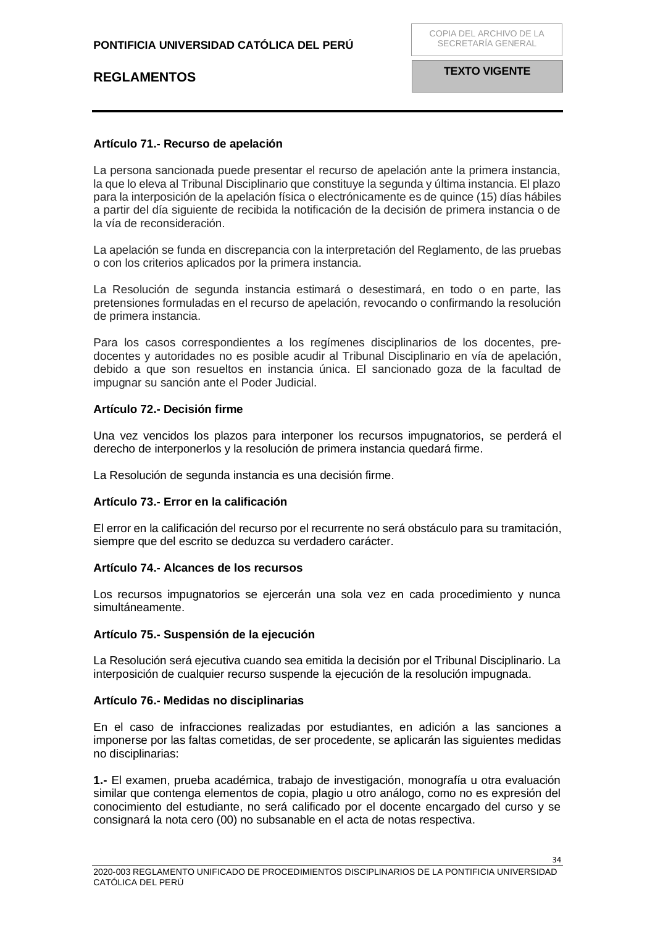### <span id="page-33-0"></span>**Artículo 71.- Recurso de apelación**

La persona sancionada puede presentar el recurso de apelación ante la primera instancia, la que lo eleva al Tribunal Disciplinario que constituye la segunda y última instancia. El plazo para la interposición de la apelación física o electrónicamente es de quince (15) días hábiles a partir del día siguiente de recibida la notificación de la decisión de primera instancia o de la vía de reconsideración.

La apelación se funda en discrepancia con la interpretación del Reglamento, de las pruebas o con los criterios aplicados por la primera instancia.

La Resolución de segunda instancia estimará o desestimará, en todo o en parte, las pretensiones formuladas en el recurso de apelación, revocando o confirmando la resolución de primera instancia.

Para los casos correspondientes a los regímenes disciplinarios de los docentes, predocentes y autoridades no es posible acudir al Tribunal Disciplinario en vía de apelación, debido a que son resueltos en instancia única. El sancionado goza de la facultad de impugnar su sanción ante el Poder Judicial.

### <span id="page-33-1"></span>**Artículo 72.- Decisión firme**

Una vez vencidos los plazos para interponer los recursos impugnatorios, se perderá el derecho de interponerlos y la resolución de primera instancia quedará firme.

La Resolución de segunda instancia es una decisión firme.

### <span id="page-33-2"></span>**Artículo 73.- Error en la calificación**

El error en la calificación del recurso por el recurrente no será obstáculo para su tramitación, siempre que del escrito se deduzca su verdadero carácter.

### <span id="page-33-3"></span>**Artículo 74.- Alcances de los recursos**

Los recursos impugnatorios se ejercerán una sola vez en cada procedimiento y nunca simultáneamente.

### <span id="page-33-4"></span>**Artículo 75.- Suspensión de la ejecución**

La Resolución será ejecutiva cuando sea emitida la decisión por el Tribunal Disciplinario. La interposición de cualquier recurso suspende la ejecución de la resolución impugnada.

### <span id="page-33-5"></span>**Artículo 76.- Medidas no disciplinarias**

En el caso de infracciones realizadas por estudiantes, en adición a las sanciones a imponerse por las faltas cometidas, de ser procedente, se aplicarán las siguientes medidas no disciplinarias:

**1.-** El examen, prueba académica, trabajo de investigación, monografía u otra evaluación similar que contenga elementos de copia, plagio u otro análogo, como no es expresión del conocimiento del estudiante, no será calificado por el docente encargado del curso y se consignará la nota cero (00) no subsanable en el acta de notas respectiva.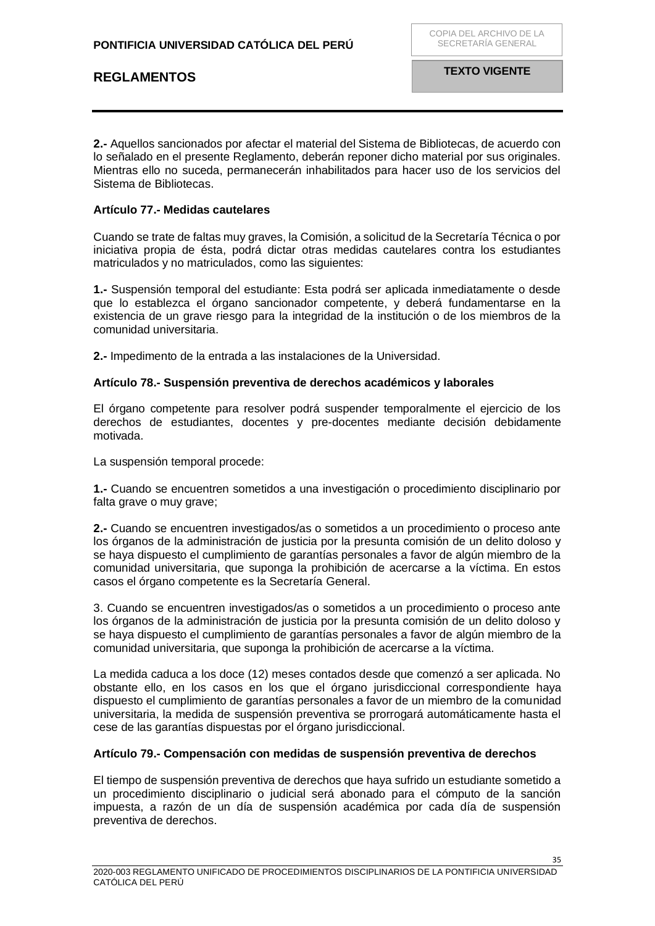**2.-** Aquellos sancionados por afectar el material del Sistema de Bibliotecas, de acuerdo con lo señalado en el presente Reglamento, deberán reponer dicho material por sus originales. Mientras ello no suceda, permanecerán inhabilitados para hacer uso de los servicios del Sistema de Bibliotecas.

### <span id="page-34-0"></span>**Artículo 77.- Medidas cautelares**

Cuando se trate de faltas muy graves, la Comisión, a solicitud de la Secretaría Técnica o por iniciativa propia de ésta, podrá dictar otras medidas cautelares contra los estudiantes matriculados y no matriculados, como las siguientes:

**1.-** Suspensión temporal del estudiante: Esta podrá ser aplicada inmediatamente o desde que lo establezca el órgano sancionador competente, y deberá fundamentarse en la existencia de un grave riesgo para la integridad de la institución o de los miembros de la comunidad universitaria.

**2.-** Impedimento de la entrada a las instalaciones de la Universidad.

### <span id="page-34-1"></span>**Artículo 78.- Suspensión preventiva de derechos académicos y laborales**

El órgano competente para resolver podrá suspender temporalmente el ejercicio de los derechos de estudiantes, docentes y pre-docentes mediante decisión debidamente motivada.

La suspensión temporal procede:

**1.-** Cuando se encuentren sometidos a una investigación o procedimiento disciplinario por falta grave o muy grave;

**2.-** Cuando se encuentren investigados/as o sometidos a un procedimiento o proceso ante los órganos de la administración de justicia por la presunta comisión de un delito doloso y se haya dispuesto el cumplimiento de garantías personales a favor de algún miembro de la comunidad universitaria, que suponga la prohibición de acercarse a la víctima. En estos casos el órgano competente es la Secretaría General.

3. Cuando se encuentren investigados/as o sometidos a un procedimiento o proceso ante los órganos de la administración de justicia por la presunta comisión de un delito doloso y se haya dispuesto el cumplimiento de garantías personales a favor de algún miembro de la comunidad universitaria, que suponga la prohibición de acercarse a la víctima.

La medida caduca a los doce (12) meses contados desde que comenzó a ser aplicada. No obstante ello, en los casos en los que el órgano jurisdiccional correspondiente haya dispuesto el cumplimiento de garantías personales a favor de un miembro de la comunidad universitaria, la medida de suspensión preventiva se prorrogará automáticamente hasta el cese de las garantías dispuestas por el órgano jurisdiccional.

### <span id="page-34-2"></span>**Artículo 79.- Compensación con medidas de suspensión preventiva de derechos**

El tiempo de suspensión preventiva de derechos que haya sufrido un estudiante sometido a un procedimiento disciplinario o judicial será abonado para el cómputo de la sanción impuesta, a razón de un día de suspensión académica por cada día de suspensión preventiva de derechos.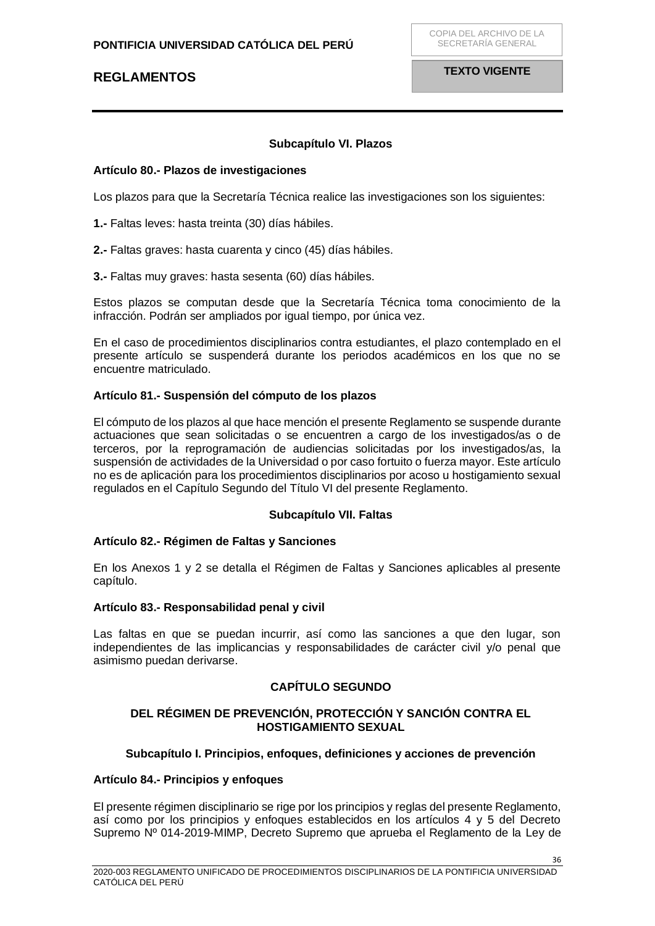## **Subcapítulo VI. Plazos**

#### <span id="page-35-1"></span><span id="page-35-0"></span>**Artículo 80.- Plazos de investigaciones**

Los plazos para que la Secretaría Técnica realice las investigaciones son los siguientes:

**1.-** Faltas leves: hasta treinta (30) días hábiles.

**2.-** Faltas graves: hasta cuarenta y cinco (45) días hábiles.

**3.-** Faltas muy graves: hasta sesenta (60) días hábiles.

Estos plazos se computan desde que la Secretaría Técnica toma conocimiento de la infracción. Podrán ser ampliados por igual tiempo, por única vez.

En el caso de procedimientos disciplinarios contra estudiantes, el plazo contemplado en el presente artículo se suspenderá durante los periodos académicos en los que no se encuentre matriculado.

#### <span id="page-35-2"></span>**Artículo 81.- Suspensión del cómputo de los plazos**

El cómputo de los plazos al que hace mención el presente Reglamento se suspende durante actuaciones que sean solicitadas o se encuentren a cargo de los investigados/as o de terceros, por la reprogramación de audiencias solicitadas por los investigados/as, la suspensión de actividades de la Universidad o por caso fortuito o fuerza mayor. Este artículo no es de aplicación para los procedimientos disciplinarios por acoso u hostigamiento sexual regulados en el Capítulo Segundo del Título VI del presente Reglamento.

### **Subcapítulo VII. Faltas**

#### <span id="page-35-4"></span><span id="page-35-3"></span>**Artículo 82.- Régimen de Faltas y Sanciones**

En los Anexos 1 y 2 se detalla el Régimen de Faltas y Sanciones aplicables al presente capítulo.

#### <span id="page-35-5"></span>**Artículo 83.- Responsabilidad penal y civil**

Las faltas en que se puedan incurrir, así como las sanciones a que den lugar, son independientes de las implicancias y responsabilidades de carácter civil y/o penal que asimismo puedan derivarse.

### **CAPÍTULO SEGUNDO**

### <span id="page-35-7"></span><span id="page-35-6"></span>**DEL RÉGIMEN DE PREVENCIÓN, PROTECCIÓN Y SANCIÓN CONTRA EL HOSTIGAMIENTO SEXUAL**

### **Subcapítulo I. Principios, enfoques, definiciones y acciones de prevención**

#### <span id="page-35-9"></span><span id="page-35-8"></span>**Artículo 84.- Principios y enfoques**

El presente régimen disciplinario se rige por los principios y reglas del presente Reglamento, así como por los principios y enfoques establecidos en los artículos 4 y 5 del Decreto Supremo Nº 014-2019-MIMP, Decreto Supremo que aprueba el Reglamento de la Ley de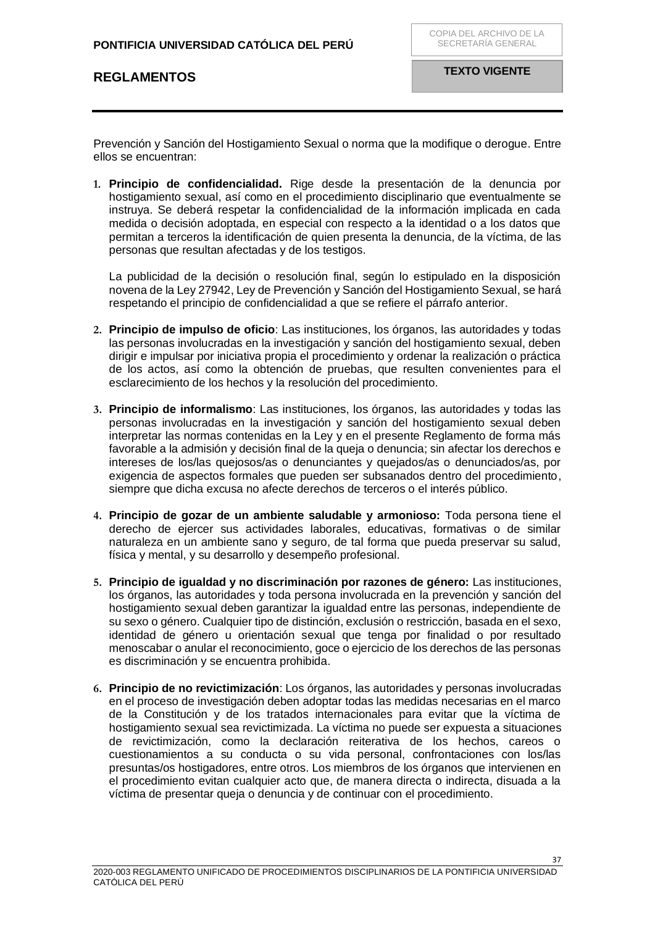Prevención y Sanción del Hostigamiento Sexual o norma que la modifique o derogue. Entre ellos se encuentran:

**1. Principio de confidencialidad.** Rige desde la presentación de la denuncia por hostigamiento sexual, así como en el procedimiento disciplinario que eventualmente se instruya. Se deberá respetar la confidencialidad de la información implicada en cada medida o decisión adoptada, en especial con respecto a la identidad o a los datos que permitan a terceros la identificación de quien presenta la denuncia, de la víctima, de las personas que resultan afectadas y de los testigos.

La publicidad de la decisión o resolución final, según lo estipulado en la disposición novena de la Ley 27942, Ley de Prevención y Sanción del Hostigamiento Sexual, se hará respetando el principio de confidencialidad a que se refiere el párrafo anterior.

- **2. Principio de impulso de oficio**: Las instituciones, los órganos, las autoridades y todas las personas involucradas en la investigación y sanción del hostigamiento sexual, deben dirigir e impulsar por iniciativa propia el procedimiento y ordenar la realización o práctica de los actos, así como la obtención de pruebas, que resulten convenientes para el esclarecimiento de los hechos y la resolución del procedimiento.
- **3. Principio de informalismo**: Las instituciones, los órganos, las autoridades y todas las personas involucradas en la investigación y sanción del hostigamiento sexual deben interpretar las normas contenidas en la Ley y en el presente Reglamento de forma más favorable a la admisión y decisión final de la queja o denuncia; sin afectar los derechos e intereses de los/las quejosos/as o denunciantes y quejados/as o denunciados/as, por exigencia de aspectos formales que pueden ser subsanados dentro del procedimiento, siempre que dicha excusa no afecte derechos de terceros o el interés público.
- **4. Principio de gozar de un ambiente saludable y armonioso:** Toda persona tiene el derecho de ejercer sus actividades laborales, educativas, formativas o de similar naturaleza en un ambiente sano y seguro, de tal forma que pueda preservar su salud, física y mental, y su desarrollo y desempeño profesional.
- **5. Principio de igualdad y no discriminación por razones de género:** Las instituciones, los órganos, las autoridades y toda persona involucrada en la prevención y sanción del hostigamiento sexual deben garantizar la igualdad entre las personas, independiente de su sexo o género. Cualquier tipo de distinción, exclusión o restricción, basada en el sexo, identidad de género u orientación sexual que tenga por finalidad o por resultado menoscabar o anular el reconocimiento, goce o ejercicio de los derechos de las personas es discriminación y se encuentra prohibida.
- **6. Principio de no revictimización**: Los órganos, las autoridades y personas involucradas en el proceso de investigación deben adoptar todas las medidas necesarias en el marco de la Constitución y de los tratados internacionales para evitar que la víctima de hostigamiento sexual sea revictimizada. La víctima no puede ser expuesta a situaciones de revictimización, como la declaración reiterativa de los hechos, careos o cuestionamientos a su conducta o su vida personal, confrontaciones con los/las presuntas/os hostigadores, entre otros. Los miembros de los órganos que intervienen en el procedimiento evitan cualquier acto que, de manera directa o indirecta, disuada a la víctima de presentar queja o denuncia y de continuar con el procedimiento.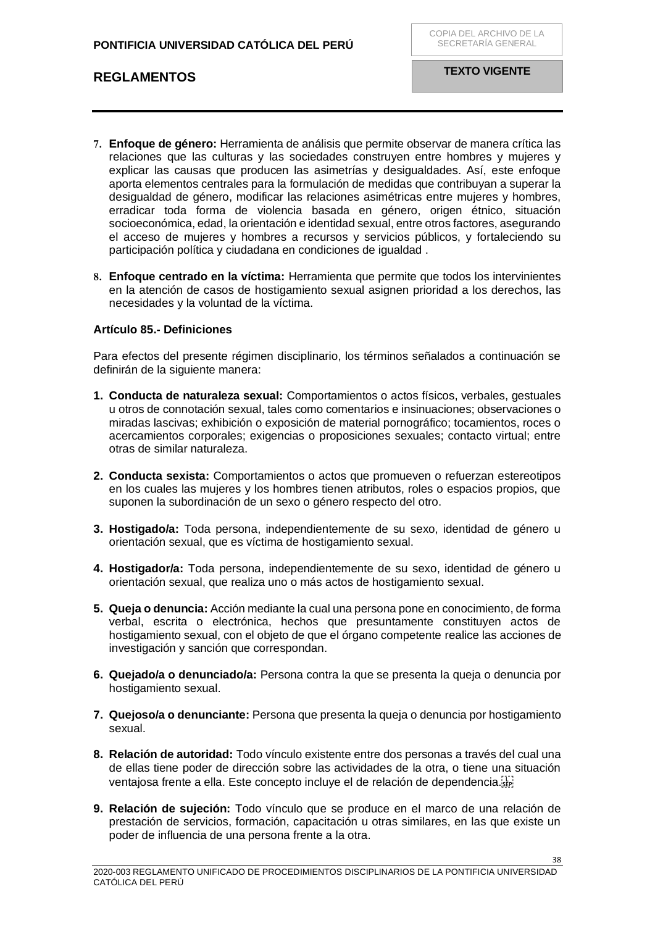- **7. Enfoque de género:** Herramienta de análisis que permite observar de manera crítica las relaciones que las culturas y las sociedades construyen entre hombres y mujeres y explicar las causas que producen las asimetrías y desigualdades. Así, este enfoque aporta elementos centrales para la formulación de medidas que contribuyan a superar la desigualdad de género, modificar las relaciones asimétricas entre mujeres y hombres, erradicar toda forma de violencia basada en género, origen étnico, situación socioeconómica, edad, la orientación e identidad sexual, entre otros factores, asegurando el acceso de mujeres y hombres a recursos y servicios públicos, y fortaleciendo su participación política y ciudadana en condiciones de igualdad .
- **8. Enfoque centrado en la víctima:** Herramienta que permite que todos los intervinientes en la atención de casos de hostigamiento sexual asignen prioridad a los derechos, las necesidades y la voluntad de la víctima.

### <span id="page-37-0"></span>**Artículo 85.- Definiciones**

Para efectos del presente régimen disciplinario, los términos señalados a continuación se definirán de la siguiente manera:

- **1. Conducta de naturaleza sexual:** Comportamientos o actos físicos, verbales, gestuales u otros de connotación sexual, tales como comentarios e insinuaciones; observaciones o miradas lascivas; exhibición o exposición de material pornográfico; tocamientos, roces o acercamientos corporales; exigencias o proposiciones sexuales; contacto virtual; entre otras de similar naturaleza.
- **2. Conducta sexista:** Comportamientos o actos que promueven o refuerzan estereotipos en los cuales las mujeres y los hombres tienen atributos, roles o espacios propios, que suponen la subordinación de un sexo o género respecto del otro.
- **3. Hostigado/a:** Toda persona, independientemente de su sexo, identidad de género u orientación sexual, que es víctima de hostigamiento sexual.
- **4. Hostigador/a:** Toda persona, independientemente de su sexo, identidad de género u orientación sexual, que realiza uno o más actos de hostigamiento sexual.
- **5. Queja o denuncia:** Acción mediante la cual una persona pone en conocimiento, de forma verbal, escrita o electrónica, hechos que presuntamente constituyen actos de hostigamiento sexual, con el objeto de que el órgano competente realice las acciones de investigación y sanción que correspondan.
- **6. Quejado/a o denunciado/a:** Persona contra la que se presenta la queja o denuncia por hostigamiento sexual.
- **7. Quejoso/a o denunciante:** Persona que presenta la queja o denuncia por hostigamiento sexual.
- **8. Relación de autoridad:** Todo vínculo existente entre dos personas a través del cual una de ellas tiene poder de dirección sobre las actividades de la otra, o tiene una situación ventajosa frente a ella. Este concepto incluye el de relación de dependencia.
- **9. Relación de sujeción:** Todo vínculo que se produce en el marco de una relación de prestación de servicios, formación, capacitación u otras similares, en las que existe un poder de influencia de una persona frente a la otra.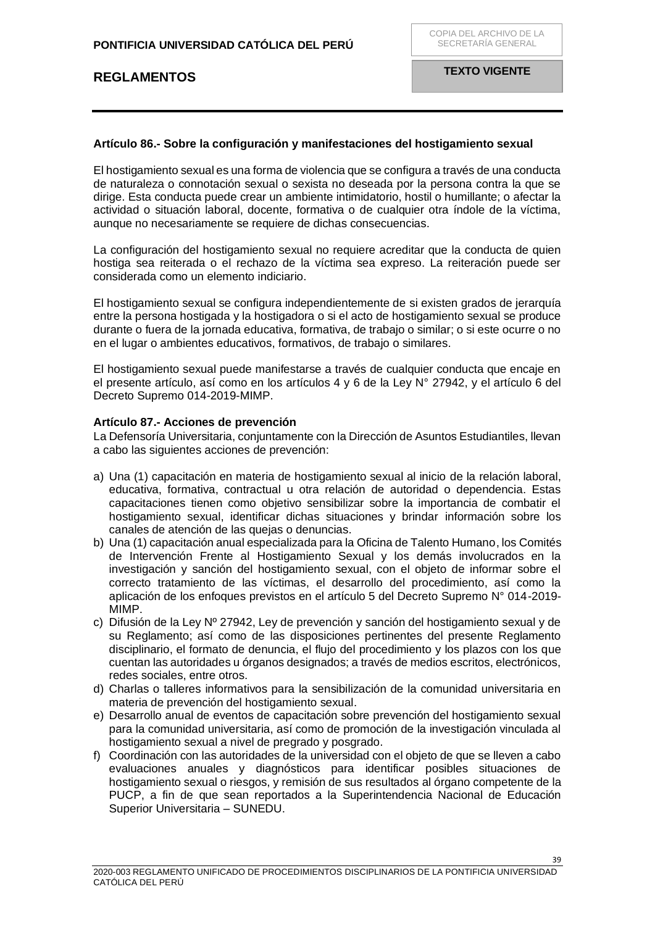### <span id="page-38-0"></span>**Artículo 86.- Sobre la configuración y manifestaciones del hostigamiento sexual**

El hostigamiento sexual es una forma de violencia que se configura a través de una conducta de naturaleza o connotación sexual o sexista no deseada por la persona contra la que se dirige. Esta conducta puede crear un ambiente intimidatorio, hostil o humillante; o afectar la actividad o situación laboral, docente, formativa o de cualquier otra índole de la víctima, aunque no necesariamente se requiere de dichas consecuencias.

La configuración del hostigamiento sexual no requiere acreditar que la conducta de quien hostiga sea reiterada o el rechazo de la víctima sea expreso. La reiteración puede ser considerada como un elemento indiciario.

El hostigamiento sexual se configura independientemente de si existen grados de jerarquía entre la persona hostigada y la hostigadora o si el acto de hostigamiento sexual se produce durante o fuera de la jornada educativa, formativa, de trabajo o similar; o si este ocurre o no en el lugar o ambientes educativos, formativos, de trabajo o similares.

El hostigamiento sexual puede manifestarse a través de cualquier conducta que encaje en el presente artículo, así como en los artículos 4 y 6 de la Ley N° 27942, y el artículo 6 del Decreto Supremo 014-2019-MIMP.

### <span id="page-38-1"></span>**Artículo 87.- Acciones de prevención**

La Defensoría Universitaria, conjuntamente con la Dirección de Asuntos Estudiantiles, llevan a cabo las siguientes acciones de prevención:

- a) Una (1) capacitación en materia de hostigamiento sexual al inicio de la relación laboral, educativa, formativa, contractual u otra relación de autoridad o dependencia. Estas capacitaciones tienen como objetivo sensibilizar sobre la importancia de combatir el hostigamiento sexual, identificar dichas situaciones y brindar información sobre los canales de atención de las quejas o denuncias.
- b) Una (1) capacitación anual especializada para la Oficina de Talento Humano, los Comités de Intervención Frente al Hostigamiento Sexual y los demás involucrados en la investigación y sanción del hostigamiento sexual, con el objeto de informar sobre el correcto tratamiento de las víctimas, el desarrollo del procedimiento, así como la aplicación de los enfoques previstos en el artículo 5 del Decreto Supremo N° 014-2019- MIMP.
- c) Difusión de la Ley  $N^{\circ}$  27942, Ley de prevención y sanción del hostigamiento sexual y de su Reglamento; así como de las disposiciones pertinentes del presente Reglamento disciplinario, el formato de denuncia, el flujo del procedimiento y los plazos con los que cuentan las autoridades u órganos designados; a través de medios escritos, electrónicos, redes sociales, entre otros.
- d) Charlas o talleres informativos para la sensibilización de la comunidad universitaria en materia de prevención del hostigamiento sexual.
- e) Desarrollo anual de eventos de capacitación sobre prevención del hostigamiento sexual para la comunidad universitaria, así como de promoción de la investigación vinculada al hostigamiento sexual a nivel de pregrado y posgrado.
- f) Coordinación con las autoridades de la universidad con el objeto de que se lleven a cabo evaluaciones anuales y diagnósticos para identificar posibles situaciones de hostigamiento sexual o riesgos, y remisión de sus resultados al órgano competente de la PUCP, a fin de que sean reportados a la Superintendencia Nacional de Educación Superior Universitaria – SUNEDU.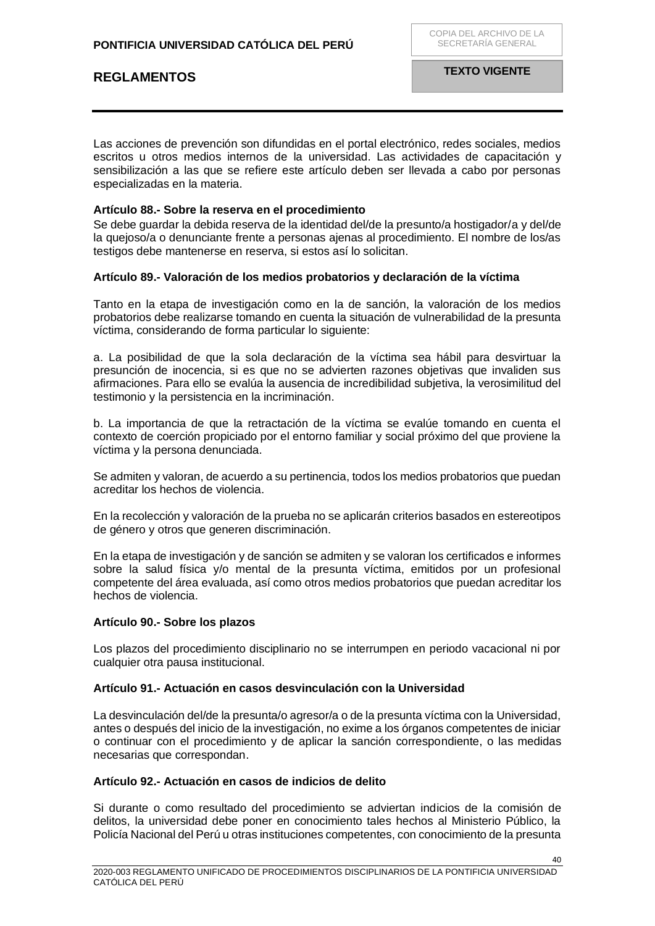Las acciones de prevención son difundidas en el portal electrónico, redes sociales, medios escritos u otros medios internos de la universidad. Las actividades de capacitación y sensibilización a las que se refiere este artículo deben ser llevada a cabo por personas especializadas en la materia.

### <span id="page-39-0"></span>**Artículo 88.- Sobre la reserva en el procedimiento**

Se debe guardar la debida reserva de la identidad del/de la presunto/a hostigador/a y del/de la quejoso/a o denunciante frente a personas ajenas al procedimiento. El nombre de los/as testigos debe mantenerse en reserva, si estos así lo solicitan.

### <span id="page-39-1"></span>**Artículo 89.- Valoración de los medios probatorios y declaración de la víctima**

Tanto en la etapa de investigación como en la de sanción, la valoración de los medios probatorios debe realizarse tomando en cuenta la situación de vulnerabilidad de la presunta víctima, considerando de forma particular lo siguiente:

a. La posibilidad de que la sola declaración de la víctima sea hábil para desvirtuar la presunción de inocencia, si es que no se advierten razones objetivas que invaliden sus afirmaciones. Para ello se evalúa la ausencia de incredibilidad subjetiva, la verosimilitud del testimonio y la persistencia en la incriminación.

b. La importancia de que la retractación de la víctima se evalúe tomando en cuenta el contexto de coerción propiciado por el entorno familiar y social próximo del que proviene la víctima y la persona denunciada.

Se admiten y valoran, de acuerdo a su pertinencia, todos los medios probatorios que puedan acreditar los hechos de violencia.

En la recolección y valoración de la prueba no se aplicarán criterios basados en estereotipos de género y otros que generen discriminación.

En la etapa de investigación y de sanción se admiten y se valoran los certificados e informes sobre la salud física y/o mental de la presunta víctima, emitidos por un profesional competente del área evaluada, así como otros medios probatorios que puedan acreditar los hechos de violencia.

### <span id="page-39-2"></span>**Artículo 90.- Sobre los plazos**

Los plazos del procedimiento disciplinario no se interrumpen en periodo vacacional ni por cualquier otra pausa institucional.

### <span id="page-39-3"></span>**Artículo 91.- Actuación en casos desvinculación con la Universidad**

La desvinculación del/de la presunta/o agresor/a o de la presunta víctima con la Universidad, antes o después del inicio de la investigación, no exime a los órganos competentes de iniciar o continuar con el procedimiento y de aplicar la sanción correspondiente, o las medidas necesarias que correspondan.

### <span id="page-39-4"></span>**Artículo 92.- Actuación en casos de indicios de delito**

Si durante o como resultado del procedimiento se adviertan indicios de la comisión de delitos, la universidad debe poner en conocimiento tales hechos al Ministerio Público, la Policía Nacional del Perú u otras instituciones competentes, con conocimiento de la presunta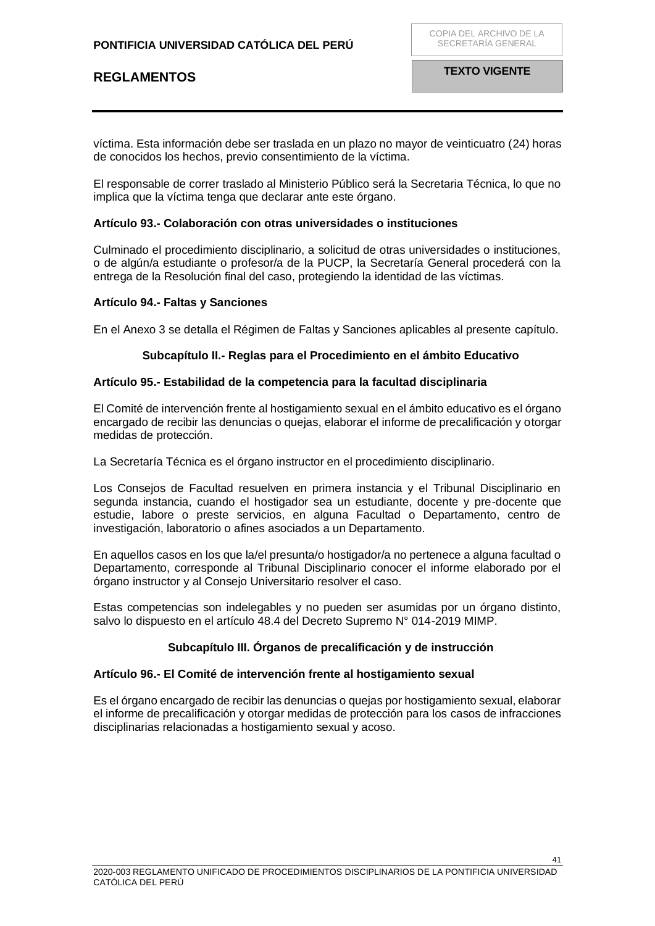víctima. Esta información debe ser traslada en un plazo no mayor de veinticuatro (24) horas de conocidos los hechos, previo consentimiento de la víctima.

El responsable de correr traslado al Ministerio Público será la Secretaria Técnica, lo que no implica que la víctima tenga que declarar ante este órgano.

### <span id="page-40-0"></span>**Artículo 93.- Colaboración con otras universidades o instituciones**

Culminado el procedimiento disciplinario, a solicitud de otras universidades o instituciones, o de algún/a estudiante o profesor/a de la PUCP, la Secretaría General procederá con la entrega de la Resolución final del caso, protegiendo la identidad de las víctimas.

### <span id="page-40-1"></span>**Artículo 94.- Faltas y Sanciones**

En el Anexo 3 se detalla el Régimen de Faltas y Sanciones aplicables al presente capítulo.

### **Subcapítulo II.- Reglas para el Procedimiento en el ámbito Educativo**

### <span id="page-40-3"></span><span id="page-40-2"></span>**Artículo 95.- Estabilidad de la competencia para la facultad disciplinaria**

El Comité de intervención frente al hostigamiento sexual en el ámbito educativo es el órgano encargado de recibir las denuncias o quejas, elaborar el informe de precalificación y otorgar medidas de protección.

La Secretaría Técnica es el órgano instructor en el procedimiento disciplinario.

Los Consejos de Facultad resuelven en primera instancia y el Tribunal Disciplinario en segunda instancia, cuando el hostigador sea un estudiante, docente y pre-docente que estudie, labore o preste servicios, en alguna Facultad o Departamento, centro de investigación, laboratorio o afines asociados a un Departamento.

En aquellos casos en los que la/el presunta/o hostigador/a no pertenece a alguna facultad o Departamento, corresponde al Tribunal Disciplinario conocer el informe elaborado por el órgano instructor y al Consejo Universitario resolver el caso.

Estas competencias son indelegables y no pueden ser asumidas por un órgano distinto, salvo lo dispuesto en el artículo 48.4 del Decreto Supremo N° 014-2019 MIMP.

### **Subcapítulo III. Órganos de precalificación y de instrucción**

### <span id="page-40-5"></span><span id="page-40-4"></span>**Artículo 96.- El Comité de intervención frente al hostigamiento sexual**

Es el órgano encargado de recibir las denuncias o quejas por hostigamiento sexual, elaborar el informe de precalificación y otorgar medidas de protección para los casos de infracciones disciplinarias relacionadas a hostigamiento sexual y acoso.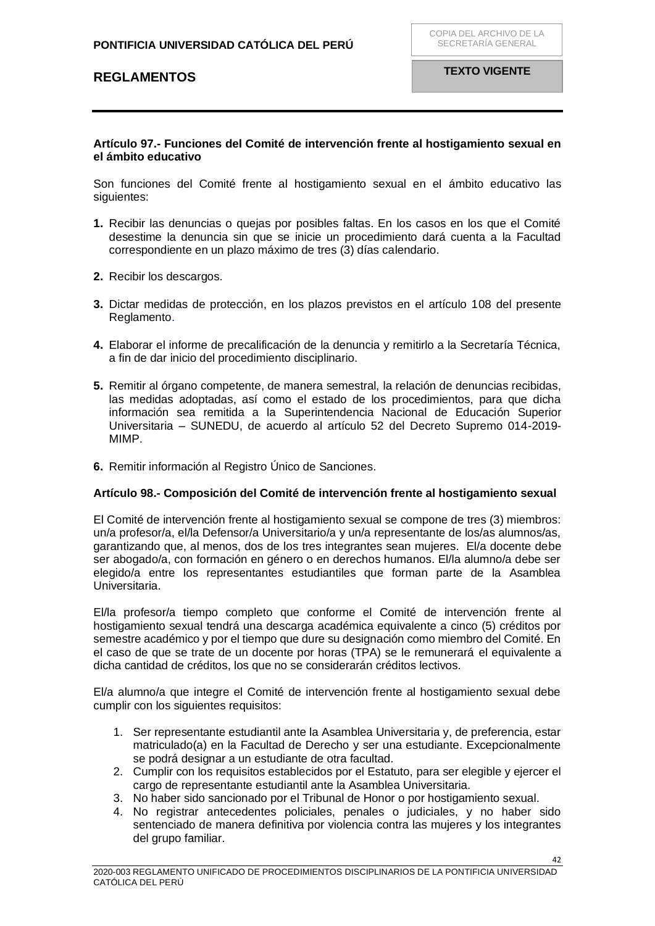### **Artículo 97.- Funciones del Comité de intervención frente al hostigamiento sexual en el ámbito educativo**

<span id="page-41-0"></span>Son funciones del Comité frente al hostigamiento sexual en el ámbito educativo las siguientes:

- **1.** Recibir las denuncias o quejas por posibles faltas. En los casos en los que el Comité desestime la denuncia sin que se inicie un procedimiento dará cuenta a la Facultad correspondiente en un plazo máximo de tres (3) días calendario.
- **2.** Recibir los descargos.
- **3.** Dictar medidas de protección, en los plazos previstos en el artículo 108 del presente Reglamento.
- **4.** Elaborar el informe de precalificación de la denuncia y remitirlo a la Secretaría Técnica, a fin de dar inicio del procedimiento disciplinario.
- **5.** Remitir al órgano competente, de manera semestral, la relación de denuncias recibidas, las medidas adoptadas, así como el estado de los procedimientos, para que dicha información sea remitida a la Superintendencia Nacional de Educación Superior Universitaria – SUNEDU, de acuerdo al artículo 52 del Decreto Supremo 014-2019- MIMP.
- **6.** Remitir información al Registro Único de Sanciones.

#### <span id="page-41-1"></span>**Artículo 98.- Composición del Comité de intervención frente al hostigamiento sexual**

El Comité de intervención frente al hostigamiento sexual se compone de tres (3) miembros: un/a profesor/a, el/la Defensor/a Universitario/a y un/a representante de los/as alumnos/as, garantizando que, al menos, dos de los tres integrantes sean mujeres. El/a docente debe ser abogado/a, con formación en género o en derechos humanos. El/la alumno/a debe ser elegido/a entre los representantes estudiantiles que forman parte de la Asamblea Universitaria.

El/la profesor/a tiempo completo que conforme el Comité de intervención frente al hostigamiento sexual tendrá una descarga académica equivalente a cinco (5) créditos por semestre académico y por el tiempo que dure su designación como miembro del Comité. En el caso de que se trate de un docente por horas (TPA) se le remunerará el equivalente a dicha cantidad de créditos, los que no se considerarán créditos lectivos.

El/a alumno/a que integre el Comité de intervención frente al hostigamiento sexual debe cumplir con los siguientes requisitos:

- 1. Ser representante estudiantil ante la Asamblea Universitaria y, de preferencia, estar matriculado(a) en la Facultad de Derecho y ser una estudiante. Excepcionalmente se podrá designar a un estudiante de otra facultad.
- 2. Cumplir con los requisitos establecidos por el Estatuto, para ser elegible y ejercer el cargo de representante estudiantil ante la Asamblea Universitaria.
- 3. No haber sido sancionado por el Tribunal de Honor o por hostigamiento sexual.
- 4. No registrar antecedentes policiales, penales o judiciales, y no haber sido sentenciado de manera definitiva por violencia contra las mujeres y los integrantes del grupo familiar.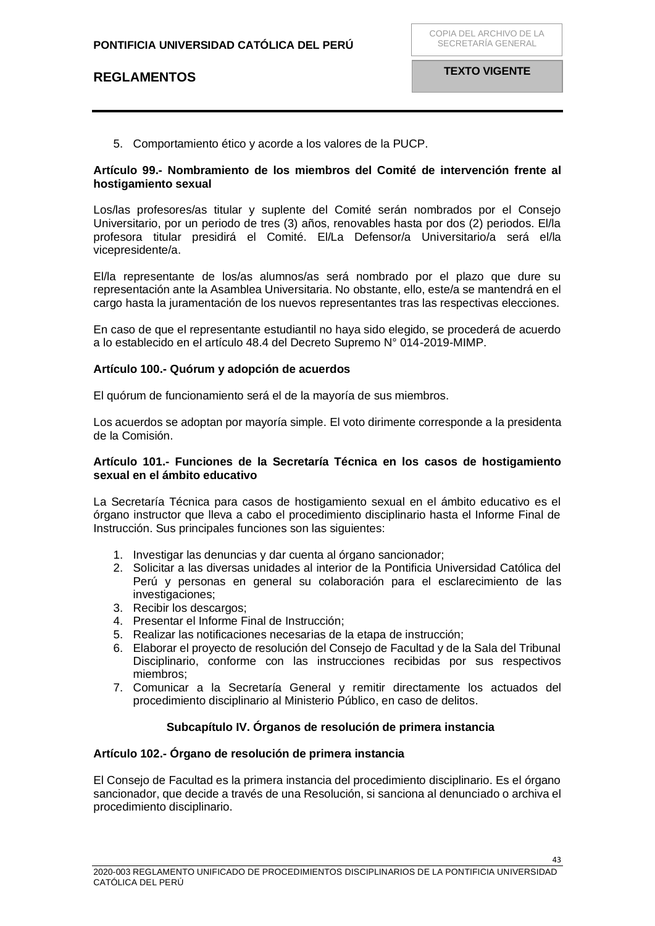5. Comportamiento ético y acorde a los valores de la PUCP.

### <span id="page-42-0"></span>**Artículo 99.- Nombramiento de los miembros del Comité de intervención frente al hostigamiento sexual**

Los/las profesores/as titular y suplente del Comité serán nombrados por el Consejo Universitario, por un periodo de tres (3) años, renovables hasta por dos (2) periodos. El/la profesora titular presidirá el Comité. El/La Defensor/a Universitario/a será el/la vicepresidente/a.

El/la representante de los/as alumnos/as será nombrado por el plazo que dure su representación ante la Asamblea Universitaria. No obstante, ello, este/a se mantendrá en el cargo hasta la juramentación de los nuevos representantes tras las respectivas elecciones.

En caso de que el representante estudiantil no haya sido elegido, se procederá de acuerdo a lo establecido en el artículo 48.4 del Decreto Supremo N° 014-2019-MIMP.

### <span id="page-42-1"></span>**Artículo 100.- Quórum y adopción de acuerdos**

El quórum de funcionamiento será el de la mayoría de sus miembros.

Los acuerdos se adoptan por mayoría simple. El voto dirimente corresponde a la presidenta de la Comisión.

### <span id="page-42-2"></span>**Artículo 101.- Funciones de la Secretaría Técnica en los casos de hostigamiento sexual en el ámbito educativo**

La Secretaría Técnica para casos de hostigamiento sexual en el ámbito educativo es el órgano instructor que lleva a cabo el procedimiento disciplinario hasta el Informe Final de Instrucción. Sus principales funciones son las siguientes:

- 1. Investigar las denuncias y dar cuenta al órgano sancionador;
- 2. Solicitar a las diversas unidades al interior de la Pontificia Universidad Católica del Perú y personas en general su colaboración para el esclarecimiento de las investigaciones;
- 3. Recibir los descargos;
- 4. Presentar el Informe Final de Instrucción;
- 5. Realizar las notificaciones necesarias de la etapa de instrucción;
- 6. Elaborar el proyecto de resolución del Consejo de Facultad y de la Sala del Tribunal Disciplinario, conforme con las instrucciones recibidas por sus respectivos miembros;
- 7. Comunicar a la Secretaría General y remitir directamente los actuados del procedimiento disciplinario al Ministerio Público, en caso de delitos.

## **Subcapítulo IV. Órganos de resolución de primera instancia**

### <span id="page-42-4"></span><span id="page-42-3"></span>**Artículo 102.- Órgano de resolución de primera instancia**

El Consejo de Facultad es la primera instancia del procedimiento disciplinario. Es el órgano sancionador, que decide a través de una Resolución, si sanciona al denunciado o archiva el procedimiento disciplinario.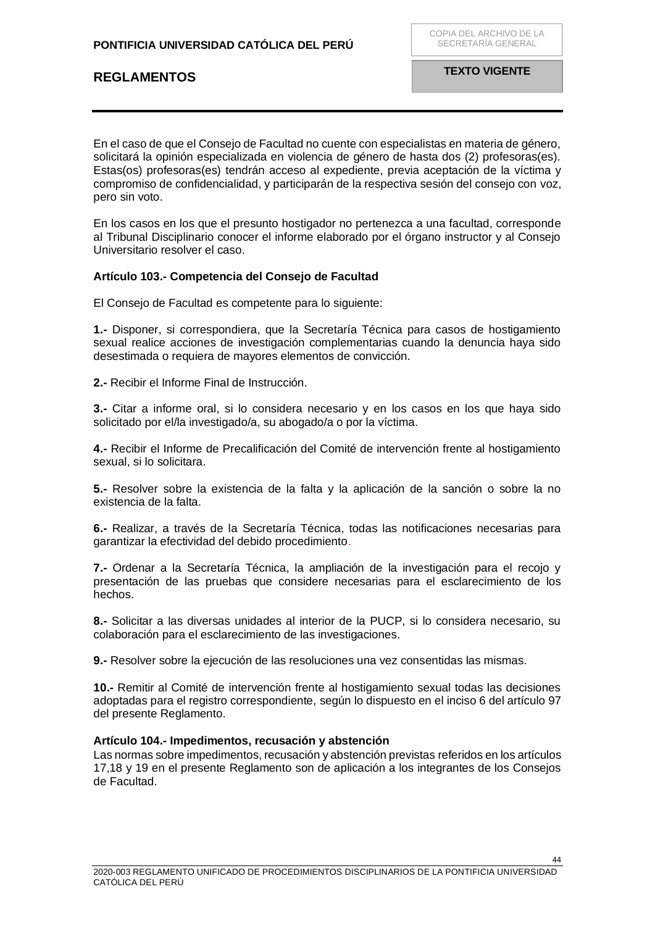En el caso de que el Consejo de Facultad no cuente con especialistas en materia de género, solicitará la opinión especializada en violencia de género de hasta dos (2) profesoras(es). Estas(os) profesoras(es) tendrán acceso al expediente, previa aceptación de la víctima y compromiso de confidencialidad, y participarán de la respectiva sesión del consejo con voz, pero sin voto.

En los casos en los que el presunto hostigador no pertenezca a una facultad, corresponde al Tribunal Disciplinario conocer el informe elaborado por el órgano instructor y al Consejo Universitario resolver el caso.

### <span id="page-43-0"></span>**Artículo 103.- Competencia del Consejo de Facultad**

El Consejo de Facultad es competente para lo siguiente:

**1.-** Disponer, si correspondiera, que la Secretaría Técnica para casos de hostigamiento sexual realice acciones de investigación complementarias cuando la denuncia haya sido desestimada o requiera de mayores elementos de convicción.

**2.-** Recibir el Informe Final de Instrucción.

**3.-** Citar a informe oral, si lo considera necesario y en los casos en los que haya sido solicitado por el/la investigado/a, su abogado/a o por la víctima.

**4.-** Recibir el Informe de Precalificación del Comité de intervención frente al hostigamiento sexual, si lo solicitara.

**5.-** Resolver sobre la existencia de la falta y la aplicación de la sanción o sobre la no existencia de la falta.

**6.-** Realizar, a través de la Secretaría Técnica, todas las notificaciones necesarias para garantizar la efectividad del debido procedimiento.

**7.-** Ordenar a la Secretaría Técnica, la ampliación de la investigación para el recojo y presentación de las pruebas que considere necesarias para el esclarecimiento de los hechos.

**8.-** Solicitar a las diversas unidades al interior de la PUCP, si lo considera necesario, su colaboración para el esclarecimiento de las investigaciones.

**9.-** Resolver sobre la ejecución de las resoluciones una vez consentidas las mismas.

**10.-** Remitir al Comité de intervención frente al hostigamiento sexual todas las decisiones adoptadas para el registro correspondiente, según lo dispuesto en el inciso 6 del artículo 97 del presente Reglamento.

#### <span id="page-43-1"></span>**Artículo 104.- Impedimentos, recusación y abstención**

Las normas sobre impedimentos, recusación y abstención previstas referidos en los artículos 17,18 y 19 en el presente Reglamento son de aplicación a los integrantes de los Consejos de Facultad.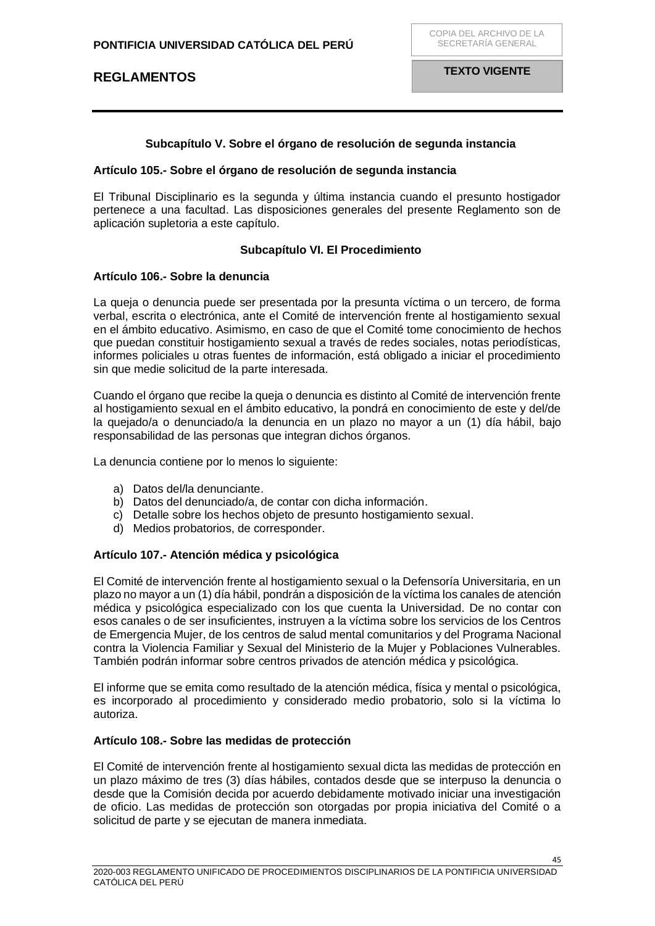### **Subcapítulo V. Sobre el órgano de resolución de segunda instancia**

#### <span id="page-44-1"></span><span id="page-44-0"></span>**Artículo 105.- Sobre el órgano de resolución de segunda instancia**

El Tribunal Disciplinario es la segunda y última instancia cuando el presunto hostigador pertenece a una facultad. Las disposiciones generales del presente Reglamento son de aplicación supletoria a este capítulo.

### **Subcapítulo VI. El Procedimiento**

### <span id="page-44-3"></span><span id="page-44-2"></span>**Artículo 106.- Sobre la denuncia**

La queja o denuncia puede ser presentada por la presunta víctima o un tercero, de forma verbal, escrita o electrónica, ante el Comité de intervención frente al hostigamiento sexual en el ámbito educativo. Asimismo, en caso de que el Comité tome conocimiento de hechos que puedan constituir hostigamiento sexual a través de redes sociales, notas periodísticas, informes policiales u otras fuentes de información, está obligado a iniciar el procedimiento sin que medie solicitud de la parte interesada.

Cuando el órgano que recibe la queja o denuncia es distinto al Comité de intervención frente al hostigamiento sexual en el ámbito educativo, la pondrá en conocimiento de este y del/de la quejado/a o denunciado/a la denuncia en un plazo no mayor a un (1) día hábil, bajo responsabilidad de las personas que integran dichos órganos.

La denuncia contiene por lo menos lo siguiente:

- a) Datos del/la denunciante.
- b) Datos del denunciado/a, de contar con dicha información.
- c) Detalle sobre los hechos objeto de presunto hostigamiento sexual.
- d) Medios probatorios, de corresponder.

### <span id="page-44-4"></span>**Artículo 107.- Atención médica y psicológica**

El Comité de intervención frente al hostigamiento sexual o la Defensoría Universitaria, en un plazo no mayor a un (1) día hábil, pondrán a disposición de la víctima los canales de atención médica y psicológica especializado con los que cuenta la Universidad. De no contar con esos canales o de ser insuficientes, instruyen a la víctima sobre los servicios de los Centros de Emergencia Mujer, de los centros de salud mental comunitarios y del Programa Nacional contra la Violencia Familiar y Sexual del Ministerio de la Mujer y Poblaciones Vulnerables. También podrán informar sobre centros privados de atención médica y psicológica.

El informe que se emita como resultado de la atención médica, física y mental o psicológica, es incorporado al procedimiento y considerado medio probatorio, solo si la víctima lo autoriza.

### <span id="page-44-5"></span>**Artículo 108.- Sobre las medidas de protección**

El Comité de intervención frente al hostigamiento sexual dicta las medidas de protección en un plazo máximo de tres (3) días hábiles, contados desde que se interpuso la denuncia o desde que la Comisión decida por acuerdo debidamente motivado iniciar una investigación de oficio. Las medidas de protección son otorgadas por propia iniciativa del Comité o a solicitud de parte y se ejecutan de manera inmediata.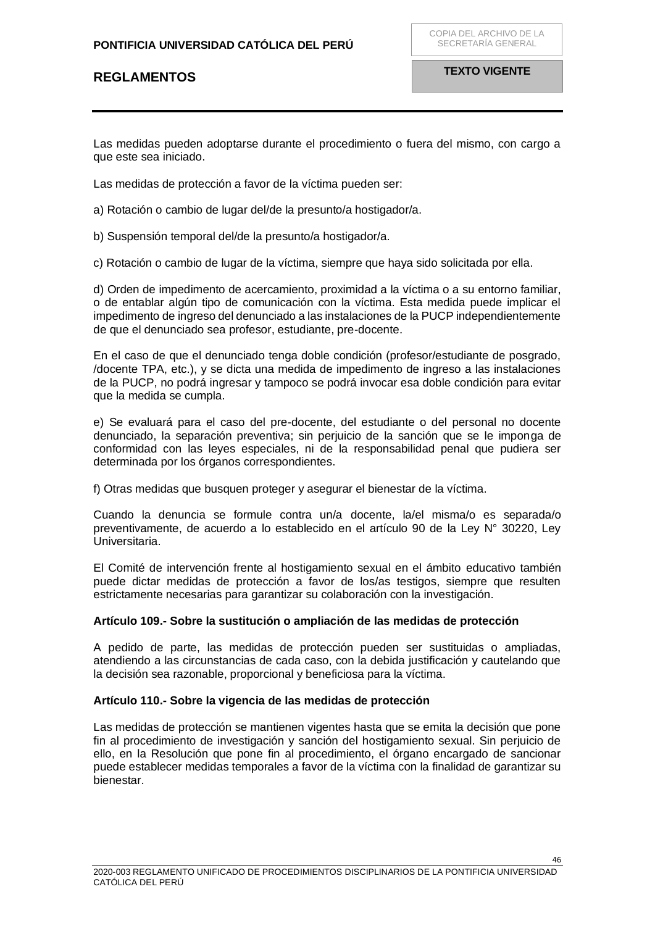### **PONTIFICIA UNIVERSIDAD CATÓLICA DEL PERÚ**

# **REGLAMENTOS**

Las medidas pueden adoptarse durante el procedimiento o fuera del mismo, con cargo a que este sea iniciado.

Las medidas de protección a favor de la víctima pueden ser:

a) Rotación o cambio de lugar del/de la presunto/a hostigador/a.

b) Suspensión temporal del/de la presunto/a hostigador/a.

c) Rotación o cambio de lugar de la víctima, siempre que haya sido solicitada por ella.

d) Orden de impedimento de acercamiento, proximidad a la víctima o a su entorno familiar, o de entablar algún tipo de comunicación con la víctima. Esta medida puede implicar el impedimento de ingreso del denunciado a las instalaciones de la PUCP independientemente de que el denunciado sea profesor, estudiante, pre-docente.

En el caso de que el denunciado tenga doble condición (profesor/estudiante de posgrado, /docente TPA, etc.), y se dicta una medida de impedimento de ingreso a las instalaciones de la PUCP, no podrá ingresar y tampoco se podrá invocar esa doble condición para evitar que la medida se cumpla.

e) Se evaluará para el caso del pre-docente, del estudiante o del personal no docente denunciado, la separación preventiva; sin perjuicio de la sanción que se le imponga de conformidad con las leyes especiales, ni de la responsabilidad penal que pudiera ser determinada por los órganos correspondientes.

f) Otras medidas que busquen proteger y asegurar el bienestar de la víctima.

Cuando la denuncia se formule contra un/a docente, la/el misma/o es separada/o preventivamente, de acuerdo a lo establecido en el artículo 90 de la Ley N° 30220, Ley Universitaria.

El Comité de intervención frente al hostigamiento sexual en el ámbito educativo también puede dictar medidas de protección a favor de los/as testigos, siempre que resulten estrictamente necesarias para garantizar su colaboración con la investigación.

### <span id="page-45-0"></span>**Artículo 109.- Sobre la sustitución o ampliación de las medidas de protección**

A pedido de parte, las medidas de protección pueden ser sustituidas o ampliadas, atendiendo a las circunstancias de cada caso, con la debida justificación y cautelando que la decisión sea razonable, proporcional y beneficiosa para la víctima.

### <span id="page-45-1"></span>**Artículo 110.- Sobre la vigencia de las medidas de protección**

Las medidas de protección se mantienen vigentes hasta que se emita la decisión que pone fin al procedimiento de investigación y sanción del hostigamiento sexual. Sin perjuicio de ello, en la Resolución que pone fin al procedimiento, el órgano encargado de sancionar puede establecer medidas temporales a favor de la víctima con la finalidad de garantizar su bienestar.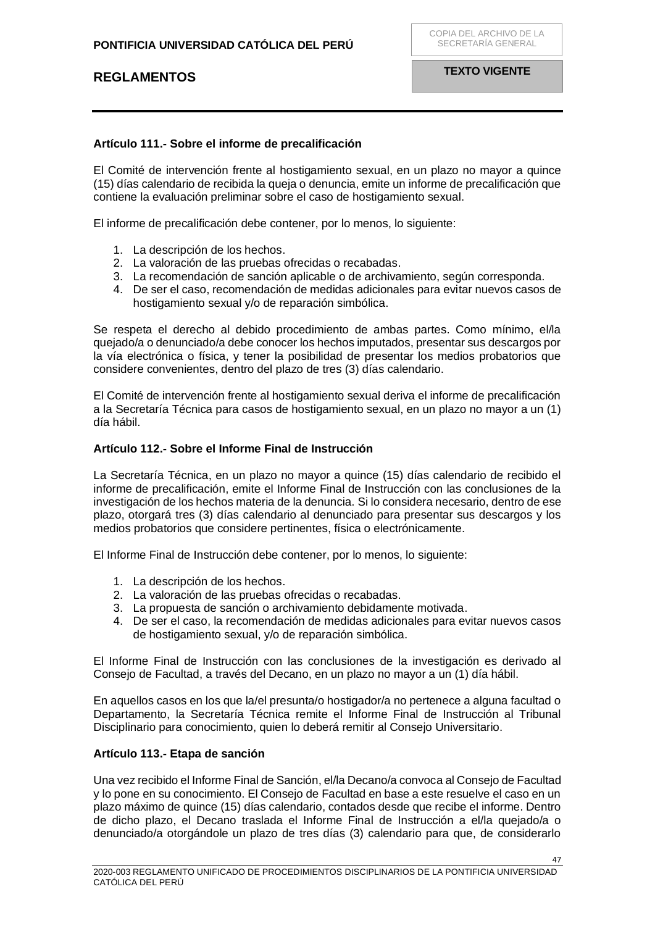## <span id="page-46-0"></span>**Artículo 111.- Sobre el informe de precalificación**

El Comité de intervención frente al hostigamiento sexual, en un plazo no mayor a quince (15) días calendario de recibida la queja o denuncia, emite un informe de precalificación que contiene la evaluación preliminar sobre el caso de hostigamiento sexual.

El informe de precalificación debe contener, por lo menos, lo siguiente:

- 1. La descripción de los hechos.
- 2. La valoración de las pruebas ofrecidas o recabadas.
- 3. La recomendación de sanción aplicable o de archivamiento, según corresponda.
- 4. De ser el caso, recomendación de medidas adicionales para evitar nuevos casos de hostigamiento sexual y/o de reparación simbólica.

Se respeta el derecho al debido procedimiento de ambas partes. Como mínimo, el/la quejado/a o denunciado/a debe conocer los hechos imputados, presentar sus descargos por la vía electrónica o física, y tener la posibilidad de presentar los medios probatorios que considere convenientes, dentro del plazo de tres (3) días calendario.

El Comité de intervención frente al hostigamiento sexual deriva el informe de precalificación a la Secretaría Técnica para casos de hostigamiento sexual, en un plazo no mayor a un (1) día hábil.

### <span id="page-46-1"></span>**Artículo 112.- Sobre el Informe Final de Instrucción**

La Secretaría Técnica, en un plazo no mayor a quince (15) días calendario de recibido el informe de precalificación, emite el Informe Final de Instrucción con las conclusiones de la investigación de los hechos materia de la denuncia. Si lo considera necesario, dentro de ese plazo, otorgará tres (3) días calendario al denunciado para presentar sus descargos y los medios probatorios que considere pertinentes, física o electrónicamente.

El Informe Final de Instrucción debe contener, por lo menos, lo siguiente:

- 1. La descripción de los hechos.
- 2. La valoración de las pruebas ofrecidas o recabadas.
- 3. La propuesta de sanción o archivamiento debidamente motivada.
- 4. De ser el caso, la recomendación de medidas adicionales para evitar nuevos casos de hostigamiento sexual, y/o de reparación simbólica.

El Informe Final de Instrucción con las conclusiones de la investigación es derivado al Consejo de Facultad, a través del Decano, en un plazo no mayor a un (1) día hábil.

En aquellos casos en los que la/el presunta/o hostigador/a no pertenece a alguna facultad o Departamento, la Secretaría Técnica remite el Informe Final de Instrucción al Tribunal Disciplinario para conocimiento, quien lo deberá remitir al Consejo Universitario.

### <span id="page-46-2"></span>**Artículo 113.- Etapa de sanción**

Una vez recibido el Informe Final de Sanción, el/la Decano/a convoca al Consejo de Facultad y lo pone en su conocimiento. El Consejo de Facultad en base a este resuelve el caso en un plazo máximo de quince (15) días calendario, contados desde que recibe el informe. Dentro de dicho plazo, el Decano traslada el Informe Final de Instrucción a el/la quejado/a o denunciado/a otorgándole un plazo de tres días (3) calendario para que, de considerarlo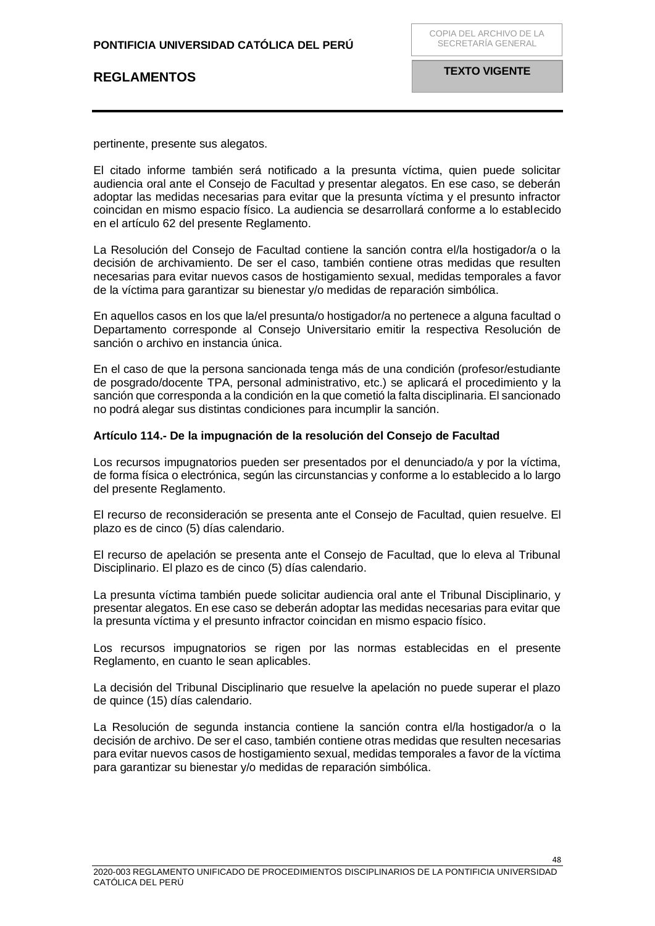pertinente, presente sus alegatos.

El citado informe también será notificado a la presunta víctima, quien puede solicitar audiencia oral ante el Consejo de Facultad y presentar alegatos. En ese caso, se deberán adoptar las medidas necesarias para evitar que la presunta víctima y el presunto infractor coincidan en mismo espacio físico. La audiencia se desarrollará conforme a lo establecido en el artículo 62 del presente Reglamento.

La Resolución del Consejo de Facultad contiene la sanción contra el/la hostigador/a o la decisión de archivamiento. De ser el caso, también contiene otras medidas que resulten necesarias para evitar nuevos casos de hostigamiento sexual, medidas temporales a favor de la víctima para garantizar su bienestar y/o medidas de reparación simbólica.

En aquellos casos en los que la/el presunta/o hostigador/a no pertenece a alguna facultad o Departamento corresponde al Consejo Universitario emitir la respectiva Resolución de sanción o archivo en instancia única.

En el caso de que la persona sancionada tenga más de una condición (profesor/estudiante de posgrado/docente TPA, personal administrativo, etc.) se aplicará el procedimiento y la sanción que corresponda a la condición en la que cometió la falta disciplinaria. El sancionado no podrá alegar sus distintas condiciones para incumplir la sanción.

#### <span id="page-47-0"></span>**Artículo 114.- De la impugnación de la resolución del Consejo de Facultad**

Los recursos impugnatorios pueden ser presentados por el denunciado/a y por la víctima, de forma física o electrónica, según las circunstancias y conforme a lo establecido a lo largo del presente Reglamento.

El recurso de reconsideración se presenta ante el Consejo de Facultad, quien resuelve. El plazo es de cinco (5) días calendario.

El recurso de apelación se presenta ante el Consejo de Facultad, que lo eleva al Tribunal Disciplinario. El plazo es de cinco (5) días calendario.

La presunta víctima también puede solicitar audiencia oral ante el Tribunal Disciplinario, y presentar alegatos. En ese caso se deberán adoptar las medidas necesarias para evitar que la presunta víctima y el presunto infractor coincidan en mismo espacio físico.

Los recursos impugnatorios se rigen por las normas establecidas en el presente Reglamento, en cuanto le sean aplicables.

La decisión del Tribunal Disciplinario que resuelve la apelación no puede superar el plazo de quince (15) días calendario.

La Resolución de segunda instancia contiene la sanción contra el/la hostigador/a o la decisión de archivo. De ser el caso, también contiene otras medidas que resulten necesarias para evitar nuevos casos de hostigamiento sexual, medidas temporales a favor de la víctima para garantizar su bienestar y/o medidas de reparación simbólica.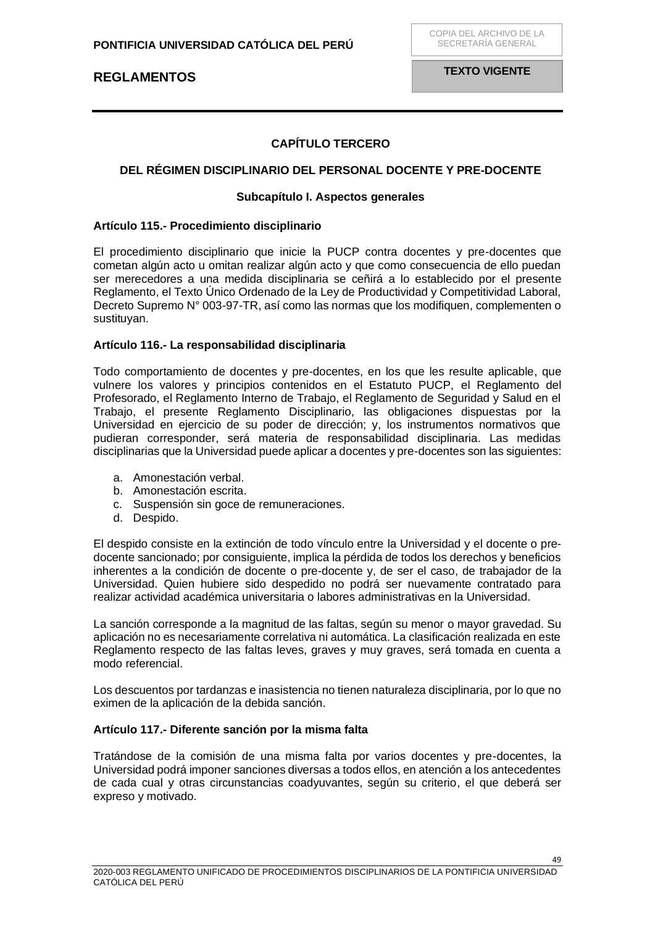**TEXTO VIGENTE**

## **CAPÍTULO TERCERO**

### <span id="page-48-1"></span><span id="page-48-0"></span>**DEL RÉGIMEN DISCIPLINARIO DEL PERSONAL DOCENTE Y PRE-DOCENTE**

#### **Subcapítulo I. Aspectos generales**

#### <span id="page-48-3"></span><span id="page-48-2"></span>**Artículo 115.- Procedimiento disciplinario**

El procedimiento disciplinario que inicie la PUCP contra docentes y pre-docentes que cometan algún acto u omitan realizar algún acto y que como consecuencia de ello puedan ser merecedores a una medida disciplinaria se ceñirá a lo establecido por el presente Reglamento, el Texto Único Ordenado de la Ley de Productividad y Competitividad Laboral, Decreto Supremo N° 003-97-TR, así como las normas que los modifiquen, complementen o sustituyan.

#### <span id="page-48-4"></span>**Artículo 116.- La responsabilidad disciplinaria**

Todo comportamiento de docentes y pre-docentes, en los que les resulte aplicable, que vulnere los valores y principios contenidos en el Estatuto PUCP, el Reglamento del Profesorado, el Reglamento Interno de Trabajo, el Reglamento de Seguridad y Salud en el Trabajo, el presente Reglamento Disciplinario, las obligaciones dispuestas por la Universidad en ejercicio de su poder de dirección; y, los instrumentos normativos que pudieran corresponder, será materia de responsabilidad disciplinaria. Las medidas disciplinarias que la Universidad puede aplicar a docentes y pre-docentes son las siguientes:

- a. Amonestación verbal.
- b. Amonestación escrita.
- c. Suspensión sin goce de remuneraciones.
- d. Despido.

El despido consiste en la extinción de todo vínculo entre la Universidad y el docente o predocente sancionado; por consiguiente, implica la pérdida de todos los derechos y beneficios inherentes a la condición de docente o pre-docente y, de ser el caso, de trabajador de la Universidad. Quien hubiere sido despedido no podrá ser nuevamente contratado para realizar actividad académica universitaria o labores administrativas en la Universidad.

La sanción corresponde a la magnitud de las faltas, según su menor o mayor gravedad. Su aplicación no es necesariamente correlativa ni automática. La clasificación realizada en este Reglamento respecto de las faltas leves, graves y muy graves, será tomada en cuenta a modo referencial.

Los descuentos por tardanzas e inasistencia no tienen naturaleza disciplinaria, por lo que no eximen de la aplicación de la debida sanción.

### <span id="page-48-5"></span>**Artículo 117.- Diferente sanción por la misma falta**

Tratándose de la comisión de una misma falta por varios docentes y pre-docentes, la Universidad podrá imponer sanciones diversas a todos ellos, en atención a los antecedentes de cada cual y otras circunstancias coadyuvantes, según su criterio, el que deberá ser expreso y motivado.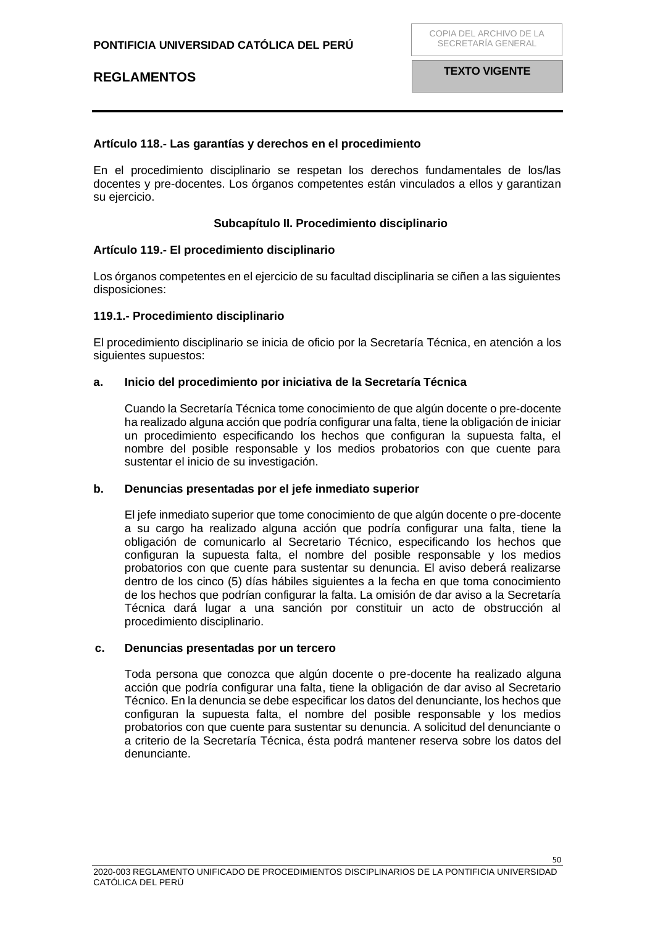### <span id="page-49-0"></span>**Artículo 118.- Las garantías y derechos en el procedimiento**

En el procedimiento disciplinario se respetan los derechos fundamentales de los/las docentes y pre-docentes. Los órganos competentes están vinculados a ellos y garantizan su ejercicio.

#### **Subcapítulo II. Procedimiento disciplinario**

### <span id="page-49-2"></span><span id="page-49-1"></span>**Artículo 119.- El procedimiento disciplinario**

Los órganos competentes en el ejercicio de su facultad disciplinaria se ciñen a las siguientes disposiciones:

#### **119.1.- Procedimiento disciplinario**

El procedimiento disciplinario se inicia de oficio por la Secretaría Técnica, en atención a los siguientes supuestos:

#### **a. Inicio del procedimiento por iniciativa de la Secretaría Técnica**

Cuando la Secretaría Técnica tome conocimiento de que algún docente o pre-docente ha realizado alguna acción que podría configurar una falta, tiene la obligación de iniciar un procedimiento especificando los hechos que configuran la supuesta falta, el nombre del posible responsable y los medios probatorios con que cuente para sustentar el inicio de su investigación.

#### **b. Denuncias presentadas por el jefe inmediato superior**

El jefe inmediato superior que tome conocimiento de que algún docente o pre-docente a su cargo ha realizado alguna acción que podría configurar una falta, tiene la obligación de comunicarlo al Secretario Técnico, especificando los hechos que configuran la supuesta falta, el nombre del posible responsable y los medios probatorios con que cuente para sustentar su denuncia. El aviso deberá realizarse dentro de los cinco (5) días hábiles siguientes a la fecha en que toma conocimiento de los hechos que podrían configurar la falta. La omisión de dar aviso a la Secretaría Técnica dará lugar a una sanción por constituir un acto de obstrucción al procedimiento disciplinario.

#### **c. Denuncias presentadas por un tercero**

Toda persona que conozca que algún docente o pre-docente ha realizado alguna acción que podría configurar una falta, tiene la obligación de dar aviso al Secretario Técnico. En la denuncia se debe especificar los datos del denunciante, los hechos que configuran la supuesta falta, el nombre del posible responsable y los medios probatorios con que cuente para sustentar su denuncia. A solicitud del denunciante o a criterio de la Secretaría Técnica, ésta podrá mantener reserva sobre los datos del denunciante.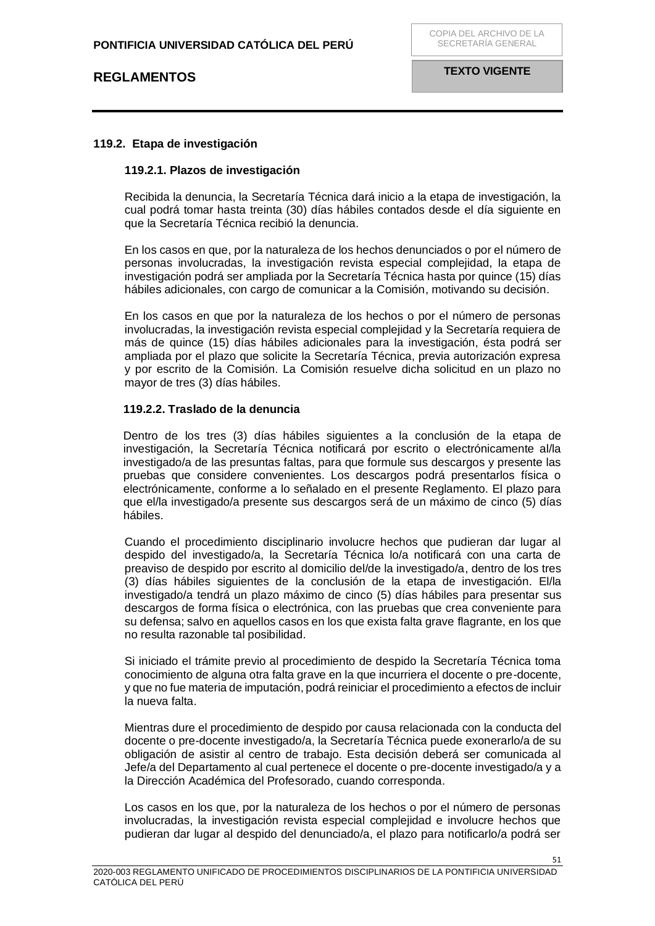## **119.2. Etapa de investigación**

#### **119.2.1. Plazos de investigación**

Recibida la denuncia, la Secretaría Técnica dará inicio a la etapa de investigación, la cual podrá tomar hasta treinta (30) días hábiles contados desde el día siguiente en que la Secretaría Técnica recibió la denuncia.

En los casos en que, por la naturaleza de los hechos denunciados o por el número de personas involucradas, la investigación revista especial complejidad, la etapa de investigación podrá ser ampliada por la Secretaría Técnica hasta por quince (15) días hábiles adicionales, con cargo de comunicar a la Comisión, motivando su decisión.

En los casos en que por la naturaleza de los hechos o por el número de personas involucradas, la investigación revista especial complejidad y la Secretaría requiera de más de quince (15) días hábiles adicionales para la investigación, ésta podrá ser ampliada por el plazo que solicite la Secretaría Técnica, previa autorización expresa y por escrito de la Comisión. La Comisión resuelve dicha solicitud en un plazo no mayor de tres (3) días hábiles.

### **119.2.2. Traslado de la denuncia**

Dentro de los tres (3) días hábiles siguientes a la conclusión de la etapa de investigación, la Secretaría Técnica notificará por escrito o electrónicamente al/la investigado/a de las presuntas faltas, para que formule sus descargos y presente las pruebas que considere convenientes. Los descargos podrá presentarlos física o electrónicamente, conforme a lo señalado en el presente Reglamento. El plazo para que el/la investigado/a presente sus descargos será de un máximo de cinco (5) días hábiles.

Cuando el procedimiento disciplinario involucre hechos que pudieran dar lugar al despido del investigado/a, la Secretaría Técnica lo/a notificará con una carta de preaviso de despido por escrito al domicilio del/de la investigado/a, dentro de los tres (3) días hábiles siguientes de la conclusión de la etapa de investigación. El/la investigado/a tendrá un plazo máximo de cinco (5) días hábiles para presentar sus descargos de forma física o electrónica, con las pruebas que crea conveniente para su defensa; salvo en aquellos casos en los que exista falta grave flagrante, en los que no resulta razonable tal posibilidad.

Si iniciado el trámite previo al procedimiento de despido la Secretaría Técnica toma conocimiento de alguna otra falta grave en la que incurriera el docente o pre-docente, y que no fue materia de imputación, podrá reiniciar el procedimiento a efectos de incluir la nueva falta.

Mientras dure el procedimiento de despido por causa relacionada con la conducta del docente o pre-docente investigado/a, la Secretaría Técnica puede exonerarlo/a de su obligación de asistir al centro de trabajo. Esta decisión deberá ser comunicada al Jefe/a del Departamento al cual pertenece el docente o pre-docente investigado/a y a la Dirección Académica del Profesorado, cuando corresponda.

Los casos en los que, por la naturaleza de los hechos o por el número de personas involucradas, la investigación revista especial complejidad e involucre hechos que pudieran dar lugar al despido del denunciado/a, el plazo para notificarlo/a podrá ser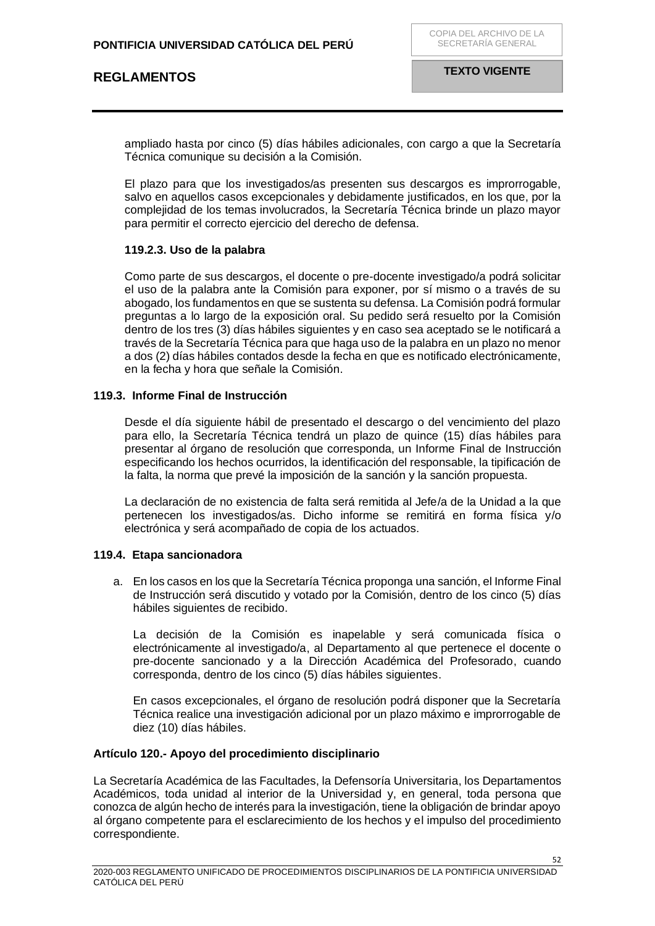**TEXTO VIGENTE**

ampliado hasta por cinco (5) días hábiles adicionales, con cargo a que la Secretaría Técnica comunique su decisión a la Comisión.

El plazo para que los investigados/as presenten sus descargos es improrrogable, salvo en aquellos casos excepcionales y debidamente justificados, en los que, por la complejidad de los temas involucrados, la Secretaría Técnica brinde un plazo mayor para permitir el correcto ejercicio del derecho de defensa.

### **119.2.3. Uso de la palabra**

Como parte de sus descargos, el docente o pre-docente investigado/a podrá solicitar el uso de la palabra ante la Comisión para exponer, por sí mismo o a través de su abogado, los fundamentos en que se sustenta su defensa. La Comisión podrá formular preguntas a lo largo de la exposición oral. Su pedido será resuelto por la Comisión dentro de los tres (3) días hábiles siguientes y en caso sea aceptado se le notificará a través de la Secretaría Técnica para que haga uso de la palabra en un plazo no menor a dos (2) días hábiles contados desde la fecha en que es notificado electrónicamente, en la fecha y hora que señale la Comisión.

### **119.3. Informe Final de Instrucción**

Desde el día siguiente hábil de presentado el descargo o del vencimiento del plazo para ello, la Secretaría Técnica tendrá un plazo de quince (15) días hábiles para presentar al órgano de resolución que corresponda, un Informe Final de Instrucción especificando los hechos ocurridos, la identificación del responsable, la tipificación de la falta, la norma que prevé la imposición de la sanción y la sanción propuesta.

La declaración de no existencia de falta será remitida al Jefe/a de la Unidad a la que pertenecen los investigados/as. Dicho informe se remitirá en forma física y/o electrónica y será acompañado de copia de los actuados.

### **119.4. Etapa sancionadora**

a. En los casos en los que la Secretaría Técnica proponga una sanción, el Informe Final de Instrucción será discutido y votado por la Comisión, dentro de los cinco (5) días hábiles siguientes de recibido.

La decisión de la Comisión es inapelable y será comunicada física o electrónicamente al investigado/a, al Departamento al que pertenece el docente o pre-docente sancionado y a la Dirección Académica del Profesorado, cuando corresponda, dentro de los cinco (5) días hábiles siguientes.

En casos excepcionales, el órgano de resolución podrá disponer que la Secretaría Técnica realice una investigación adicional por un plazo máximo e improrrogable de diez (10) días hábiles.

### <span id="page-51-0"></span>**Artículo 120.- Apoyo del procedimiento disciplinario**

La Secretaría Académica de las Facultades, la Defensoría Universitaria, los Departamentos Académicos, toda unidad al interior de la Universidad y, en general, toda persona que conozca de algún hecho de interés para la investigación, tiene la obligación de brindar apoyo al órgano competente para el esclarecimiento de los hechos y el impulso del procedimiento correspondiente.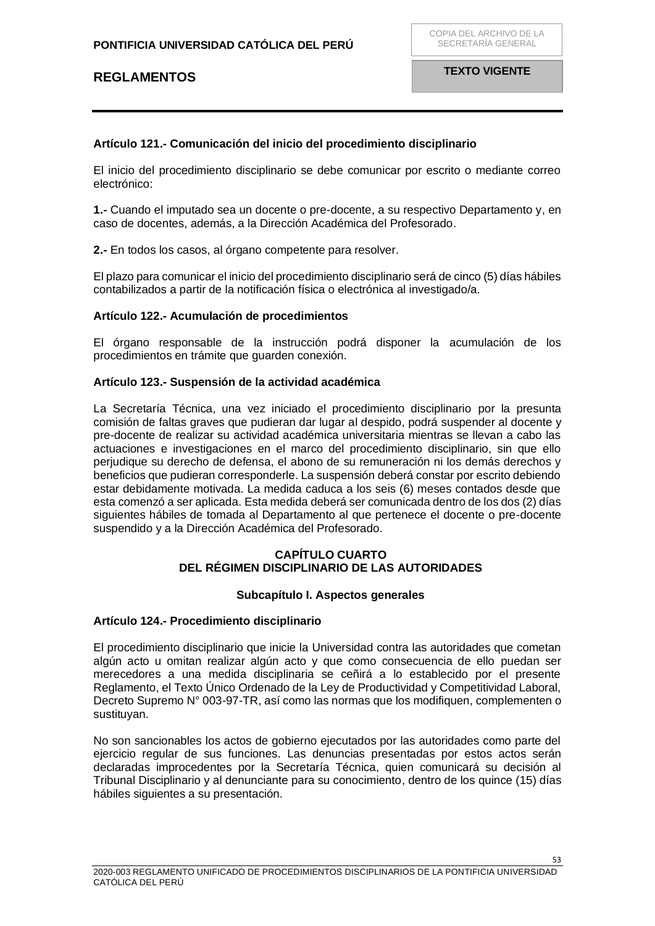### <span id="page-52-0"></span>**Artículo 121.- Comunicación del inicio del procedimiento disciplinario**

El inicio del procedimiento disciplinario se debe comunicar por escrito o mediante correo electrónico:

**1.-** Cuando el imputado sea un docente o pre-docente, a su respectivo Departamento y, en caso de docentes, además, a la Dirección Académica del Profesorado.

**2.-** En todos los casos, al órgano competente para resolver.

El plazo para comunicar el inicio del procedimiento disciplinario será de cinco (5) días hábiles contabilizados a partir de la notificación física o electrónica al investigado/a.

### <span id="page-52-1"></span>**Artículo 122.- Acumulación de procedimientos**

El órgano responsable de la instrucción podrá disponer la acumulación de los procedimientos en trámite que guarden conexión.

#### <span id="page-52-2"></span>**Artículo 123.- Suspensión de la actividad académica**

La Secretaría Técnica, una vez iniciado el procedimiento disciplinario por la presunta comisión de faltas graves que pudieran dar lugar al despido, podrá suspender al docente y pre-docente de realizar su actividad académica universitaria mientras se llevan a cabo las actuaciones e investigaciones en el marco del procedimiento disciplinario, sin que ello perjudique su derecho de defensa, el abono de su remuneración ni los demás derechos y beneficios que pudieran corresponderle. La suspensión deberá constar por escrito debiendo estar debidamente motivada. La medida caduca a los seis (6) meses contados desde que esta comenzó a ser aplicada. Esta medida deberá ser comunicada dentro de los dos (2) días siguientes hábiles de tomada al Departamento al que pertenece el docente o pre-docente suspendido y a la Dirección Académica del Profesorado.

### **CAPÍTULO CUARTO DEL RÉGIMEN DISCIPLINARIO DE LAS AUTORIDADES**

#### **Subcapítulo I. Aspectos generales**

### <span id="page-52-6"></span><span id="page-52-5"></span><span id="page-52-4"></span><span id="page-52-3"></span>**Artículo 124.- Procedimiento disciplinario**

El procedimiento disciplinario que inicie la Universidad contra las autoridades que cometan algún acto u omitan realizar algún acto y que como consecuencia de ello puedan ser merecedores a una medida disciplinaria se ceñirá a lo establecido por el presente Reglamento, el Texto Único Ordenado de la Ley de Productividad y Competitividad Laboral, Decreto Supremo N° 003-97-TR, así como las normas que los modifiquen, complementen o sustituyan.

No son sancionables los actos de gobierno ejecutados por las autoridades como parte del ejercicio regular de sus funciones. Las denuncias presentadas por estos actos serán declaradas improcedentes por la Secretaría Técnica, quien comunicará su decisión al Tribunal Disciplinario y al denunciante para su conocimiento, dentro de los quince (15) días hábiles siguientes a su presentación.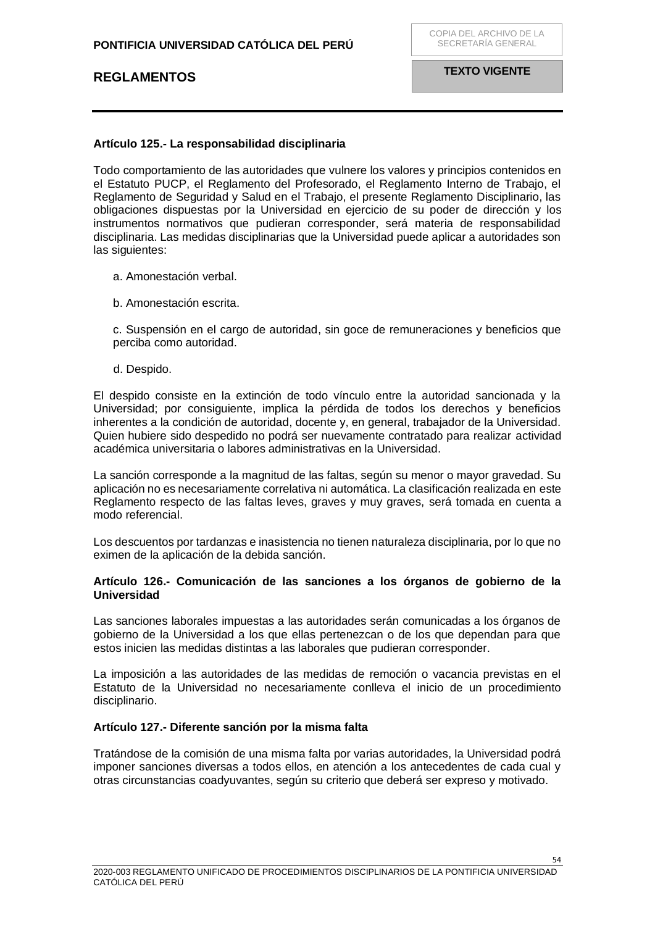### <span id="page-53-0"></span>**Artículo 125.- La responsabilidad disciplinaria**

Todo comportamiento de las autoridades que vulnere los valores y principios contenidos en el Estatuto PUCP, el Reglamento del Profesorado, el Reglamento Interno de Trabajo, el Reglamento de Seguridad y Salud en el Trabajo, el presente Reglamento Disciplinario, las obligaciones dispuestas por la Universidad en ejercicio de su poder de dirección y los instrumentos normativos que pudieran corresponder, será materia de responsabilidad disciplinaria. Las medidas disciplinarias que la Universidad puede aplicar a autoridades son las siguientes:

- a. Amonestación verbal.
- b. Amonestación escrita.

c. Suspensión en el cargo de autoridad, sin goce de remuneraciones y beneficios que perciba como autoridad.

d. Despido.

El despido consiste en la extinción de todo vínculo entre la autoridad sancionada y la Universidad; por consiguiente, implica la pérdida de todos los derechos y beneficios inherentes a la condición de autoridad, docente y, en general, trabajador de la Universidad. Quien hubiere sido despedido no podrá ser nuevamente contratado para realizar actividad académica universitaria o labores administrativas en la Universidad.

La sanción corresponde a la magnitud de las faltas, según su menor o mayor gravedad. Su aplicación no es necesariamente correlativa ni automática. La clasificación realizada en este Reglamento respecto de las faltas leves, graves y muy graves, será tomada en cuenta a modo referencial.

Los descuentos por tardanzas e inasistencia no tienen naturaleza disciplinaria, por lo que no eximen de la aplicación de la debida sanción.

### <span id="page-53-1"></span>**Artículo 126.- Comunicación de las sanciones a los órganos de gobierno de la Universidad**

Las sanciones laborales impuestas a las autoridades serán comunicadas a los órganos de gobierno de la Universidad a los que ellas pertenezcan o de los que dependan para que estos inicien las medidas distintas a las laborales que pudieran corresponder.

La imposición a las autoridades de las medidas de remoción o vacancia previstas en el Estatuto de la Universidad no necesariamente conlleva el inicio de un procedimiento disciplinario.

### <span id="page-53-2"></span>**Artículo 127.- Diferente sanción por la misma falta**

Tratándose de la comisión de una misma falta por varias autoridades, la Universidad podrá imponer sanciones diversas a todos ellos, en atención a los antecedentes de cada cual y otras circunstancias coadyuvantes, según su criterio que deberá ser expreso y motivado.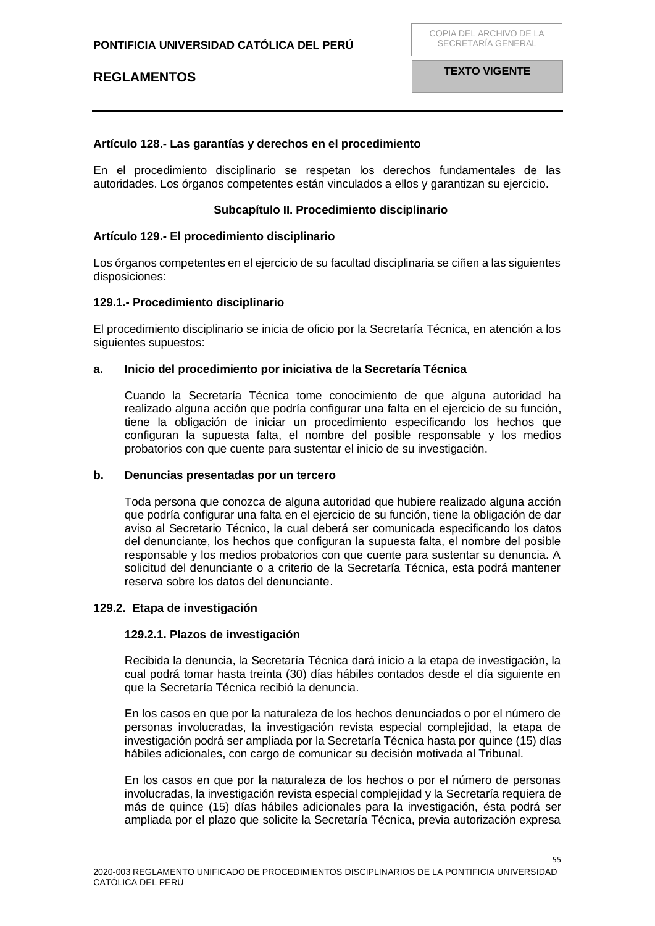### <span id="page-54-0"></span>**Artículo 128.- Las garantías y derechos en el procedimiento**

En el procedimiento disciplinario se respetan los derechos fundamentales de las autoridades. Los órganos competentes están vinculados a ellos y garantizan su ejercicio.

#### **Subcapítulo II. Procedimiento disciplinario**

#### <span id="page-54-2"></span><span id="page-54-1"></span>**Artículo 129.- El procedimiento disciplinario**

Los órganos competentes en el ejercicio de su facultad disciplinaria se ciñen a las siguientes disposiciones:

#### **129.1.- Procedimiento disciplinario**

El procedimiento disciplinario se inicia de oficio por la Secretaría Técnica, en atención a los siguientes supuestos:

#### **a. Inicio del procedimiento por iniciativa de la Secretaría Técnica**

Cuando la Secretaría Técnica tome conocimiento de que alguna autoridad ha realizado alguna acción que podría configurar una falta en el ejercicio de su función, tiene la obligación de iniciar un procedimiento especificando los hechos que configuran la supuesta falta, el nombre del posible responsable y los medios probatorios con que cuente para sustentar el inicio de su investigación.

#### **b. Denuncias presentadas por un tercero**

Toda persona que conozca de alguna autoridad que hubiere realizado alguna acción que podría configurar una falta en el ejercicio de su función, tiene la obligación de dar aviso al Secretario Técnico, la cual deberá ser comunicada especificando los datos del denunciante, los hechos que configuran la supuesta falta, el nombre del posible responsable y los medios probatorios con que cuente para sustentar su denuncia. A solicitud del denunciante o a criterio de la Secretaría Técnica, esta podrá mantener reserva sobre los datos del denunciante.

#### **129.2. Etapa de investigación**

### **129.2.1. Plazos de investigación**

Recibida la denuncia, la Secretaría Técnica dará inicio a la etapa de investigación, la cual podrá tomar hasta treinta (30) días hábiles contados desde el día siguiente en que la Secretaría Técnica recibió la denuncia.

En los casos en que por la naturaleza de los hechos denunciados o por el número de personas involucradas, la investigación revista especial complejidad, la etapa de investigación podrá ser ampliada por la Secretaría Técnica hasta por quince (15) días hábiles adicionales, con cargo de comunicar su decisión motivada al Tribunal.

En los casos en que por la naturaleza de los hechos o por el número de personas involucradas, la investigación revista especial complejidad y la Secretaría requiera de más de quince (15) días hábiles adicionales para la investigación, ésta podrá ser ampliada por el plazo que solicite la Secretaría Técnica, previa autorización expresa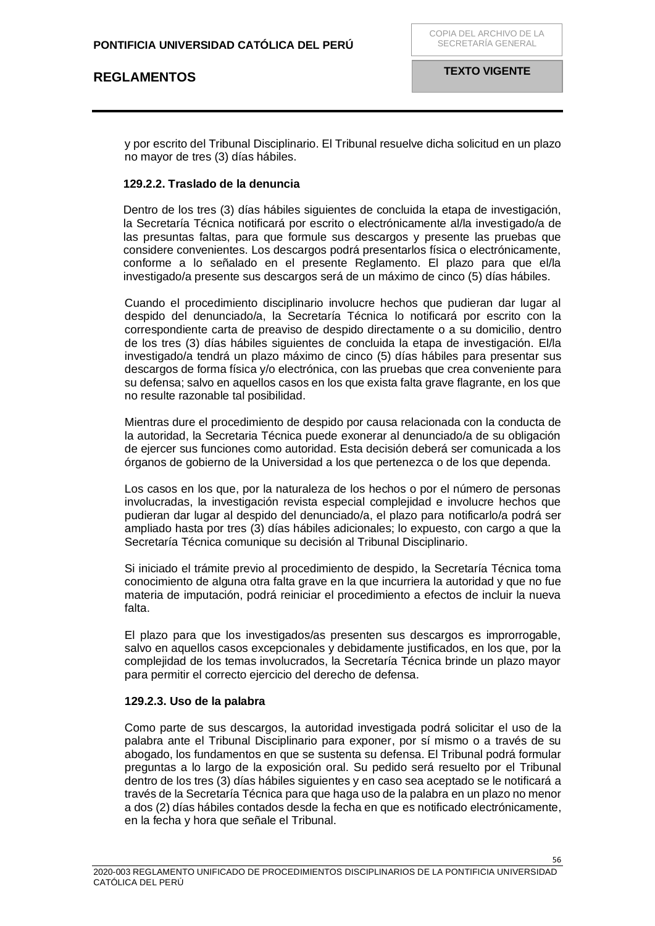y por escrito del Tribunal Disciplinario. El Tribunal resuelve dicha solicitud en un plazo no mayor de tres (3) días hábiles.

#### **129.2.2. Traslado de la denuncia**

Dentro de los tres (3) días hábiles siguientes de concluida la etapa de investigación, la Secretaría Técnica notificará por escrito o electrónicamente al/la investigado/a de las presuntas faltas, para que formule sus descargos y presente las pruebas que considere convenientes. Los descargos podrá presentarlos física o electrónicamente, conforme a lo señalado en el presente Reglamento. El plazo para que el/la investigado/a presente sus descargos será de un máximo de cinco (5) días hábiles.

Cuando el procedimiento disciplinario involucre hechos que pudieran dar lugar al despido del denunciado/a, la Secretaría Técnica lo notificará por escrito con la correspondiente carta de preaviso de despido directamente o a su domicilio, dentro de los tres (3) días hábiles siguientes de concluida la etapa de investigación. El/la investigado/a tendrá un plazo máximo de cinco (5) días hábiles para presentar sus descargos de forma física y/o electrónica, con las pruebas que crea conveniente para su defensa; salvo en aquellos casos en los que exista falta grave flagrante, en los que no resulte razonable tal posibilidad.

Mientras dure el procedimiento de despido por causa relacionada con la conducta de la autoridad, la Secretaria Técnica puede exonerar al denunciado/a de su obligación de ejercer sus funciones como autoridad. Esta decisión deberá ser comunicada a los órganos de gobierno de la Universidad a los que pertenezca o de los que dependa.

Los casos en los que, por la naturaleza de los hechos o por el número de personas involucradas, la investigación revista especial complejidad e involucre hechos que pudieran dar lugar al despido del denunciado/a, el plazo para notificarlo/a podrá ser ampliado hasta por tres (3) días hábiles adicionales; lo expuesto, con cargo a que la Secretaría Técnica comunique su decisión al Tribunal Disciplinario.

Si iniciado el trámite previo al procedimiento de despido, la Secretaría Técnica toma conocimiento de alguna otra falta grave en la que incurriera la autoridad y que no fue materia de imputación, podrá reiniciar el procedimiento a efectos de incluir la nueva falta.

El plazo para que los investigados/as presenten sus descargos es improrrogable, salvo en aquellos casos excepcionales y debidamente justificados, en los que, por la complejidad de los temas involucrados, la Secretaría Técnica brinde un plazo mayor para permitir el correcto ejercicio del derecho de defensa.

### **129.2.3. Uso de la palabra**

Como parte de sus descargos, la autoridad investigada podrá solicitar el uso de la palabra ante el Tribunal Disciplinario para exponer, por sí mismo o a través de su abogado, los fundamentos en que se sustenta su defensa. El Tribunal podrá formular preguntas a lo largo de la exposición oral. Su pedido será resuelto por el Tribunal dentro de los tres (3) días hábiles siguientes y en caso sea aceptado se le notificará a través de la Secretaría Técnica para que haga uso de la palabra en un plazo no menor a dos (2) días hábiles contados desde la fecha en que es notificado electrónicamente, en la fecha y hora que señale el Tribunal.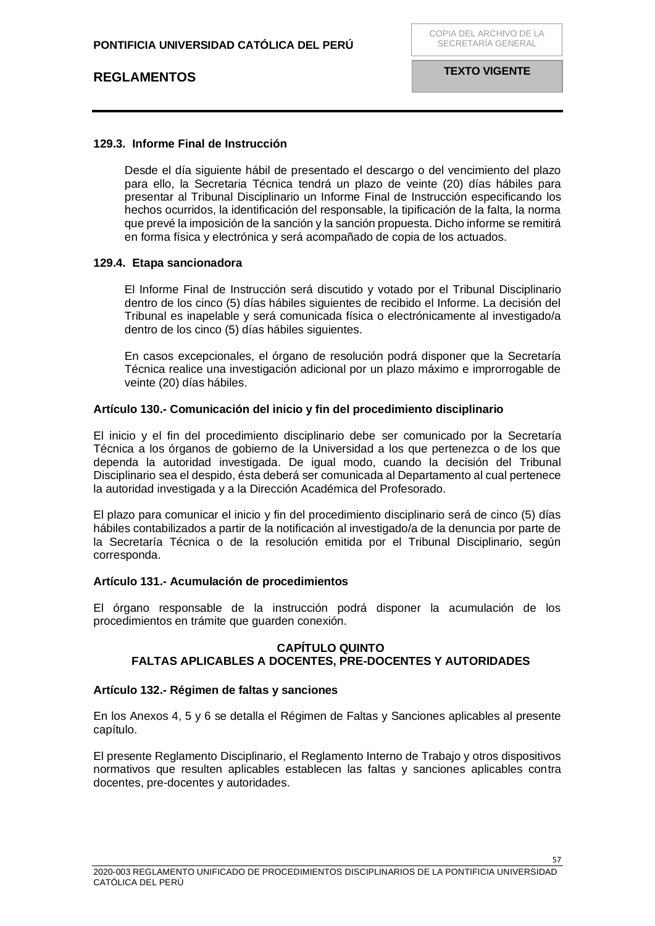### **129.3. Informe Final de Instrucción**

Desde el día siguiente hábil de presentado el descargo o del vencimiento del plazo para ello, la Secretaria Técnica tendrá un plazo de veinte (20) días hábiles para presentar al Tribunal Disciplinario un Informe Final de Instrucción especificando los hechos ocurridos, la identificación del responsable, la tipificación de la falta, la norma que prevé la imposición de la sanción y la sanción propuesta. Dicho informe se remitirá en forma física y electrónica y será acompañado de copia de los actuados.

### **129.4. Etapa sancionadora**

El Informe Final de Instrucción será discutido y votado por el Tribunal Disciplinario dentro de los cinco (5) días hábiles siguientes de recibido el Informe. La decisión del Tribunal es inapelable y será comunicada física o electrónicamente al investigado/a dentro de los cinco (5) días hábiles siguientes.

En casos excepcionales, el órgano de resolución podrá disponer que la Secretaría Técnica realice una investigación adicional por un plazo máximo e improrrogable de veinte (20) días hábiles.

### <span id="page-56-0"></span>**Artículo 130.- Comunicación del inicio y fin del procedimiento disciplinario**

El inicio y el fin del procedimiento disciplinario debe ser comunicado por la Secretaría Técnica a los órganos de gobierno de la Universidad a los que pertenezca o de los que dependa la autoridad investigada. De igual modo, cuando la decisión del Tribunal Disciplinario sea el despido, ésta deberá ser comunicada al Departamento al cual pertenece la autoridad investigada y a la Dirección Académica del Profesorado.

El plazo para comunicar el inicio y fin del procedimiento disciplinario será de cinco (5) días hábiles contabilizados a partir de la notificación al investigado/a de la denuncia por parte de la Secretaría Técnica o de la resolución emitida por el Tribunal Disciplinario, según corresponda.

#### <span id="page-56-1"></span>**Artículo 131.- Acumulación de procedimientos**

<span id="page-56-2"></span>El órgano responsable de la instrucción podrá disponer la acumulación de los procedimientos en trámite que guarden conexión.

### **CAPÍTULO QUINTO FALTAS APLICABLES A DOCENTES, PRE-DOCENTES Y AUTORIDADES**

### <span id="page-56-4"></span><span id="page-56-3"></span>**Artículo 132.- Régimen de faltas y sanciones**

En los Anexos 4, 5 y 6 se detalla el Régimen de Faltas y Sanciones aplicables al presente capítulo.

El presente Reglamento Disciplinario, el Reglamento Interno de Trabajo y otros dispositivos normativos que resulten aplicables establecen las faltas y sanciones aplicables contra docentes, pre-docentes y autoridades.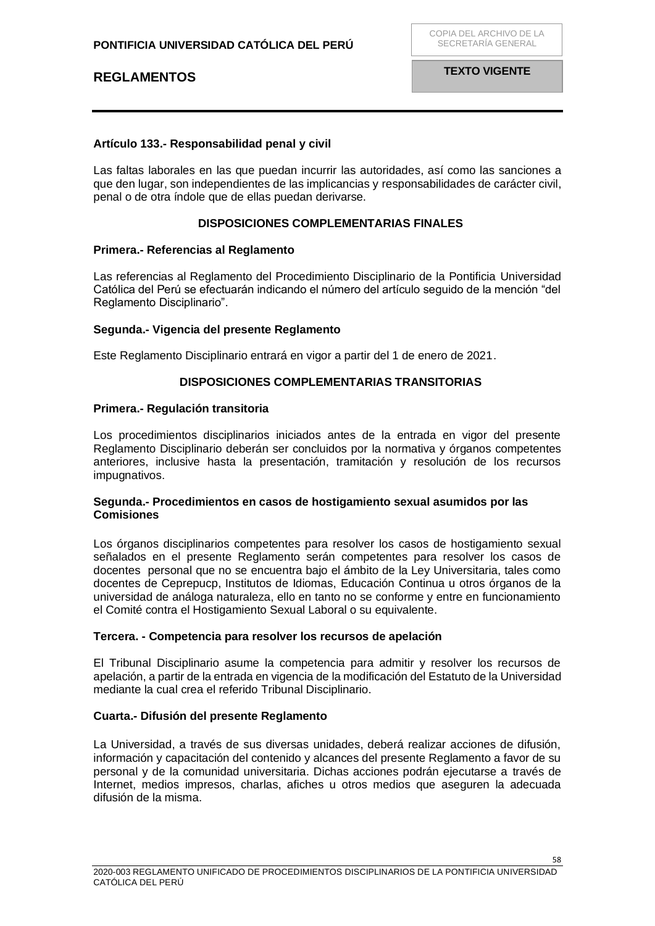## <span id="page-57-0"></span>**Artículo 133.- Responsabilidad penal y civil**

Las faltas laborales en las que puedan incurrir las autoridades, así como las sanciones a que den lugar, son independientes de las implicancias y responsabilidades de carácter civil, penal o de otra índole que de ellas puedan derivarse.

## **DISPOSICIONES COMPLEMENTARIAS FINALES**

### <span id="page-57-2"></span><span id="page-57-1"></span>**Primera.- Referencias al Reglamento**

Las referencias al Reglamento del Procedimiento Disciplinario de la Pontificia Universidad Católica del Perú se efectuarán indicando el número del artículo seguido de la mención "del Reglamento Disciplinario".

### <span id="page-57-3"></span>**Segunda.- Vigencia del presente Reglamento**

Este Reglamento Disciplinario entrará en vigor a partir del 1 de enero de 2021.

### **DISPOSICIONES COMPLEMENTARIAS TRANSITORIAS**

### <span id="page-57-5"></span><span id="page-57-4"></span>**Primera.- Regulación transitoria**

Los procedimientos disciplinarios iniciados antes de la entrada en vigor del presente Reglamento Disciplinario deberán ser concluidos por la normativa y órganos competentes anteriores, inclusive hasta la presentación, tramitación y resolución de los recursos impugnativos.

### <span id="page-57-6"></span>**Segunda.- Procedimientos en casos de hostigamiento sexual asumidos por las Comisiones**

Los órganos disciplinarios competentes para resolver los casos de hostigamiento sexual señalados en el presente Reglamento serán competentes para resolver los casos de docentes personal que no se encuentra bajo el ámbito de la Ley Universitaria, tales como docentes de Ceprepucp, Institutos de Idiomas, Educación Continua u otros órganos de la universidad de análoga naturaleza, ello en tanto no se conforme y entre en funcionamiento el Comité contra el Hostigamiento Sexual Laboral o su equivalente.

### <span id="page-57-7"></span>**Tercera. - Competencia para resolver los recursos de apelación**

El Tribunal Disciplinario asume la competencia para admitir y resolver los recursos de apelación, a partir de la entrada en vigencia de la modificación del Estatuto de la Universidad mediante la cual crea el referido Tribunal Disciplinario.

### <span id="page-57-8"></span>**Cuarta.- Difusión del presente Reglamento**

La Universidad, a través de sus diversas unidades, deberá realizar acciones de difusión, información y capacitación del contenido y alcances del presente Reglamento a favor de su personal y de la comunidad universitaria. Dichas acciones podrán ejecutarse a través de Internet, medios impresos, charlas, afiches u otros medios que aseguren la adecuada difusión de la misma.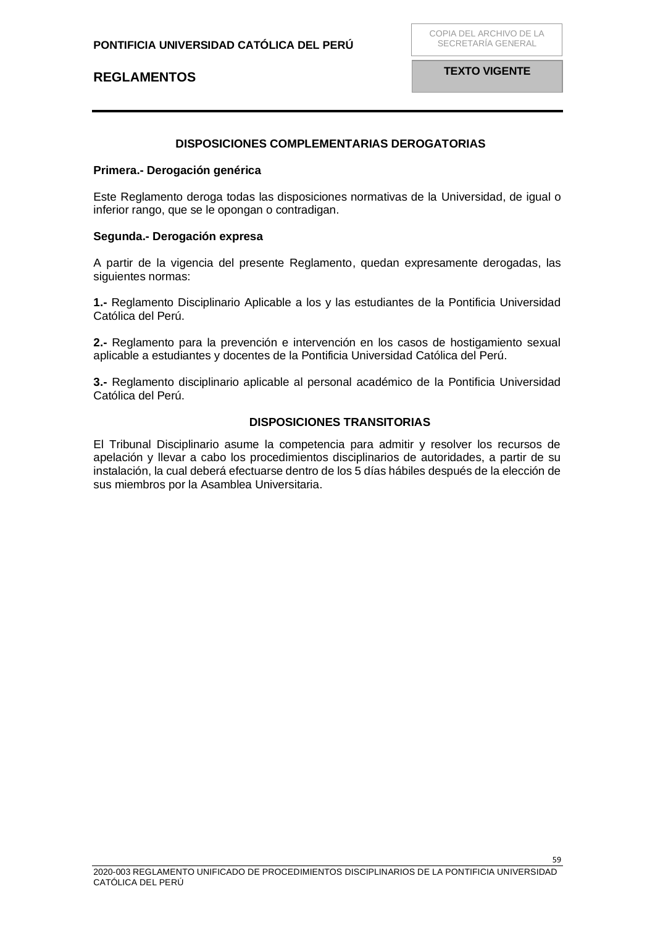**TEXTO VIGENTE**

### **DISPOSICIONES COMPLEMENTARIAS DEROGATORIAS**

#### <span id="page-58-1"></span><span id="page-58-0"></span>**Primera.- Derogación genérica**

Este Reglamento deroga todas las disposiciones normativas de la Universidad, de igual o inferior rango, que se le opongan o contradigan.

#### <span id="page-58-2"></span>**Segunda.- Derogación expresa**

A partir de la vigencia del presente Reglamento, quedan expresamente derogadas, las siguientes normas:

**1.-** Reglamento Disciplinario Aplicable a los y las estudiantes de la Pontificia Universidad Católica del Perú.

**2.-** Reglamento para la prevención e intervención en los casos de hostigamiento sexual aplicable a estudiantes y docentes de la Pontificia Universidad Católica del Perú.

**3.-** Reglamento disciplinario aplicable al personal académico de la Pontificia Universidad Católica del Perú.

#### **DISPOSICIONES TRANSITORIAS**

El Tribunal Disciplinario asume la competencia para admitir y resolver los recursos de apelación y llevar a cabo los procedimientos disciplinarios de autoridades, a partir de su instalación, la cual deberá efectuarse dentro de los 5 días hábiles después de la elección de sus miembros por la Asamblea Universitaria.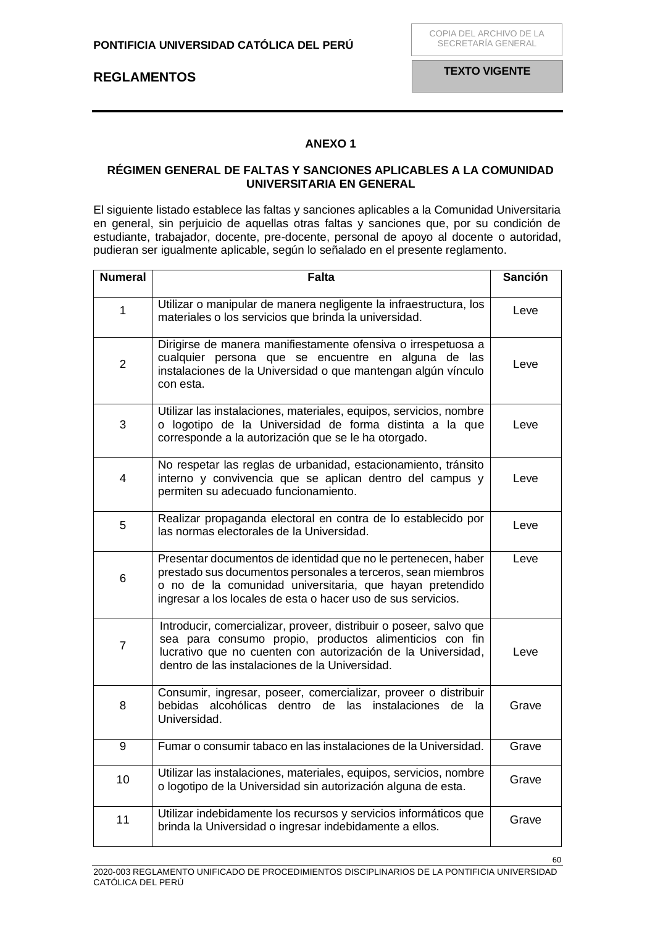### **ANEXO 1**

### <span id="page-59-1"></span><span id="page-59-0"></span>**RÉGIMEN GENERAL DE FALTAS Y SANCIONES APLICABLES A LA COMUNIDAD UNIVERSITARIA EN GENERAL**

El siguiente listado establece las faltas y sanciones aplicables a la Comunidad Universitaria en general, sin perjuicio de aquellas otras faltas y sanciones que, por su condición de estudiante, trabajador, docente, pre-docente, personal de apoyo al docente o autoridad, pudieran ser igualmente aplicable, según lo señalado en el presente reglamento.

| <b>Numeral</b> | <b>Falta</b>                                                                                                                                                                                                                                              | <b>Sanción</b> |
|----------------|-----------------------------------------------------------------------------------------------------------------------------------------------------------------------------------------------------------------------------------------------------------|----------------|
| $\mathbf{1}$   | Utilizar o manipular de manera negligente la infraestructura, los<br>materiales o los servicios que brinda la universidad.                                                                                                                                | Leve           |
| $\overline{2}$ | Dirigirse de manera manifiestamente ofensiva o irrespetuosa a<br>cualquier persona que se encuentre en alguna de las<br>instalaciones de la Universidad o que mantengan algún vínculo<br>con esta.                                                        | Leve           |
| 3              | Utilizar las instalaciones, materiales, equipos, servicios, nombre<br>o logotipo de la Universidad de forma distinta a la que<br>corresponde a la autorización que se le ha otorgado.                                                                     | Leve           |
| 4              | No respetar las reglas de urbanidad, estacionamiento, tránsito<br>interno y convivencia que se aplican dentro del campus y<br>permiten su adecuado funcionamiento.                                                                                        | Leve           |
| 5              | Realizar propaganda electoral en contra de lo establecido por<br>las normas electorales de la Universidad.                                                                                                                                                | Leve           |
| 6              | Presentar documentos de identidad que no le pertenecen, haber<br>prestado sus documentos personales a terceros, sean miembros<br>o no de la comunidad universitaria, que hayan pretendido<br>ingresar a los locales de esta o hacer uso de sus servicios. | Leve           |
| 7              | Introducir, comercializar, proveer, distribuir o poseer, salvo que<br>sea para consumo propio, productos alimenticios con fin<br>lucrativo que no cuenten con autorización de la Universidad,<br>dentro de las instalaciones de la Universidad.           | Leve           |
| 8              | Consumir, ingresar, poseer, comercializar, proveer o distribuir<br>bebidas<br>alcohólicas dentro<br>de las instalaciones<br>de<br>la.<br>Universidad.                                                                                                     | Grave          |
| 9              | Fumar o consumir tabaco en las instalaciones de la Universidad.                                                                                                                                                                                           | Grave          |
| 10             | Utilizar las instalaciones, materiales, equipos, servicios, nombre<br>o logotipo de la Universidad sin autorización alguna de esta.                                                                                                                       | Grave          |
| 11             | Utilizar indebidamente los recursos y servicios informáticos que<br>brinda la Universidad o ingresar indebidamente a ellos.                                                                                                                               | Grave          |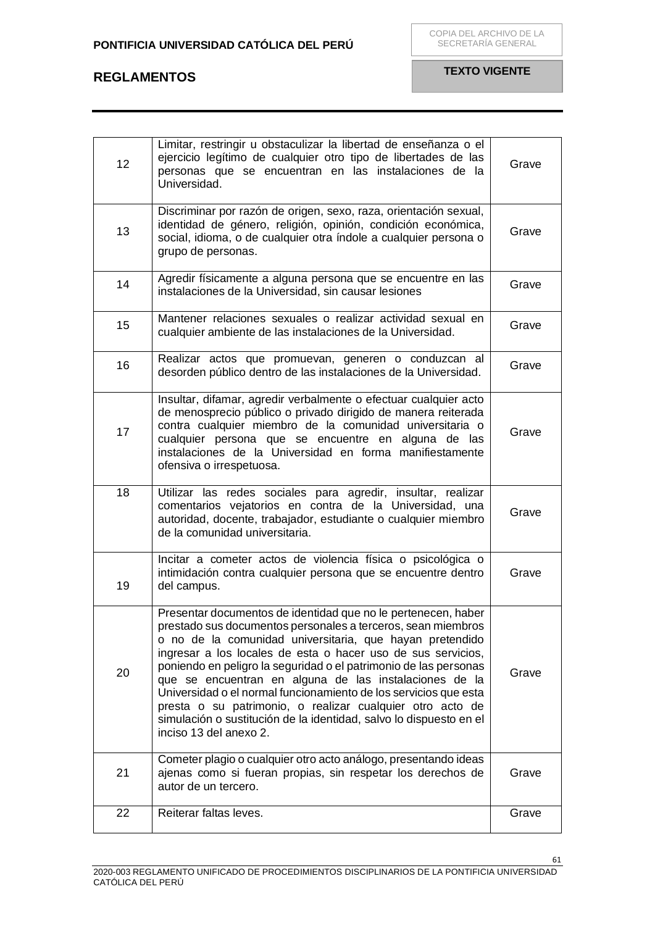| 12 | Limitar, restringir u obstaculizar la libertad de enseñanza o el<br>ejercicio legítimo de cualquier otro tipo de libertades de las<br>personas que se encuentran en las instalaciones de la<br>Universidad.                                                                                                                                                                                                                                                                                                                                                                                                              | Grave |
|----|--------------------------------------------------------------------------------------------------------------------------------------------------------------------------------------------------------------------------------------------------------------------------------------------------------------------------------------------------------------------------------------------------------------------------------------------------------------------------------------------------------------------------------------------------------------------------------------------------------------------------|-------|
| 13 | Discriminar por razón de origen, sexo, raza, orientación sexual,<br>identidad de género, religión, opinión, condición económica,<br>social, idioma, o de cualquier otra índole a cualquier persona o<br>grupo de personas.                                                                                                                                                                                                                                                                                                                                                                                               | Grave |
| 14 | Agredir físicamente a alguna persona que se encuentre en las<br>instalaciones de la Universidad, sin causar lesiones                                                                                                                                                                                                                                                                                                                                                                                                                                                                                                     | Grave |
| 15 | Mantener relaciones sexuales o realizar actividad sexual en<br>cualquier ambiente de las instalaciones de la Universidad.                                                                                                                                                                                                                                                                                                                                                                                                                                                                                                | Grave |
| 16 | Realizar actos que promuevan, generen o conduzcan al<br>desorden público dentro de las instalaciones de la Universidad.                                                                                                                                                                                                                                                                                                                                                                                                                                                                                                  | Grave |
| 17 | Insultar, difamar, agredir verbalmente o efectuar cualquier acto<br>de menosprecio público o privado dirigido de manera reiterada<br>contra cualquier miembro de la comunidad universitaria o<br>cualquier persona que se encuentre en alguna de las<br>instalaciones de la Universidad en forma manifiestamente<br>ofensiva o irrespetuosa.                                                                                                                                                                                                                                                                             | Grave |
| 18 | Utilizar las redes sociales para agredir, insultar, realizar<br>comentarios vejatorios en contra de la Universidad, una<br>autoridad, docente, trabajador, estudiante o cualquier miembro<br>de la comunidad universitaria.                                                                                                                                                                                                                                                                                                                                                                                              | Grave |
| 19 | Incitar a cometer actos de violencia física o psicológica o<br>intimidación contra cualquier persona que se encuentre dentro<br>del campus.                                                                                                                                                                                                                                                                                                                                                                                                                                                                              | Grave |
| 20 | Presentar documentos de identidad que no le pertenecen, haber<br>prestado sus documentos personales a terceros, sean miembros<br>o no de la comunidad universitaria, que hayan pretendido<br>ingresar a los locales de esta o hacer uso de sus servicios,<br>poniendo en peligro la seguridad o el patrimonio de las personas<br>que se encuentran en alguna de las instalaciones de la<br>Universidad o el normal funcionamiento de los servicios que esta<br>presta o su patrimonio, o realizar cualquier otro acto de<br>simulación o sustitución de la identidad, salvo lo dispuesto en el<br>inciso 13 del anexo 2. | Grave |
| 21 | Cometer plagio o cualquier otro acto análogo, presentando ideas<br>ajenas como si fueran propias, sin respetar los derechos de<br>autor de un tercero.                                                                                                                                                                                                                                                                                                                                                                                                                                                                   | Grave |
| 22 | Reiterar faltas leves.                                                                                                                                                                                                                                                                                                                                                                                                                                                                                                                                                                                                   | Grave |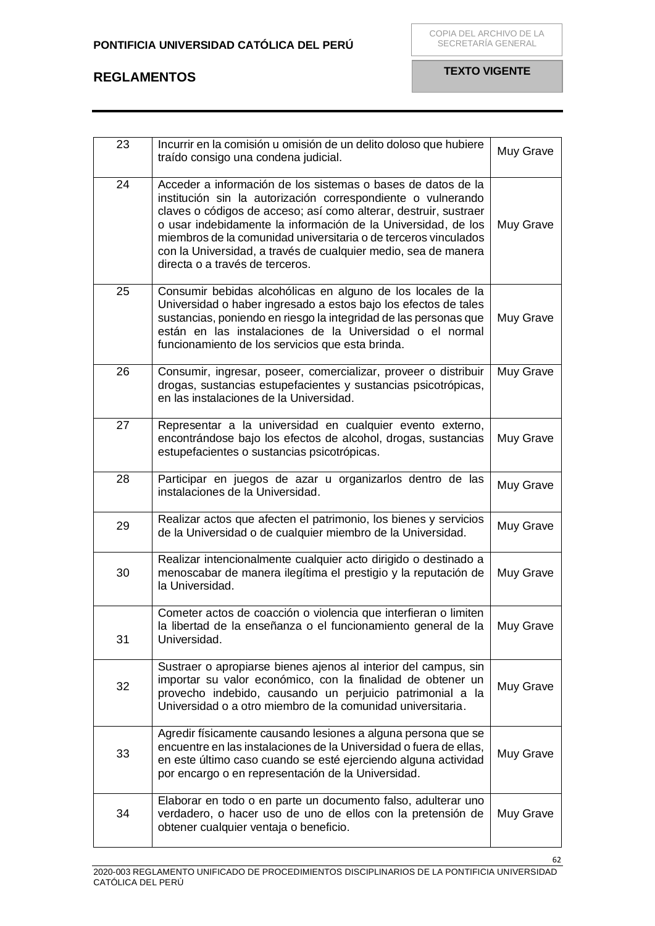| 23 | Incurrir en la comisión u omisión de un delito doloso que hubiere<br>traído consigo una condena judicial.                                                                                                                                                                                                                                                                                                                                 | Muy Grave |
|----|-------------------------------------------------------------------------------------------------------------------------------------------------------------------------------------------------------------------------------------------------------------------------------------------------------------------------------------------------------------------------------------------------------------------------------------------|-----------|
| 24 | Acceder a información de los sistemas o bases de datos de la<br>institución sin la autorización correspondiente o vulnerando<br>claves o códigos de acceso; así como alterar, destruir, sustraer<br>o usar indebidamente la información de la Universidad, de los<br>miembros de la comunidad universitaria o de terceros vinculados<br>con la Universidad, a través de cualquier medio, sea de manera<br>directa o a través de terceros. | Muy Grave |
| 25 | Consumir bebidas alcohólicas en alguno de los locales de la<br>Universidad o haber ingresado a estos bajo los efectos de tales<br>sustancias, poniendo en riesgo la integridad de las personas que<br>están en las instalaciones de la Universidad o el normal<br>funcionamiento de los servicios que esta brinda.                                                                                                                        | Muy Grave |
| 26 | Consumir, ingresar, poseer, comercializar, proveer o distribuir<br>drogas, sustancias estupefacientes y sustancias psicotrópicas,<br>en las instalaciones de la Universidad.                                                                                                                                                                                                                                                              | Muy Grave |
| 27 | Representar a la universidad en cualquier evento externo,<br>encontrándose bajo los efectos de alcohol, drogas, sustancias<br>estupefacientes o sustancias psicotrópicas.                                                                                                                                                                                                                                                                 | Muy Grave |
| 28 | Participar en juegos de azar u organizarlos dentro de las<br>instalaciones de la Universidad.                                                                                                                                                                                                                                                                                                                                             | Muy Grave |
| 29 | Realizar actos que afecten el patrimonio, los bienes y servicios<br>de la Universidad o de cualquier miembro de la Universidad.                                                                                                                                                                                                                                                                                                           | Muy Grave |
| 30 | Realizar intencionalmente cualquier acto dirigido o destinado a<br>menoscabar de manera ilegítima el prestigio y la reputación de<br>la Universidad.                                                                                                                                                                                                                                                                                      | Muy Grave |
| 31 | Cometer actos de coacción o violencia que interfieran o limiten<br>la libertad de la enseñanza o el funcionamiento general de la<br>Universidad.                                                                                                                                                                                                                                                                                          | Muy Grave |
| 32 | Sustraer o apropiarse bienes ajenos al interior del campus, sin<br>importar su valor económico, con la finalidad de obtener un<br>provecho indebido, causando un perjuicio patrimonial a la<br>Universidad o a otro miembro de la comunidad universitaria.                                                                                                                                                                                | Muy Grave |
| 33 | Agredir físicamente causando lesiones a alguna persona que se<br>encuentre en las instalaciones de la Universidad o fuera de ellas,<br>en este último caso cuando se esté ejerciendo alguna actividad<br>por encargo o en representación de la Universidad.                                                                                                                                                                               | Muy Grave |
| 34 | Elaborar en todo o en parte un documento falso, adulterar uno<br>verdadero, o hacer uso de uno de ellos con la pretensión de<br>obtener cualquier ventaja o beneficio.                                                                                                                                                                                                                                                                    | Muy Grave |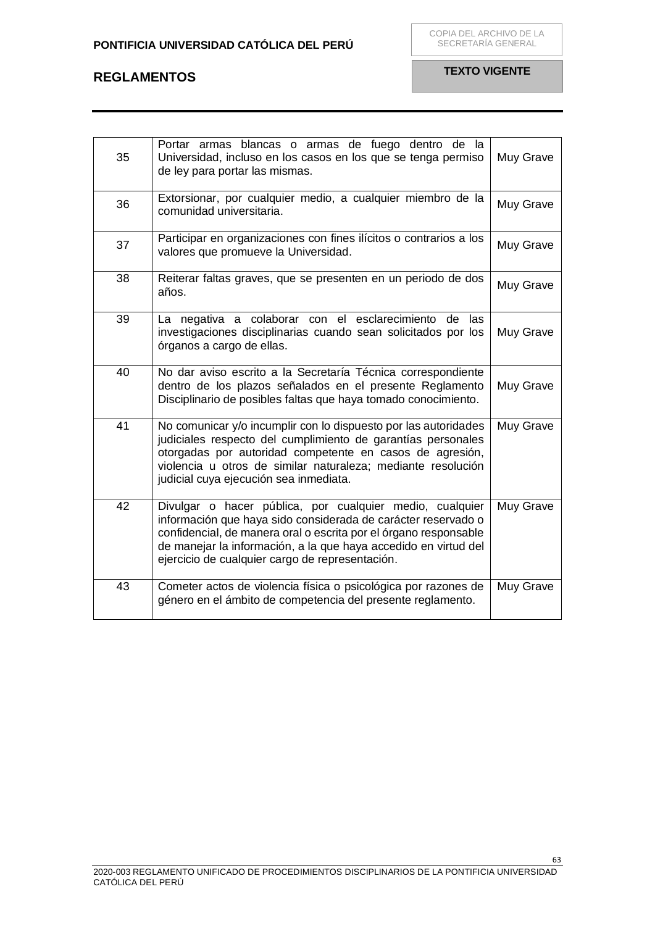| 35 | Portar armas blancas o armas de fuego dentro de la<br>Universidad, incluso en los casos en los que se tenga permiso<br>de ley para portar las mismas.                                                                                                                                                               | Muy Grave |
|----|---------------------------------------------------------------------------------------------------------------------------------------------------------------------------------------------------------------------------------------------------------------------------------------------------------------------|-----------|
| 36 | Extorsionar, por cualquier medio, a cualquier miembro de la<br>comunidad universitaria.                                                                                                                                                                                                                             | Muy Grave |
| 37 | Participar en organizaciones con fines ilícitos o contrarios a los<br>valores que promueve la Universidad.                                                                                                                                                                                                          | Muy Grave |
| 38 | Reiterar faltas graves, que se presenten en un periodo de dos<br>años.                                                                                                                                                                                                                                              | Muy Grave |
| 39 | La negativa a colaborar con el esclarecimiento<br>de<br>las<br>investigaciones disciplinarias cuando sean solicitados por los<br>órganos a cargo de ellas.                                                                                                                                                          | Muy Grave |
| 40 | No dar aviso escrito a la Secretaría Técnica correspondiente<br>dentro de los plazos señalados en el presente Reglamento<br>Disciplinario de posibles faltas que haya tomado conocimiento.                                                                                                                          | Muy Grave |
| 41 | No comunicar y/o incumplir con lo dispuesto por las autoridades<br>judiciales respecto del cumplimiento de garantías personales<br>otorgadas por autoridad competente en casos de agresión,<br>violencia u otros de similar naturaleza; mediante resolución<br>judicial cuya ejecución sea inmediata.               | Muy Grave |
| 42 | Divulgar o hacer pública, por cualquier medio, cualquier<br>información que haya sido considerada de carácter reservado o<br>confidencial, de manera oral o escrita por el órgano responsable<br>de manejar la información, a la que haya accedido en virtud del<br>ejercicio de cualquier cargo de representación. | Muy Grave |
| 43 | Cometer actos de violencia física o psicológica por razones de<br>género en el ámbito de competencia del presente reglamento.                                                                                                                                                                                       | Muy Grave |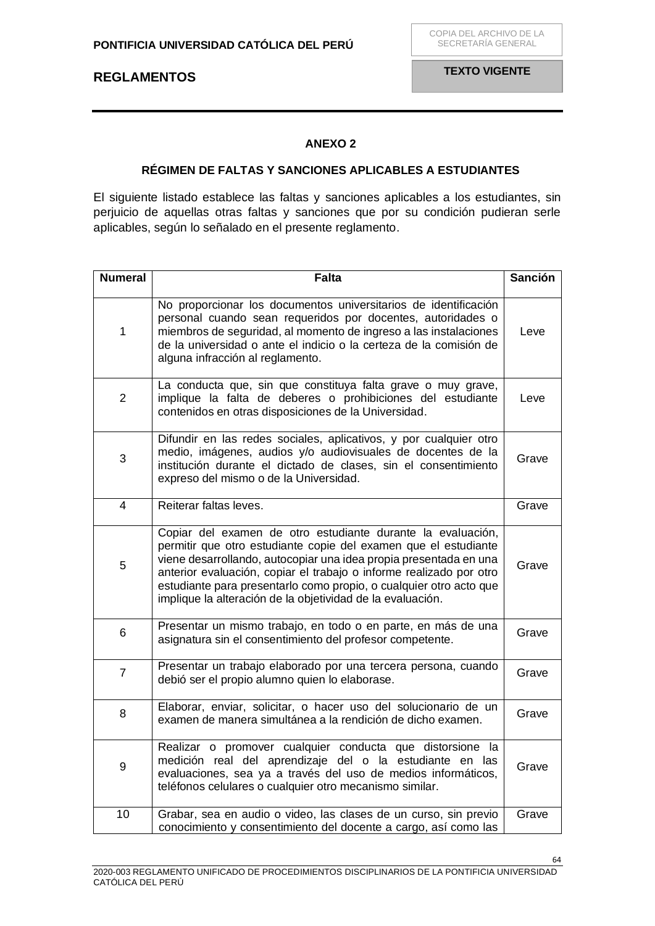## **ANEXO 2**

### **RÉGIMEN DE FALTAS Y SANCIONES APLICABLES A ESTUDIANTES**

<span id="page-63-1"></span><span id="page-63-0"></span>El siguiente listado establece las faltas y sanciones aplicables a los estudiantes, sin perjuicio de aquellas otras faltas y sanciones que por su condición pudieran serle aplicables, según lo señalado en el presente reglamento.

| <b>Numeral</b> | <b>Falta</b>                                                                                                                                                                                                                                                                                                                                                                                                   | <b>Sanción</b> |
|----------------|----------------------------------------------------------------------------------------------------------------------------------------------------------------------------------------------------------------------------------------------------------------------------------------------------------------------------------------------------------------------------------------------------------------|----------------|
| 1              | No proporcionar los documentos universitarios de identificación<br>personal cuando sean requeridos por docentes, autoridades o<br>miembros de seguridad, al momento de ingreso a las instalaciones<br>de la universidad o ante el indicio o la certeza de la comisión de<br>alguna infracción al reglamento.                                                                                                   | Leve           |
| $\overline{2}$ | La conducta que, sin que constituya falta grave o muy grave,<br>implique la falta de deberes o prohibiciones del estudiante<br>contenidos en otras disposiciones de la Universidad.                                                                                                                                                                                                                            | Leve           |
| 3              | Difundir en las redes sociales, aplicativos, y por cualquier otro<br>medio, imágenes, audios y/o audiovisuales de docentes de la<br>institución durante el dictado de clases, sin el consentimiento<br>expreso del mismo o de la Universidad.                                                                                                                                                                  | Grave          |
| $\overline{4}$ | Reiterar faltas leves.                                                                                                                                                                                                                                                                                                                                                                                         | Grave          |
| 5              | Copiar del examen de otro estudiante durante la evaluación,<br>permitir que otro estudiante copie del examen que el estudiante<br>viene desarrollando, autocopiar una idea propia presentada en una<br>anterior evaluación, copiar el trabajo o informe realizado por otro<br>estudiante para presentarlo como propio, o cualquier otro acto que<br>implique la alteración de la objetividad de la evaluación. | Grave          |
| 6              | Presentar un mismo trabajo, en todo o en parte, en más de una<br>asignatura sin el consentimiento del profesor competente.                                                                                                                                                                                                                                                                                     | Grave          |
| $\overline{7}$ | Presentar un trabajo elaborado por una tercera persona, cuando<br>debió ser el propio alumno quien lo elaborase.                                                                                                                                                                                                                                                                                               | Grave          |
| 8              | Elaborar, enviar, solicitar, o hacer uso del solucionario de un<br>examen de manera simultánea a la rendición de dicho examen.                                                                                                                                                                                                                                                                                 | Grave          |
| 9              | Realizar o promover cualquier conducta que distorsione la<br>medición real del aprendizaje del o la estudiante en las<br>evaluaciones, sea ya a través del uso de medios informáticos,<br>teléfonos celulares o cualquier otro mecanismo similar.                                                                                                                                                              | Grave          |
| 10             | Grabar, sea en audio o video, las clases de un curso, sin previo<br>conocimiento y consentimiento del docente a cargo, así como las                                                                                                                                                                                                                                                                            | Grave          |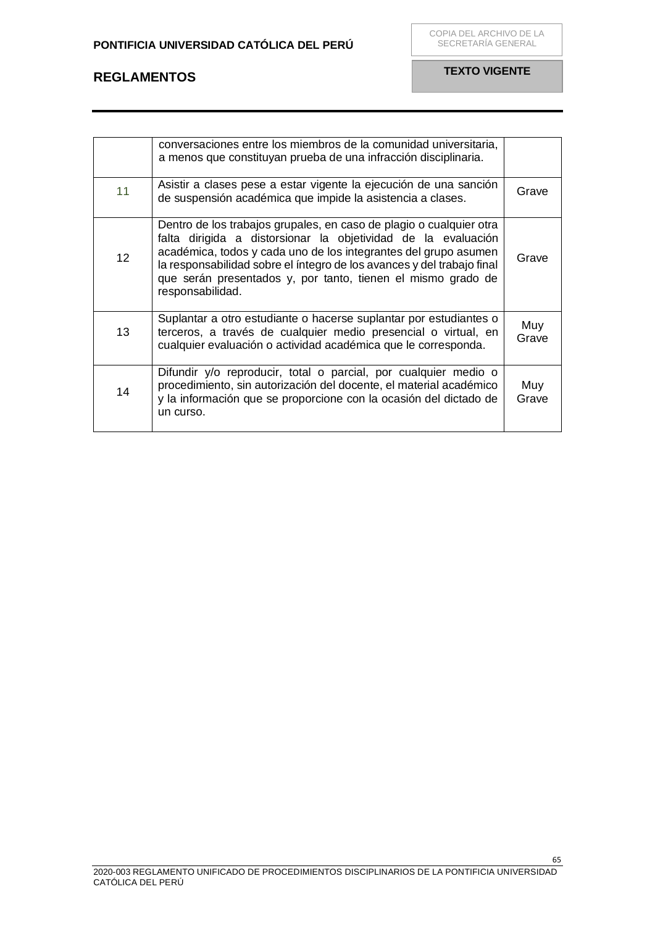|                 | conversaciones entre los miembros de la comunidad universitaria,<br>a menos que constituyan prueba de una infracción disciplinaria.                                                                                                                                                                                                                                   |              |
|-----------------|-----------------------------------------------------------------------------------------------------------------------------------------------------------------------------------------------------------------------------------------------------------------------------------------------------------------------------------------------------------------------|--------------|
| 11              | Asistir a clases pese a estar vigente la ejecución de una sanción<br>de suspensión académica que impide la asistencia a clases.                                                                                                                                                                                                                                       | Grave        |
| 12 <sup>2</sup> | Dentro de los trabajos grupales, en caso de plagio o cualquier otra<br>falta dirigida a distorsionar la objetividad de la evaluación<br>académica, todos y cada uno de los integrantes del grupo asumen<br>la responsabilidad sobre el íntegro de los avances y del trabajo final<br>que serán presentados y, por tanto, tienen el mismo grado de<br>responsabilidad. | Grave        |
| 13              | Suplantar a otro estudiante o hacerse suplantar por estudiantes o<br>terceros, a través de cualquier medio presencial o virtual, en<br>cualquier evaluación o actividad académica que le corresponda.                                                                                                                                                                 | Muy<br>Grave |
| 14              | Difundir y/o reproducir, total o parcial, por cualquier medio o<br>procedimiento, sin autorización del docente, el material académico<br>y la información que se proporcione con la ocasión del dictado de<br>un curso.                                                                                                                                               | Muy<br>Grave |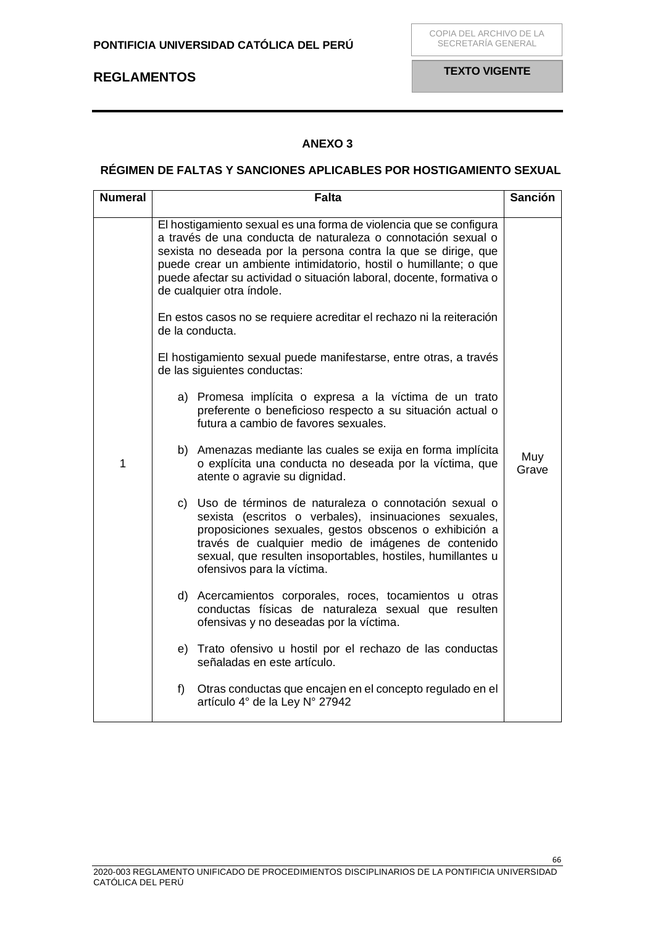## **ANEXO 3**

### <span id="page-65-1"></span><span id="page-65-0"></span>**RÉGIMEN DE FALTAS Y SANCIONES APLICABLES POR HOSTIGAMIENTO SEXUAL**

| <b>Numeral</b> | <b>Falta</b>                                                                                                                                                                                                                                                                                                                                                                    | <b>Sanción</b> |
|----------------|---------------------------------------------------------------------------------------------------------------------------------------------------------------------------------------------------------------------------------------------------------------------------------------------------------------------------------------------------------------------------------|----------------|
|                | El hostigamiento sexual es una forma de violencia que se configura<br>a través de una conducta de naturaleza o connotación sexual o<br>sexista no deseada por la persona contra la que se dirige, que<br>puede crear un ambiente intimidatorio, hostil o humillante; o que<br>puede afectar su actividad o situación laboral, docente, formativa o<br>de cualquier otra índole. |                |
|                | En estos casos no se requiere acreditar el rechazo ni la reiteración<br>de la conducta.                                                                                                                                                                                                                                                                                         |                |
|                | El hostigamiento sexual puede manifestarse, entre otras, a través<br>de las siguientes conductas:                                                                                                                                                                                                                                                                               |                |
|                | a) Promesa implícita o expresa a la víctima de un trato<br>preferente o beneficioso respecto a su situación actual o<br>futura a cambio de favores sexuales.                                                                                                                                                                                                                    |                |
| 1              | b) Amenazas mediante las cuales se exija en forma implícita<br>o explícita una conducta no deseada por la víctima, que<br>atente o agravie su dignidad.                                                                                                                                                                                                                         | Muy<br>Grave   |
|                | c) Uso de términos de naturaleza o connotación sexual o<br>sexista (escritos o verbales), insinuaciones sexuales,<br>proposiciones sexuales, gestos obscenos o exhibición a<br>través de cualquier medio de imágenes de contenido<br>sexual, que resulten insoportables, hostiles, humillantes u<br>ofensivos para la víctima.                                                  |                |
|                | d) Acercamientos corporales, roces, tocamientos u otras<br>conductas físicas de naturaleza sexual que resulten<br>ofensivas y no deseadas por la víctima.                                                                                                                                                                                                                       |                |
|                | e) Trato ofensivo u hostil por el rechazo de las conductas<br>señaladas en este artículo.                                                                                                                                                                                                                                                                                       |                |
|                | f)<br>Otras conductas que encajen en el concepto regulado en el<br>artículo 4° de la Ley N° 27942                                                                                                                                                                                                                                                                               |                |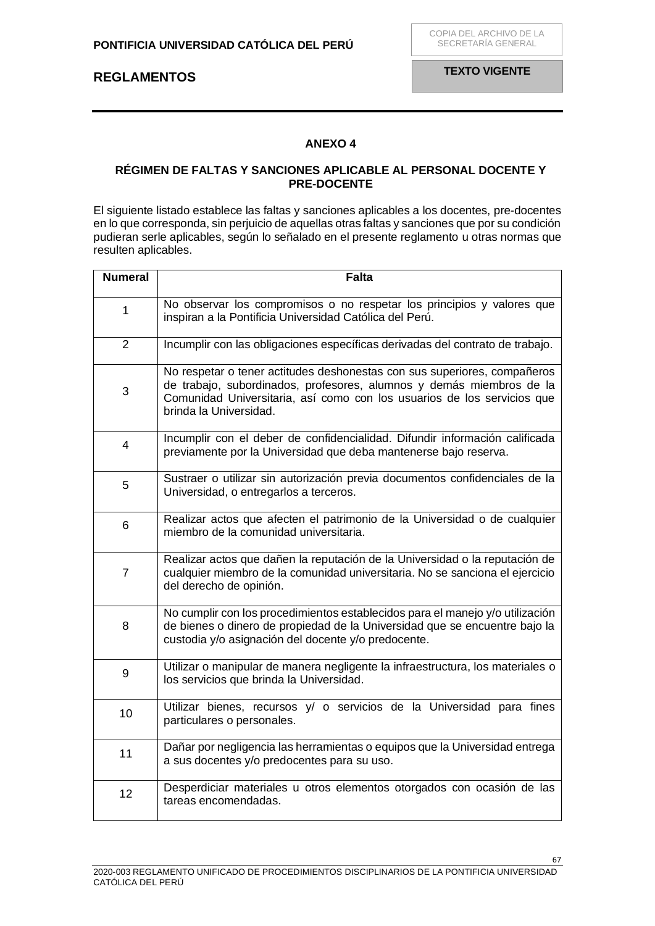## **ANEXO 4**

### <span id="page-66-1"></span><span id="page-66-0"></span>**RÉGIMEN DE FALTAS Y SANCIONES APLICABLE AL PERSONAL DOCENTE Y PRE-DOCENTE**

El siguiente listado establece las faltas y sanciones aplicables a los docentes, pre-docentes en lo que corresponda, sin perjuicio de aquellas otras faltas y sanciones que por su condición pudieran serle aplicables, según lo señalado en el presente reglamento u otras normas que resulten aplicables.

| <b>Numeral</b> | <b>Falta</b>                                                                                                                                                                                                                                          |  |
|----------------|-------------------------------------------------------------------------------------------------------------------------------------------------------------------------------------------------------------------------------------------------------|--|
| $\mathbf{1}$   | No observar los compromisos o no respetar los principios y valores que<br>inspiran a la Pontificia Universidad Católica del Perú.                                                                                                                     |  |
| $\overline{2}$ | Incumplir con las obligaciones específicas derivadas del contrato de trabajo.                                                                                                                                                                         |  |
| 3              | No respetar o tener actitudes deshonestas con sus superiores, compañeros<br>de trabajo, subordinados, profesores, alumnos y demás miembros de la<br>Comunidad Universitaria, así como con los usuarios de los servicios que<br>brinda la Universidad. |  |
| 4              | Incumplir con el deber de confidencialidad. Difundir información calificada<br>previamente por la Universidad que deba mantenerse bajo reserva.                                                                                                       |  |
| 5              | Sustraer o utilizar sin autorización previa documentos confidenciales de la<br>Universidad, o entregarlos a terceros.                                                                                                                                 |  |
| 6              | Realizar actos que afecten el patrimonio de la Universidad o de cualquier<br>miembro de la comunidad universitaria.                                                                                                                                   |  |
| $\overline{7}$ | Realizar actos que dañen la reputación de la Universidad o la reputación de<br>cualquier miembro de la comunidad universitaria. No se sanciona el ejercicio<br>del derecho de opinión.                                                                |  |
| 8              | No cumplir con los procedimientos establecidos para el manejo y/o utilización<br>de bienes o dinero de propiedad de la Universidad que se encuentre bajo la<br>custodia y/o asignación del docente y/o predocente.                                    |  |
| 9              | Utilizar o manipular de manera negligente la infraestructura, los materiales o<br>los servicios que brinda la Universidad.                                                                                                                            |  |
| 10             | Utilizar bienes, recursos y/ o servicios de la Universidad para fines<br>particulares o personales.                                                                                                                                                   |  |
| 11             | Dañar por negligencia las herramientas o equipos que la Universidad entrega<br>a sus docentes y/o predocentes para su uso.                                                                                                                            |  |
| 12             | Desperdiciar materiales u otros elementos otorgados con ocasión de las<br>tareas encomendadas.                                                                                                                                                        |  |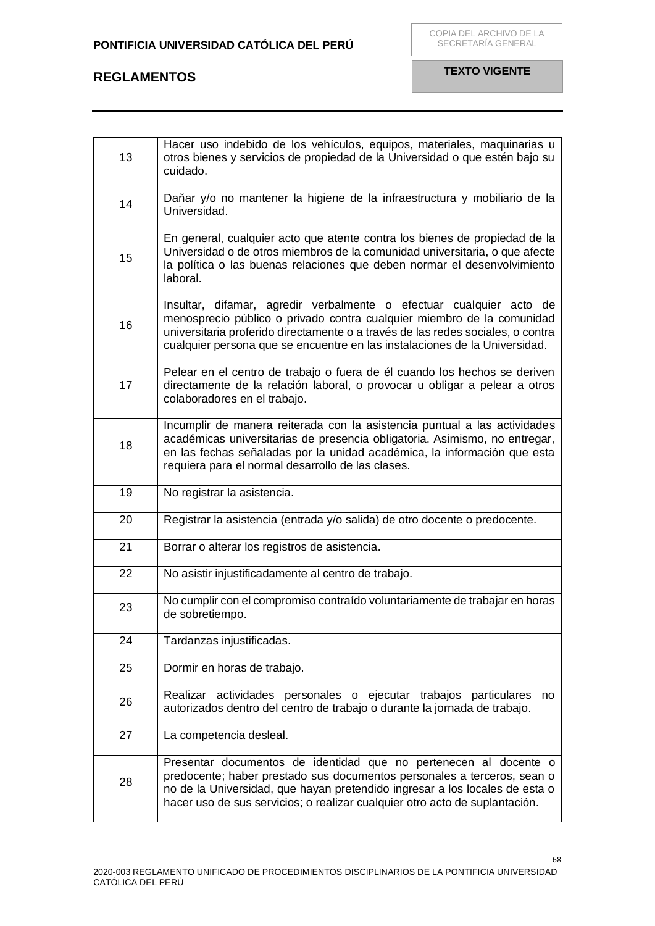| 13 | Hacer uso indebido de los vehículos, equipos, materiales, maquinarias u<br>otros bienes y servicios de propiedad de la Universidad o que estén bajo su<br>cuidado.                                                                                                                                             |
|----|----------------------------------------------------------------------------------------------------------------------------------------------------------------------------------------------------------------------------------------------------------------------------------------------------------------|
| 14 | Dañar y/o no mantener la higiene de la infraestructura y mobiliario de la<br>Universidad.                                                                                                                                                                                                                      |
| 15 | En general, cualquier acto que atente contra los bienes de propiedad de la<br>Universidad o de otros miembros de la comunidad universitaria, o que afecte<br>la política o las buenas relaciones que deben normar el desenvolvimiento<br>laboral.                                                              |
| 16 | Insultar, difamar, agredir verbalmente o efectuar cualquier acto de<br>menosprecio público o privado contra cualquier miembro de la comunidad<br>universitaria proferido directamente o a través de las redes sociales, o contra<br>cualquier persona que se encuentre en las instalaciones de la Universidad. |
| 17 | Pelear en el centro de trabajo o fuera de él cuando los hechos se deriven<br>directamente de la relación laboral, o provocar u obligar a pelear a otros<br>colaboradores en el trabajo.                                                                                                                        |
| 18 | Incumplir de manera reiterada con la asistencia puntual a las actividades<br>académicas universitarias de presencia obligatoria. Asimismo, no entregar,<br>en las fechas señaladas por la unidad académica, la información que esta<br>requiera para el normal desarrollo de las clases.                       |
| 19 | No registrar la asistencia.                                                                                                                                                                                                                                                                                    |
| 20 | Registrar la asistencia (entrada y/o salida) de otro docente o predocente.                                                                                                                                                                                                                                     |
| 21 | Borrar o alterar los registros de asistencia.                                                                                                                                                                                                                                                                  |
| 22 | No asistir injustificadamente al centro de trabajo.                                                                                                                                                                                                                                                            |
| 23 | No cumplir con el compromiso contraído voluntariamente de trabajar en horas<br>de sobretiempo.                                                                                                                                                                                                                 |
| 24 | Tardanzas injustificadas.                                                                                                                                                                                                                                                                                      |
| 25 | Dormir en horas de trabajo.                                                                                                                                                                                                                                                                                    |
| 26 | Realizar actividades personales o ejecutar trabajos particulares<br>no<br>autorizados dentro del centro de trabajo o durante la jornada de trabajo.                                                                                                                                                            |
| 27 | La competencia desleal.                                                                                                                                                                                                                                                                                        |
| 28 | Presentar documentos de identidad que no pertenecen al docente o<br>predocente; haber prestado sus documentos personales a terceros, sean o<br>no de la Universidad, que hayan pretendido ingresar a los locales de esta o<br>hacer uso de sus servicios; o realizar cualquier otro acto de suplantación.      |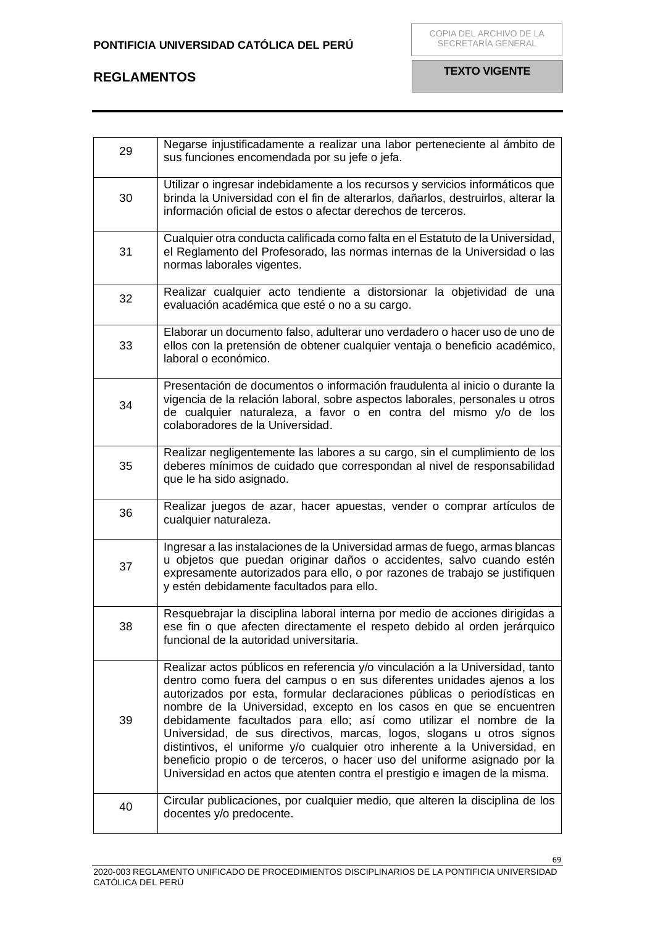| 29 | Negarse injustificadamente a realizar una labor perteneciente al ámbito de<br>sus funciones encomendada por su jefe o jefa.                                                                                                                                                                                                                                                                                                                                                                                                                                                                                                                                                                        |
|----|----------------------------------------------------------------------------------------------------------------------------------------------------------------------------------------------------------------------------------------------------------------------------------------------------------------------------------------------------------------------------------------------------------------------------------------------------------------------------------------------------------------------------------------------------------------------------------------------------------------------------------------------------------------------------------------------------|
| 30 | Utilizar o ingresar indebidamente a los recursos y servicios informáticos que<br>brinda la Universidad con el fin de alterarlos, dañarlos, destruirlos, alterar la<br>información oficial de estos o afectar derechos de terceros.                                                                                                                                                                                                                                                                                                                                                                                                                                                                 |
| 31 | Cualquier otra conducta calificada como falta en el Estatuto de la Universidad,<br>el Reglamento del Profesorado, las normas internas de la Universidad o las<br>normas laborales vigentes.                                                                                                                                                                                                                                                                                                                                                                                                                                                                                                        |
| 32 | Realizar cualquier acto tendiente a distorsionar la objetividad de una<br>evaluación académica que esté o no a su cargo.                                                                                                                                                                                                                                                                                                                                                                                                                                                                                                                                                                           |
| 33 | Elaborar un documento falso, adulterar uno verdadero o hacer uso de uno de<br>ellos con la pretensión de obtener cualquier ventaja o beneficio académico,<br>laboral o económico.                                                                                                                                                                                                                                                                                                                                                                                                                                                                                                                  |
| 34 | Presentación de documentos o información fraudulenta al inicio o durante la<br>vigencia de la relación laboral, sobre aspectos laborales, personales u otros<br>de cualquier naturaleza, a favor o en contra del mismo y/o de los<br>colaboradores de la Universidad.                                                                                                                                                                                                                                                                                                                                                                                                                              |
| 35 | Realizar negligentemente las labores a su cargo, sin el cumplimiento de los<br>deberes mínimos de cuidado que correspondan al nivel de responsabilidad<br>que le ha sido asignado.                                                                                                                                                                                                                                                                                                                                                                                                                                                                                                                 |
| 36 | Realizar juegos de azar, hacer apuestas, vender o comprar artículos de<br>cualquier naturaleza.                                                                                                                                                                                                                                                                                                                                                                                                                                                                                                                                                                                                    |
| 37 | Ingresar a las instalaciones de la Universidad armas de fuego, armas blancas<br>u objetos que puedan originar daños o accidentes, salvo cuando estén<br>expresamente autorizados para ello, o por razones de trabajo se justifiquen<br>y estén debidamente facultados para ello.                                                                                                                                                                                                                                                                                                                                                                                                                   |
| 38 | Resquebrajar la disciplina laboral interna por medio de acciones dirigidas a<br>ese fin o que afecten directamente el respeto debido al orden jerárquico<br>funcional de la autoridad universitaria.                                                                                                                                                                                                                                                                                                                                                                                                                                                                                               |
| 39 | Realizar actos públicos en referencia y/o vinculación a la Universidad, tanto<br>dentro como fuera del campus o en sus diferentes unidades ajenos a los<br>autorizados por esta, formular declaraciones públicas o periodísticas en<br>nombre de la Universidad, excepto en los casos en que se encuentren<br>debidamente facultados para ello; así como utilizar el nombre de la<br>Universidad, de sus directivos, marcas, logos, slogans u otros signos<br>distintivos, el uniforme y/o cualquier otro inherente a la Universidad, en<br>beneficio propio o de terceros, o hacer uso del uniforme asignado por la<br>Universidad en actos que atenten contra el prestigio e imagen de la misma. |
| 40 | Circular publicaciones, por cualquier medio, que alteren la disciplina de los<br>docentes y/o predocente.                                                                                                                                                                                                                                                                                                                                                                                                                                                                                                                                                                                          |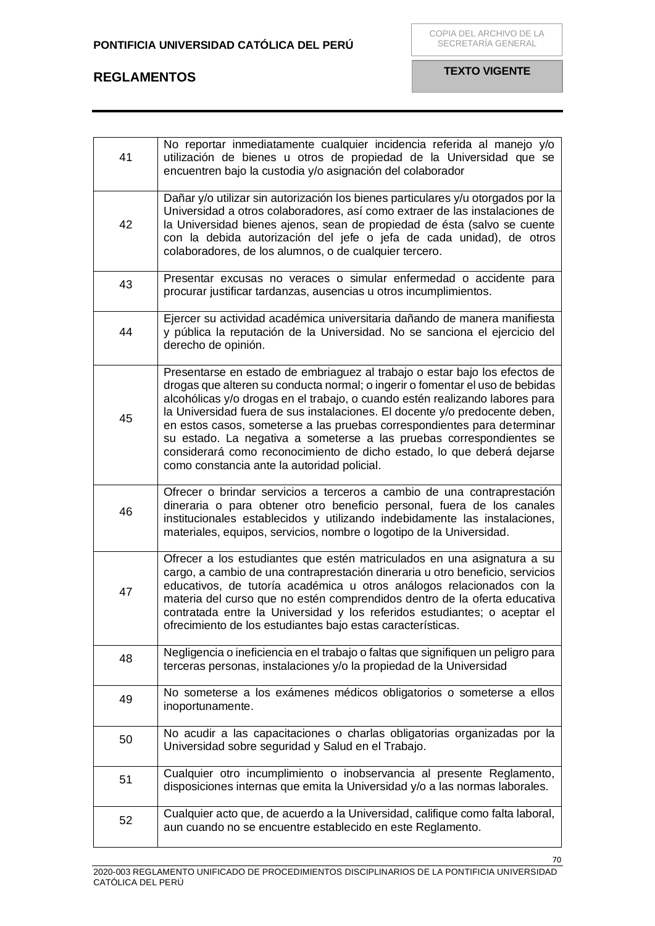| 41 | No reportar inmediatamente cualquier incidencia referida al manejo y/o<br>utilización de bienes u otros de propiedad de la Universidad que se<br>encuentren bajo la custodia y/o asignación del colaborador                                                                                                                                                                                                                                                                                                                                                                                             |
|----|---------------------------------------------------------------------------------------------------------------------------------------------------------------------------------------------------------------------------------------------------------------------------------------------------------------------------------------------------------------------------------------------------------------------------------------------------------------------------------------------------------------------------------------------------------------------------------------------------------|
| 42 | Dañar y/o utilizar sin autorización los bienes particulares y/u otorgados por la<br>Universidad a otros colaboradores, así como extraer de las instalaciones de<br>la Universidad bienes ajenos, sean de propiedad de ésta (salvo se cuente<br>con la debida autorización del jefe o jefa de cada unidad), de otros<br>colaboradores, de los alumnos, o de cualquier tercero.                                                                                                                                                                                                                           |
| 43 | Presentar excusas no veraces o simular enfermedad o accidente para<br>procurar justificar tardanzas, ausencias u otros incumplimientos.                                                                                                                                                                                                                                                                                                                                                                                                                                                                 |
| 44 | Ejercer su actividad académica universitaria dañando de manera manifiesta<br>y pública la reputación de la Universidad. No se sanciona el ejercicio del<br>derecho de opinión.                                                                                                                                                                                                                                                                                                                                                                                                                          |
| 45 | Presentarse en estado de embriaguez al trabajo o estar bajo los efectos de<br>drogas que alteren su conducta normal; o ingerir o fomentar el uso de bebidas<br>alcohólicas y/o drogas en el trabajo, o cuando estén realizando labores para<br>la Universidad fuera de sus instalaciones. El docente y/o predocente deben,<br>en estos casos, someterse a las pruebas correspondientes para determinar<br>su estado. La negativa a someterse a las pruebas correspondientes se<br>considerará como reconocimiento de dicho estado, lo que deberá dejarse<br>como constancia ante la autoridad policial. |
| 46 | Ofrecer o brindar servicios a terceros a cambio de una contraprestación<br>dineraria o para obtener otro beneficio personal, fuera de los canales<br>institucionales establecidos y utilizando indebidamente las instalaciones,<br>materiales, equipos, servicios, nombre o logotipo de la Universidad.                                                                                                                                                                                                                                                                                                 |
| 47 | Ofrecer a los estudiantes que estén matriculados en una asignatura a su<br>cargo, a cambio de una contraprestación dineraria u otro beneficio, servicios<br>educativos, de tutoría académica u otros análogos relacionados con la<br>materia del curso que no estén comprendidos dentro de la oferta educativa<br>contratada entre la Universidad y los referidos estudiantes; o aceptar el<br>ofrecimiento de los estudiantes bajo estas características.                                                                                                                                              |
| 48 | Negligencia o ineficiencia en el trabajo o faltas que signifiquen un peligro para<br>terceras personas, instalaciones y/o la propiedad de la Universidad                                                                                                                                                                                                                                                                                                                                                                                                                                                |
| 49 | No someterse a los exámenes médicos obligatorios o someterse a ellos<br>inoportunamente.                                                                                                                                                                                                                                                                                                                                                                                                                                                                                                                |
| 50 | No acudir a las capacitaciones o charlas obligatorias organizadas por la<br>Universidad sobre seguridad y Salud en el Trabajo.                                                                                                                                                                                                                                                                                                                                                                                                                                                                          |
| 51 | Cualquier otro incumplimiento o inobservancia al presente Reglamento,<br>disposiciones internas que emita la Universidad y/o a las normas laborales.                                                                                                                                                                                                                                                                                                                                                                                                                                                    |
| 52 | Cualquier acto que, de acuerdo a la Universidad, califique como falta laboral,<br>aun cuando no se encuentre establecido en este Reglamento.                                                                                                                                                                                                                                                                                                                                                                                                                                                            |